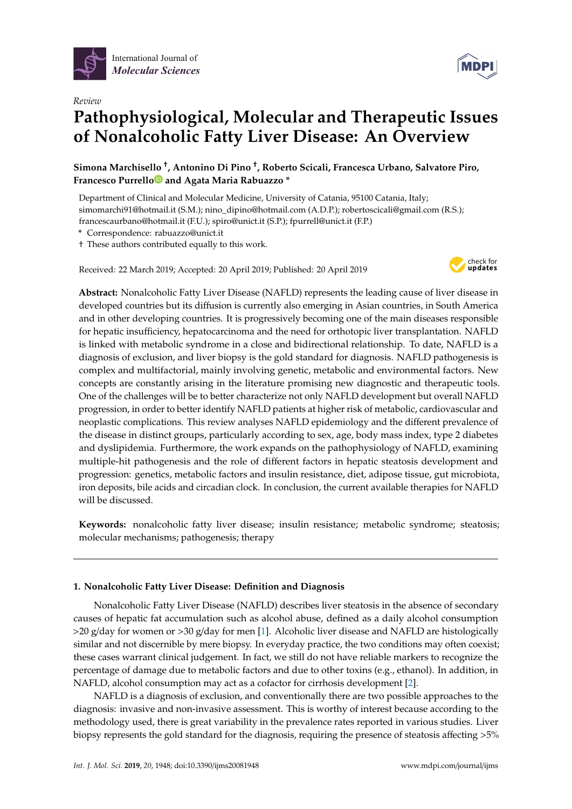

*Review*



# **Pathophysiological, Molecular and Therapeutic Issues of Nonalcoholic Fatty Liver Disease: An Overview**

**Simona Marchisello** † **, Antonino Di Pino** † **, Roberto Scicali, Francesca Urbano, Salvatore Piro, Francesco Purrell[o](https://orcid.org/0000-0003-3313-8543) and Agata Maria Rabuazzo \***

Department of Clinical and Molecular Medicine, University of Catania, 95100 Catania, Italy; simomarchi91@hotmail.it (S.M.); nino\_dipino@hotmail.com (A.D.P.); robertoscicali@gmail.com (R.S.); francescaurbano@hotmail.it (F.U.); spiro@unict.it (S.P.); fpurrell@unict.it (F.P.)

**\*** Correspondence: rabuazzo@unict.it

† These authors contributed equally to this work.

Received: 22 March 2019; Accepted: 20 April 2019; Published: 20 April 2019



**Abstract:** Nonalcoholic Fatty Liver Disease (NAFLD) represents the leading cause of liver disease in developed countries but its diffusion is currently also emerging in Asian countries, in South America and in other developing countries. It is progressively becoming one of the main diseases responsible for hepatic insufficiency, hepatocarcinoma and the need for orthotopic liver transplantation. NAFLD is linked with metabolic syndrome in a close and bidirectional relationship. To date, NAFLD is a diagnosis of exclusion, and liver biopsy is the gold standard for diagnosis. NAFLD pathogenesis is complex and multifactorial, mainly involving genetic, metabolic and environmental factors. New concepts are constantly arising in the literature promising new diagnostic and therapeutic tools. One of the challenges will be to better characterize not only NAFLD development but overall NAFLD progression, in order to better identify NAFLD patients at higher risk of metabolic, cardiovascular and neoplastic complications. This review analyses NAFLD epidemiology and the different prevalence of the disease in distinct groups, particularly according to sex, age, body mass index, type 2 diabetes and dyslipidemia. Furthermore, the work expands on the pathophysiology of NAFLD, examining multiple-hit pathogenesis and the role of different factors in hepatic steatosis development and progression: genetics, metabolic factors and insulin resistance, diet, adipose tissue, gut microbiota, iron deposits, bile acids and circadian clock. In conclusion, the current available therapies for NAFLD will be discussed.

**Keywords:** nonalcoholic fatty liver disease; insulin resistance; metabolic syndrome; steatosis; molecular mechanisms; pathogenesis; therapy

# **1. Nonalcoholic Fatty Liver Disease: Definition and Diagnosis**

Nonalcoholic Fatty Liver Disease (NAFLD) describes liver steatosis in the absence of secondary causes of hepatic fat accumulation such as alcohol abuse, defined as a daily alcohol consumption >20 g/day for women or >30 g/day for men [\[1\]](#page-17-0). Alcoholic liver disease and NAFLD are histologically similar and not discernible by mere biopsy. In everyday practice, the two conditions may often coexist; these cases warrant clinical judgement. In fact, we still do not have reliable markers to recognize the percentage of damage due to metabolic factors and due to other toxins (e.g., ethanol). In addition, in NAFLD, alcohol consumption may act as a cofactor for cirrhosis development [\[2\]](#page-17-1).

NAFLD is a diagnosis of exclusion, and conventionally there are two possible approaches to the diagnosis: invasive and non-invasive assessment. This is worthy of interest because according to the methodology used, there is great variability in the prevalence rates reported in various studies. Liver biopsy represents the gold standard for the diagnosis, requiring the presence of steatosis affecting >5%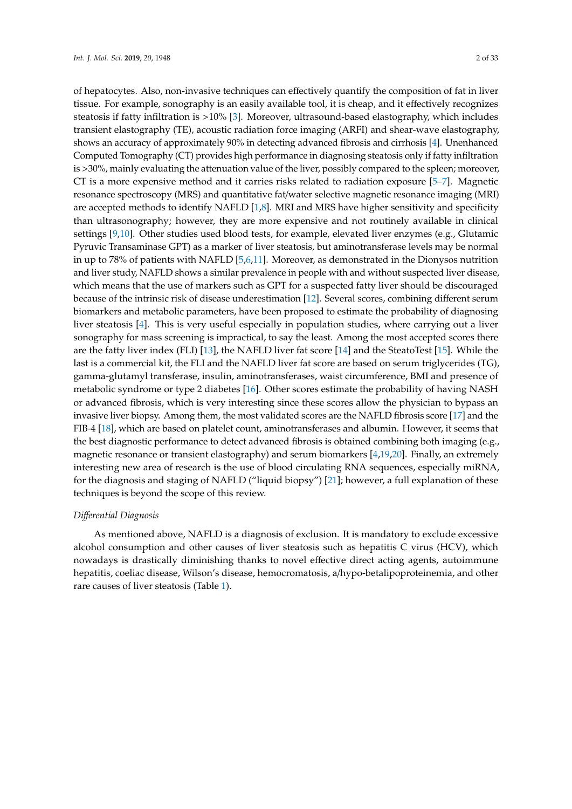of hepatocytes. Also, non-invasive techniques can effectively quantify the composition of fat in liver tissue. For example, sonography is an easily available tool, it is cheap, and it effectively recognizes steatosis if fatty infiltration is >10% [\[3\]](#page-17-2). Moreover, ultrasound-based elastography, which includes transient elastography (TE), acoustic radiation force imaging (ARFI) and shear-wave elastography, shows an accuracy of approximately 90% in detecting advanced fibrosis and cirrhosis [\[4\]](#page-17-3). Unenhanced Computed Tomography (CT) provides high performance in diagnosing steatosis only if fatty infiltration is >30%, mainly evaluating the attenuation value of the liver, possibly compared to the spleen; moreover, CT is a more expensive method and it carries risks related to radiation exposure [\[5](#page-17-4)[–7\]](#page-17-5). Magnetic resonance spectroscopy (MRS) and quantitative fat/water selective magnetic resonance imaging (MRI) are accepted methods to identify NAFLD [\[1,](#page-17-0)[8\]](#page-17-6). MRI and MRS have higher sensitivity and specificity than ultrasonography; however, they are more expensive and not routinely available in clinical settings [\[9](#page-17-7)[,10\]](#page-18-0). Other studies used blood tests, for example, elevated liver enzymes (e.g., Glutamic Pyruvic Transaminase GPT) as a marker of liver steatosis, but aminotransferase levels may be normal in up to 78% of patients with NAFLD [\[5,](#page-17-4)[6,](#page-17-8)[11\]](#page-18-1). Moreover, as demonstrated in the Dionysos nutrition and liver study, NAFLD shows a similar prevalence in people with and without suspected liver disease, which means that the use of markers such as GPT for a suspected fatty liver should be discouraged because of the intrinsic risk of disease underestimation [\[12\]](#page-18-2). Several scores, combining different serum biomarkers and metabolic parameters, have been proposed to estimate the probability of diagnosing liver steatosis [\[4\]](#page-17-3). This is very useful especially in population studies, where carrying out a liver sonography for mass screening is impractical, to say the least. Among the most accepted scores there are the fatty liver index (FLI) [\[13\]](#page-18-3), the NAFLD liver fat score [\[14\]](#page-18-4) and the SteatoTest [\[15\]](#page-18-5). While the last is a commercial kit, the FLI and the NAFLD liver fat score are based on serum triglycerides (TG), gamma-glutamyl transferase, insulin, aminotransferases, waist circumference, BMI and presence of metabolic syndrome or type 2 diabetes [\[16\]](#page-18-6). Other scores estimate the probability of having NASH or advanced fibrosis, which is very interesting since these scores allow the physician to bypass an invasive liver biopsy. Among them, the most validated scores are the NAFLD fibrosis score [\[17\]](#page-18-7) and the FIB-4 [\[18\]](#page-18-8), which are based on platelet count, aminotransferases and albumin. However, it seems that the best diagnostic performance to detect advanced fibrosis is obtained combining both imaging (e.g., magnetic resonance or transient elastography) and serum biomarkers [\[4](#page-17-3)[,19](#page-18-9)[,20\]](#page-18-10). Finally, an extremely interesting new area of research is the use of blood circulating RNA sequences, especially miRNA, for the diagnosis and staging of NAFLD ("liquid biopsy") [\[21\]](#page-18-11); however, a full explanation of these techniques is beyond the scope of this review.

#### *Di*ff*erential Diagnosis*

As mentioned above, NAFLD is a diagnosis of exclusion. It is mandatory to exclude excessive alcohol consumption and other causes of liver steatosis such as hepatitis C virus (HCV), which nowadays is drastically diminishing thanks to novel effective direct acting agents, autoimmune hepatitis, coeliac disease, Wilson's disease, hemocromatosis, a/hypo-betalipoproteinemia, and other rare causes of liver steatosis (Table [1\)](#page-2-0).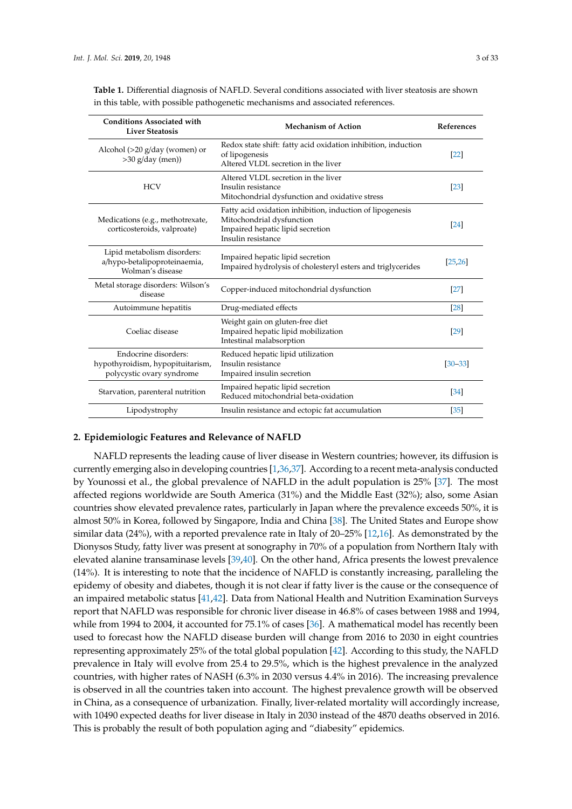| <b>Conditions Associated with</b><br><b>Liver Steatosis</b>                           | <b>Mechanism of Action</b>                                                                                                                       | <b>References</b> |
|---------------------------------------------------------------------------------------|--------------------------------------------------------------------------------------------------------------------------------------------------|-------------------|
| Alcohol $(>20 \text{ g/day}$ (women) or<br>>30 g/day (men))                           | Redox state shift: fatty acid oxidation inhibition, induction<br>of lipogenesis<br>Altered VLDL secretion in the liver                           | [22]              |
| <b>HCV</b>                                                                            | Altered VLDL secretion in the liver<br>Insulin resistance<br>Mitochondrial dysfunction and oxidative stress                                      | [23]              |
| Medications (e.g., methotrexate,<br>corticosteroids, valproate)                       | Fatty acid oxidation inhibition, induction of lipogenesis<br>Mitochondrial dysfunction<br>Impaired hepatic lipid secretion<br>Insulin resistance | $\left[24\right]$ |
| Lipid metabolism disorders:<br>a/hypo-betalipoproteinaemia,<br>Wolman's disease       | Impaired hepatic lipid secretion<br>Impaired hydrolysis of cholesteryl esters and triglycerides                                                  | [25, 26]          |
| Metal storage disorders: Wilson's<br>disease                                          | Copper-induced mitochondrial dysfunction                                                                                                         | $[27]$            |
| Autoimmune hepatitis                                                                  | Drug-mediated effects                                                                                                                            | [28]              |
| Coeliac disease                                                                       | Weight gain on gluten-free diet<br>Impaired hepatic lipid mobilization<br>Intestinal malabsorption                                               | [29]              |
| Endocrine disorders:<br>hypothyroidism, hypopituitarism,<br>polycystic ovary syndrome | Reduced hepatic lipid utilization<br>Insulin resistance<br>Impaired insulin secretion                                                            | $[30 - 33]$       |
| Starvation, parenteral nutrition                                                      | Impaired hepatic lipid secretion<br>Reduced mitochondrial beta-oxidation                                                                         | $[34]$            |
| Lipodystrophy                                                                         | Insulin resistance and ectopic fat accumulation                                                                                                  | [35]              |

<span id="page-2-0"></span>**Table 1.** Differential diagnosis of NAFLD. Several conditions associated with liver steatosis are shown in this table, with possible pathogenetic mechanisms and associated references.

# **2. Epidemiologic Features and Relevance of NAFLD**

NAFLD represents the leading cause of liver disease in Western countries; however, its diffusion is currently emerging also in developing countries [\[1,](#page-17-0)[36](#page-19-4)[,37\]](#page-19-5). According to a recent meta-analysis conducted by Younossi et al., the global prevalence of NAFLD in the adult population is 25% [\[37\]](#page-19-5). The most affected regions worldwide are South America (31%) and the Middle East (32%); also, some Asian countries show elevated prevalence rates, particularly in Japan where the prevalence exceeds 50%, it is almost 50% in Korea, followed by Singapore, India and China [\[38\]](#page-19-6). The United States and Europe show similar data (24%), with a reported prevalence rate in Italy of 20–25% [\[12,](#page-18-2)[16\]](#page-18-6). As demonstrated by the Dionysos Study, fatty liver was present at sonography in 70% of a population from Northern Italy with elevated alanine transaminase levels [\[39](#page-19-7)[,40\]](#page-19-8). On the other hand, Africa presents the lowest prevalence (14%). It is interesting to note that the incidence of NAFLD is constantly increasing, paralleling the epidemy of obesity and diabetes, though it is not clear if fatty liver is the cause or the consequence of an impaired metabolic status [\[41](#page-19-9)[,42\]](#page-19-10). Data from National Health and Nutrition Examination Surveys report that NAFLD was responsible for chronic liver disease in 46.8% of cases between 1988 and 1994, while from 1994 to 2004, it accounted for 75.1% of cases [\[36\]](#page-19-4). A mathematical model has recently been used to forecast how the NAFLD disease burden will change from 2016 to 2030 in eight countries representing approximately 25% of the total global population [\[42\]](#page-19-10). According to this study, the NAFLD prevalence in Italy will evolve from 25.4 to 29.5%, which is the highest prevalence in the analyzed countries, with higher rates of NASH (6.3% in 2030 versus 4.4% in 2016). The increasing prevalence is observed in all the countries taken into account. The highest prevalence growth will be observed in China, as a consequence of urbanization. Finally, liver-related mortality will accordingly increase, with 10490 expected deaths for liver disease in Italy in 2030 instead of the 4870 deaths observed in 2016. This is probably the result of both population aging and "diabesity" epidemics.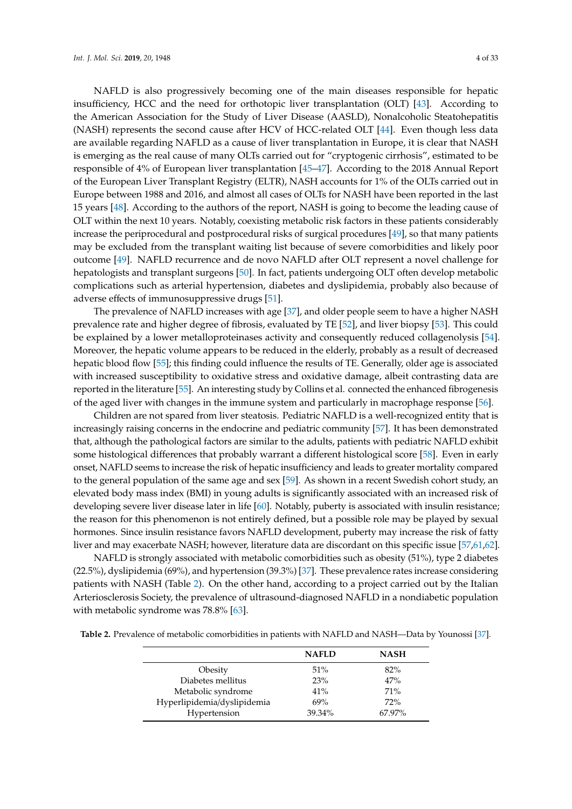NAFLD is also progressively becoming one of the main diseases responsible for hepatic insufficiency, HCC and the need for orthotopic liver transplantation (OLT) [\[43\]](#page-19-11). According to the American Association for the Study of Liver Disease (AASLD), Nonalcoholic Steatohepatitis (NASH) represents the second cause after HCV of HCC-related OLT [\[44\]](#page-19-12). Even though less data are available regarding NAFLD as a cause of liver transplantation in Europe, it is clear that NASH is emerging as the real cause of many OLTs carried out for "cryptogenic cirrhosis", estimated to be responsible of 4% of European liver transplantation [\[45–](#page-19-13)[47\]](#page-19-14). According to the 2018 Annual Report of the European Liver Transplant Registry (ELTR), NASH accounts for 1% of the OLTs carried out in Europe between 1988 and 2016, and almost all cases of OLTs for NASH have been reported in the last 15 years [\[48\]](#page-19-15). According to the authors of the report, NASH is going to become the leading cause of OLT within the next 10 years. Notably, coexisting metabolic risk factors in these patients considerably increase the periprocedural and postprocedural risks of surgical procedures [\[49\]](#page-20-0), so that many patients may be excluded from the transplant waiting list because of severe comorbidities and likely poor outcome [\[49\]](#page-20-0). NAFLD recurrence and de novo NAFLD after OLT represent a novel challenge for hepatologists and transplant surgeons [\[50\]](#page-20-1). In fact, patients undergoing OLT often develop metabolic complications such as arterial hypertension, diabetes and dyslipidemia, probably also because of adverse effects of immunosuppressive drugs [\[51\]](#page-20-2).

The prevalence of NAFLD increases with age [\[37\]](#page-19-5), and older people seem to have a higher NASH prevalence rate and higher degree of fibrosis, evaluated by TE [\[52\]](#page-20-3), and liver biopsy [\[53\]](#page-20-4). This could be explained by a lower metalloproteinases activity and consequently reduced collagenolysis [\[54\]](#page-20-5). Moreover, the hepatic volume appears to be reduced in the elderly, probably as a result of decreased hepatic blood flow [\[55\]](#page-20-6); this finding could influence the results of TE. Generally, older age is associated with increased susceptibility to oxidative stress and oxidative damage, albeit contrasting data are reported in the literature [\[55\]](#page-20-6). An interesting study by Collins et al. connected the enhanced fibrogenesis of the aged liver with changes in the immune system and particularly in macrophage response [\[56\]](#page-20-7).

Children are not spared from liver steatosis. Pediatric NAFLD is a well-recognized entity that is increasingly raising concerns in the endocrine and pediatric community [\[57\]](#page-20-8). It has been demonstrated that, although the pathological factors are similar to the adults, patients with pediatric NAFLD exhibit some histological differences that probably warrant a different histological score [\[58\]](#page-20-9). Even in early onset, NAFLD seems to increase the risk of hepatic insufficiency and leads to greater mortality compared to the general population of the same age and sex [\[59\]](#page-20-10). As shown in a recent Swedish cohort study, an elevated body mass index (BMI) in young adults is significantly associated with an increased risk of developing severe liver disease later in life [\[60\]](#page-20-11). Notably, puberty is associated with insulin resistance; the reason for this phenomenon is not entirely defined, but a possible role may be played by sexual hormones. Since insulin resistance favors NAFLD development, puberty may increase the risk of fatty liver and may exacerbate NASH; however, literature data are discordant on this specific issue [\[57](#page-20-8)[,61,](#page-20-12)[62\]](#page-20-13).

NAFLD is strongly associated with metabolic comorbidities such as obesity (51%), type 2 diabetes (22.5%), dyslipidemia (69%), and hypertension (39.3%) [\[37\]](#page-19-5). These prevalence rates increase considering patients with NASH (Table [2\)](#page-3-0). On the other hand, according to a project carried out by the Italian Arteriosclerosis Society, the prevalence of ultrasound-diagnosed NAFLD in a nondiabetic population with metabolic syndrome was 78.8% [\[63\]](#page-20-14).

<span id="page-3-0"></span>**Table 2.** Prevalence of metabolic comorbidities in patients with NAFLD and NASH—Data by Younossi [\[37\]](#page-19-5).

| <b>NAFLD</b> | <b>NASH</b> |
|--------------|-------------|
| 51%          | $82\%$      |
| 23%          | 47%         |
| 41%          | 71%         |
| 69%          | 72%         |
| 39.34%       | 67.97%      |
|              |             |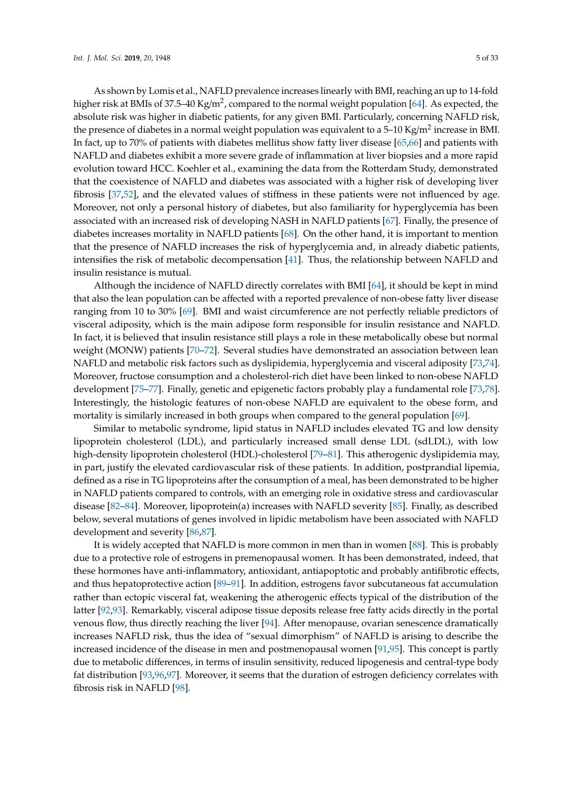As shown by Lomis et al., NAFLD prevalence increases linearly with BMI, reaching an up to 14-fold higher risk at BMIs of 37.5–40 Kg/m<sup>2</sup>, compared to the normal weight population [\[64\]](#page-20-15). As expected, the absolute risk was higher in diabetic patients, for any given BMI. Particularly, concerning NAFLD risk, the presence of diabetes in a normal weight population was equivalent to a 5–10 Kg/m<sup>2</sup> increase in BMI. In fact, up to 70% of patients with diabetes mellitus show fatty liver disease [\[65](#page-20-16)[,66\]](#page-20-17) and patients with NAFLD and diabetes exhibit a more severe grade of inflammation at liver biopsies and a more rapid evolution toward HCC. Koehler et al., examining the data from the Rotterdam Study, demonstrated that the coexistence of NAFLD and diabetes was associated with a higher risk of developing liver fibrosis [\[37,](#page-19-5)[52\]](#page-20-3), and the elevated values of stiffness in these patients were not influenced by age. Moreover, not only a personal history of diabetes, but also familiarity for hyperglycemia has been associated with an increased risk of developing NASH in NAFLD patients [\[67\]](#page-20-18). Finally, the presence of diabetes increases mortality in NAFLD patients [\[68\]](#page-21-0). On the other hand, it is important to mention that the presence of NAFLD increases the risk of hyperglycemia and, in already diabetic patients, intensifies the risk of metabolic decompensation [\[41\]](#page-19-9). Thus, the relationship between NAFLD and insulin resistance is mutual.

Although the incidence of NAFLD directly correlates with BMI [\[64\]](#page-20-15), it should be kept in mind that also the lean population can be affected with a reported prevalence of non-obese fatty liver disease ranging from 10 to 30% [\[69\]](#page-21-1). BMI and waist circumference are not perfectly reliable predictors of visceral adiposity, which is the main adipose form responsible for insulin resistance and NAFLD. In fact, it is believed that insulin resistance still plays a role in these metabolically obese but normal weight (MONW) patients [\[70–](#page-21-2)[72\]](#page-21-3). Several studies have demonstrated an association between lean NAFLD and metabolic risk factors such as dyslipidemia, hyperglycemia and visceral adiposity [\[73](#page-21-4)[,74\]](#page-21-5). Moreover, fructose consumption and a cholesterol-rich diet have been linked to non-obese NAFLD development [\[75–](#page-21-6)[77\]](#page-21-7). Finally, genetic and epigenetic factors probably play a fundamental role [\[73](#page-21-4)[,78\]](#page-21-8). Interestingly, the histologic features of non-obese NAFLD are equivalent to the obese form, and mortality is similarly increased in both groups when compared to the general population [\[69\]](#page-21-1).

Similar to metabolic syndrome, lipid status in NAFLD includes elevated TG and low density lipoprotein cholesterol (LDL), and particularly increased small dense LDL (sdLDL), with low high-density lipoprotein cholesterol (HDL)-cholesterol [\[79](#page-21-9)[–81\]](#page-21-10). This atherogenic dyslipidemia may, in part, justify the elevated cardiovascular risk of these patients. In addition, postprandial lipemia, defined as a rise in TG lipoproteins after the consumption of a meal, has been demonstrated to be higher in NAFLD patients compared to controls, with an emerging role in oxidative stress and cardiovascular disease [\[82](#page-21-11)[–84\]](#page-21-12). Moreover, lipoprotein(a) increases with NAFLD severity [\[85\]](#page-21-13). Finally, as described below, several mutations of genes involved in lipidic metabolism have been associated with NAFLD development and severity [\[86](#page-21-14)[,87\]](#page-22-0).

It is widely accepted that NAFLD is more common in men than in women [\[88\]](#page-22-1). This is probably due to a protective role of estrogens in premenopausal women. It has been demonstrated, indeed, that these hormones have anti-inflammatory, antioxidant, antiapoptotic and probably antifibrotic effects, and thus hepatoprotective action [\[89–](#page-22-2)[91\]](#page-22-3). In addition, estrogens favor subcutaneous fat accumulation rather than ectopic visceral fat, weakening the atherogenic effects typical of the distribution of the latter [\[92](#page-22-4)[,93\]](#page-22-5). Remarkably, visceral adipose tissue deposits release free fatty acids directly in the portal venous flow, thus directly reaching the liver [\[94\]](#page-22-6). After menopause, ovarian senescence dramatically increases NAFLD risk, thus the idea of "sexual dimorphism" of NAFLD is arising to describe the increased incidence of the disease in men and postmenopausal women [\[91,](#page-22-3)[95\]](#page-22-7). This concept is partly due to metabolic differences, in terms of insulin sensitivity, reduced lipogenesis and central-type body fat distribution [\[93,](#page-22-5)[96](#page-22-8)[,97\]](#page-22-9). Moreover, it seems that the duration of estrogen deficiency correlates with fibrosis risk in NAFLD [\[98\]](#page-22-10).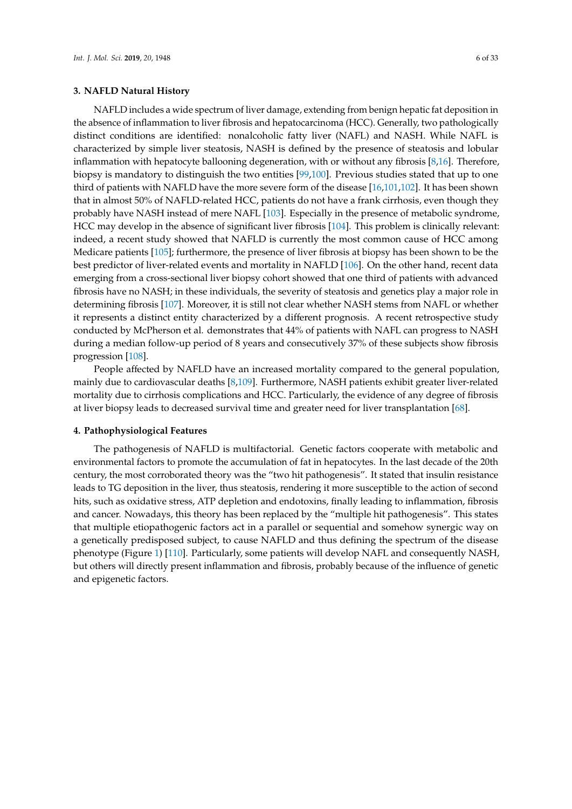# **3. NAFLD Natural History**

NAFLD includes a wide spectrum of liver damage, extending from benign hepatic fat deposition in the absence of inflammation to liver fibrosis and hepatocarcinoma (HCC). Generally, two pathologically distinct conditions are identified: nonalcoholic fatty liver (NAFL) and NASH. While NAFL is characterized by simple liver steatosis, NASH is defined by the presence of steatosis and lobular inflammation with hepatocyte ballooning degeneration, with or without any fibrosis [\[8](#page-17-6)[,16\]](#page-18-6). Therefore, biopsy is mandatory to distinguish the two entities [\[99,](#page-22-11)[100\]](#page-22-12). Previous studies stated that up to one third of patients with NAFLD have the more severe form of the disease [\[16](#page-18-6)[,101,](#page-22-13)[102\]](#page-22-14). It has been shown that in almost 50% of NAFLD-related HCC, patients do not have a frank cirrhosis, even though they probably have NASH instead of mere NAFL [\[103\]](#page-22-15). Especially in the presence of metabolic syndrome, HCC may develop in the absence of significant liver fibrosis [\[104\]](#page-22-16). This problem is clinically relevant: indeed, a recent study showed that NAFLD is currently the most common cause of HCC among Medicare patients [\[105\]](#page-23-0); furthermore, the presence of liver fibrosis at biopsy has been shown to be the best predictor of liver-related events and mortality in NAFLD [\[106\]](#page-23-1). On the other hand, recent data emerging from a cross-sectional liver biopsy cohort showed that one third of patients with advanced fibrosis have no NASH; in these individuals, the severity of steatosis and genetics play a major role in determining fibrosis [\[107\]](#page-23-2). Moreover, it is still not clear whether NASH stems from NAFL or whether it represents a distinct entity characterized by a different prognosis. A recent retrospective study conducted by McPherson et al. demonstrates that 44% of patients with NAFL can progress to NASH during a median follow-up period of 8 years and consecutively 37% of these subjects show fibrosis progression [\[108\]](#page-23-3).

People affected by NAFLD have an increased mortality compared to the general population, mainly due to cardiovascular deaths [\[8,](#page-17-6)[109\]](#page-23-4). Furthermore, NASH patients exhibit greater liver-related mortality due to cirrhosis complications and HCC. Particularly, the evidence of any degree of fibrosis at liver biopsy leads to decreased survival time and greater need for liver transplantation [\[68\]](#page-21-0).

#### **4. Pathophysiological Features**

The pathogenesis of NAFLD is multifactorial. Genetic factors cooperate with metabolic and environmental factors to promote the accumulation of fat in hepatocytes. In the last decade of the 20th century, the most corroborated theory was the "two hit pathogenesis". It stated that insulin resistance leads to TG deposition in the liver, thus steatosis, rendering it more susceptible to the action of second hits, such as oxidative stress, ATP depletion and endotoxins, finally leading to inflammation, fibrosis and cancer. Nowadays, this theory has been replaced by the "multiple hit pathogenesis". This states that multiple etiopathogenic factors act in a parallel or sequential and somehow synergic way on a genetically predisposed subject, to cause NAFLD and thus defining the spectrum of the disease phenotype (Figure [1\)](#page-6-0) [\[110\]](#page-23-5). Particularly, some patients will develop NAFL and consequently NASH, but others will directly present inflammation and fibrosis, probably because of the influence of genetic and epigenetic factors.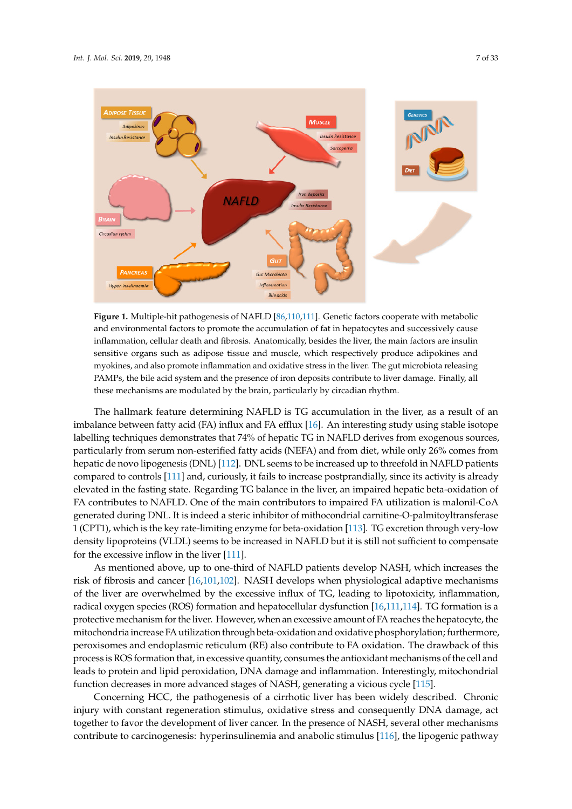<span id="page-6-0"></span>

and environmental factors to promote the accumulation of fat in hepatocytes and successively cause inflammation, cellular death and fibrosis. Anatomically, besides the liver, the main factors are insulin sensitive organs such as adipose tissue and muscle, which respectively produce adipokines and myokines, and also promote inflammation and oxidative stress in the liver. The gut microbiota releasing PAMPs, the bile acid system and the presence of iron deposits contribute to liver damage. Finally, all these mechanisms are modulated by the brain, particularly by circadian rhythm. Finally, all these mechanisms are modulated by the brain, particularly by circadian rhythm. **Figure 1.** Multiple-hit pathogenesis of NAFLD [\[86,](#page-21-14)[110,](#page-23-5)[111\]](#page-23-6). Genetic factors cooperate with metabolic

imbalance between fatty acid (FA) influx and FA efflux [16]. An interesting study using stable isotope labelling techniques demonstrates that 74% of hepatic TG in NAFLD derives from exogenous sources, particularly from serum non-esterified fatty acids (NEFA) and from diet, while only 26% comes from hepatic de novo lipogenesis (DNL) [112]. DNL seems to be increased up to threefold in NAFLD patients compared to controls [111] and, curiously, it fails to increase postprandially, since its activity is already elevated in the fasting state. Regarding TG balance in the liver, an impaired hepatic beta-oxidation of FA contributes to NAFLD. One of the main contributors to impaired FA utilization is malonil-CoA generated during DNL. It is indeed a steric inhibitor of mithocondrial carnitine-O-palmitoyltransferase 1 (CPT1), which is the key rate-limiting enzyme for beta-oxidation [113]. TG excretion through very-low density lipoproteins (VLDL) seems to be increased in NAFLD but it is still not sufficient to compensate for the excessive inflow in the liver  $[111]$ . The hallmark feature determining NAFLD is TG accumulation in the liver, as a result of an

As mentioned above, up to one-third of NAFLD patients develop NASH, which increases the risk of fibrosis and cancer [16,101,102]. NASH develops when physiological adaptive mechanisms of the liver are overwhelmed by the excessive influx of TG, leading to lipotoxicity, inflammation, radical oxygen species (ROS) formation and hepatocellular dysfunction [16,111,114]. TG formation is a protective mechanism for the liver. However, when an excessive amount of FA reaches the hepatocyte, the mitochondria increase FA utilization through beta-oxidation and oxidative phosphorylation; furthermore, peroxisomes and endoplasmic reticulum (RE) also contribute to FA oxidation. The drawback of this process is ROS formation that, in excessive quantity, consumes the antioxidant mechanisms of the cell and leads to protein and lipid peroxidation, DNA damage and inflammation. Interestingly, mitochondrial function decreases in more advanced stages of NASH, generating a vicious cycle [115].

Concerning HCC, the pathogenesis of a cirrhotic liver has been widely described. Chronic injury with constant regeneration stimulus, oxidative stress and consequently DNA damage, act together to favor the development of liver cancer. In the presence of NASH, several other mechanisms contribute to carcinogenesis: hyperinsulinemia and anabolic stimulus [\[116\]](#page-23-11), the lipogenic pathway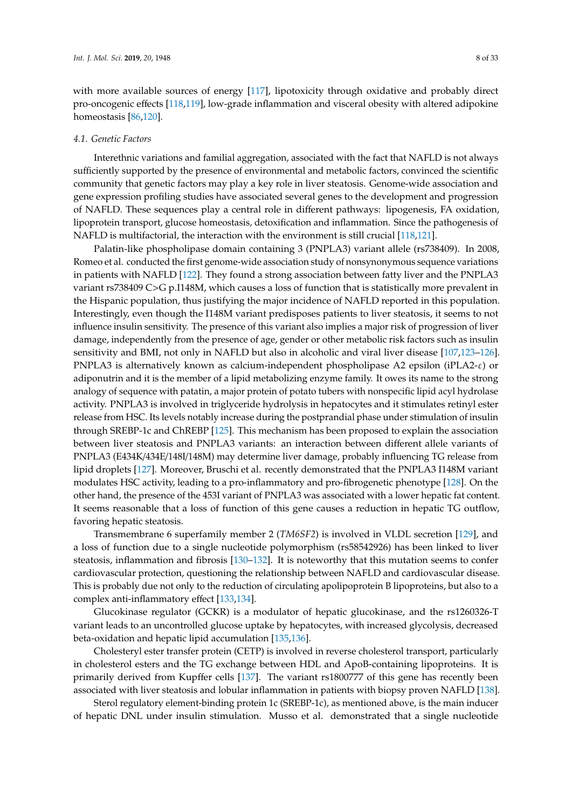with more available sources of energy [\[117\]](#page-23-12), lipotoxicity through oxidative and probably direct pro-oncogenic effects [\[118](#page-23-13)[,119\]](#page-23-14), low-grade inflammation and visceral obesity with altered adipokine homeostasis [\[86](#page-21-14)[,120\]](#page-23-15).

#### *4.1. Genetic Factors*

Interethnic variations and familial aggregation, associated with the fact that NAFLD is not always sufficiently supported by the presence of environmental and metabolic factors, convinced the scientific community that genetic factors may play a key role in liver steatosis. Genome-wide association and gene expression profiling studies have associated several genes to the development and progression of NAFLD. These sequences play a central role in different pathways: lipogenesis, FA oxidation, lipoprotein transport, glucose homeostasis, detoxification and inflammation. Since the pathogenesis of NAFLD is multifactorial, the interaction with the environment is still crucial [\[118](#page-23-13)[,121\]](#page-23-16).

Palatin-like phospholipase domain containing 3 (PNPLA3) variant allele (rs738409). In 2008, Romeo et al. conducted the first genome-wide association study of nonsynonymous sequence variations in patients with NAFLD [\[122\]](#page-23-17). They found a strong association between fatty liver and the PNPLA3 variant rs738409 C>G p.I148M, which causes a loss of function that is statistically more prevalent in the Hispanic population, thus justifying the major incidence of NAFLD reported in this population. Interestingly, even though the I148M variant predisposes patients to liver steatosis, it seems to not influence insulin sensitivity. The presence of this variant also implies a major risk of progression of liver damage, independently from the presence of age, gender or other metabolic risk factors such as insulin sensitivity and BMI, not only in NAFLD but also in alcoholic and viral liver disease [\[107,](#page-23-2)[123–](#page-23-18)[126\]](#page-24-0). PNPLA3 is alternatively known as calcium-independent phospholipase A2 epsilon (iPLA2-ε) or adiponutrin and it is the member of a lipid metabolizing enzyme family. It owes its name to the strong analogy of sequence with patatin, a major protein of potato tubers with nonspecific lipid acyl hydrolase activity. PNPLA3 is involved in triglyceride hydrolysis in hepatocytes and it stimulates retinyl ester release from HSC. Its levels notably increase during the postprandial phase under stimulation of insulin through SREBP-1c and ChREBP [\[125\]](#page-23-19). This mechanism has been proposed to explain the association between liver steatosis and PNPLA3 variants: an interaction between different allele variants of PNPLA3 (E434K/434E/148I/148M) may determine liver damage, probably influencing TG release from lipid droplets [\[127\]](#page-24-1). Moreover, Bruschi et al. recently demonstrated that the PNPLA3 I148M variant modulates HSC activity, leading to a pro-inflammatory and pro-fibrogenetic phenotype [\[128\]](#page-24-2). On the other hand, the presence of the 453I variant of PNPLA3 was associated with a lower hepatic fat content. It seems reasonable that a loss of function of this gene causes a reduction in hepatic TG outflow, favoring hepatic steatosis.

Transmembrane 6 superfamily member 2 (*TM6SF2*) is involved in VLDL secretion [\[129\]](#page-24-3), and a loss of function due to a single nucleotide polymorphism (rs58542926) has been linked to liver steatosis, inflammation and fibrosis [\[130](#page-24-4)[–132\]](#page-24-5). It is noteworthy that this mutation seems to confer cardiovascular protection, questioning the relationship between NAFLD and cardiovascular disease. This is probably due not only to the reduction of circulating apolipoprotein B lipoproteins, but also to a complex anti-inflammatory effect [\[133,](#page-24-6)[134\]](#page-24-7).

Glucokinase regulator (GCKR) is a modulator of hepatic glucokinase, and the rs1260326-T variant leads to an uncontrolled glucose uptake by hepatocytes, with increased glycolysis, decreased beta-oxidation and hepatic lipid accumulation [\[135,](#page-24-8)[136\]](#page-24-9).

Cholesteryl ester transfer protein (CETP) is involved in reverse cholesterol transport, particularly in cholesterol esters and the TG exchange between HDL and ApoB-containing lipoproteins. It is primarily derived from Kupffer cells [\[137\]](#page-24-10). The variant rs1800777 of this gene has recently been associated with liver steatosis and lobular inflammation in patients with biopsy proven NAFLD [\[138\]](#page-24-11).

Sterol regulatory element-binding protein 1c (SREBP-1c), as mentioned above, is the main inducer of hepatic DNL under insulin stimulation. Musso et al. demonstrated that a single nucleotide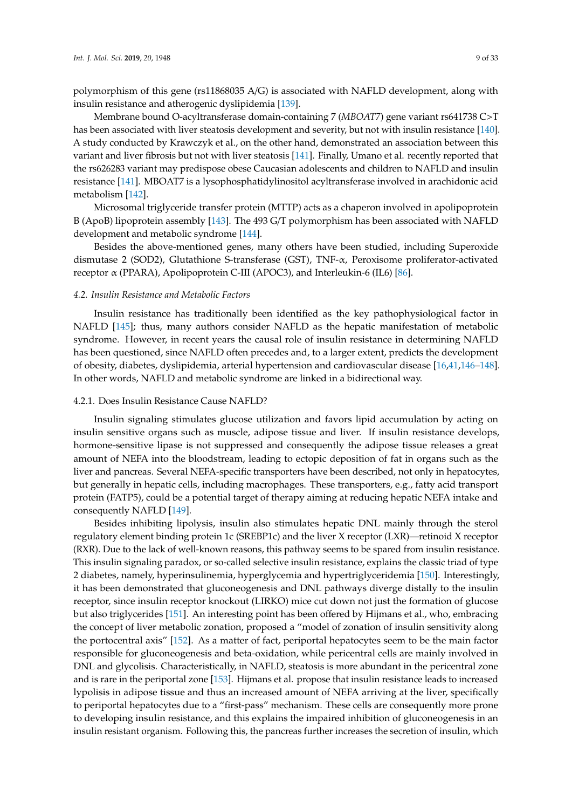polymorphism of this gene (rs11868035 A/G) is associated with NAFLD development, along with insulin resistance and atherogenic dyslipidemia [\[139\]](#page-24-12).

Membrane bound O-acyltransferase domain-containing 7 (*MBOAT7*) gene variant rs641738 C>T has been associated with liver steatosis development and severity, but not with insulin resistance [\[140\]](#page-24-13). A study conducted by Krawczyk et al., on the other hand, demonstrated an association between this variant and liver fibrosis but not with liver steatosis [\[141\]](#page-24-14). Finally, Umano et al. recently reported that the rs626283 variant may predispose obese Caucasian adolescents and children to NAFLD and insulin resistance [\[141\]](#page-24-14). MBOAT7 is a lysophosphatidylinositol acyltransferase involved in arachidonic acid metabolism [\[142\]](#page-24-15).

Microsomal triglyceride transfer protein (MTTP) acts as a chaperon involved in apolipoprotein B (ApoB) lipoprotein assembly [\[143\]](#page-24-16). The 493 G/T polymorphism has been associated with NAFLD development and metabolic syndrome [\[144\]](#page-25-0).

Besides the above-mentioned genes, many others have been studied, including Superoxide dismutase 2 (SOD2), Glutathione S-transferase (GST), TNF-α, Peroxisome proliferator-activated receptor α (PPARA), Apolipoprotein C-III (APOC3), and Interleukin-6 (IL6) [\[86\]](#page-21-14).

#### *4.2. Insulin Resistance and Metabolic Factors*

Insulin resistance has traditionally been identified as the key pathophysiological factor in NAFLD [\[145\]](#page-25-1); thus, many authors consider NAFLD as the hepatic manifestation of metabolic syndrome. However, in recent years the causal role of insulin resistance in determining NAFLD has been questioned, since NAFLD often precedes and, to a larger extent, predicts the development of obesity, diabetes, dyslipidemia, arterial hypertension and cardiovascular disease [\[16,](#page-18-6)[41,](#page-19-9)[146–](#page-25-2)[148\]](#page-25-3). In other words, NAFLD and metabolic syndrome are linked in a bidirectional way.

#### 4.2.1. Does Insulin Resistance Cause NAFLD?

Insulin signaling stimulates glucose utilization and favors lipid accumulation by acting on insulin sensitive organs such as muscle, adipose tissue and liver. If insulin resistance develops, hormone-sensitive lipase is not suppressed and consequently the adipose tissue releases a great amount of NEFA into the bloodstream, leading to ectopic deposition of fat in organs such as the liver and pancreas. Several NEFA-specific transporters have been described, not only in hepatocytes, but generally in hepatic cells, including macrophages. These transporters, e.g., fatty acid transport protein (FATP5), could be a potential target of therapy aiming at reducing hepatic NEFA intake and consequently NAFLD [\[149\]](#page-25-4).

Besides inhibiting lipolysis, insulin also stimulates hepatic DNL mainly through the sterol regulatory element binding protein 1c (SREBP1c) and the liver X receptor (LXR)—retinoid X receptor (RXR). Due to the lack of well-known reasons, this pathway seems to be spared from insulin resistance. This insulin signaling paradox, or so-called selective insulin resistance, explains the classic triad of type 2 diabetes, namely, hyperinsulinemia, hyperglycemia and hypertriglyceridemia [\[150\]](#page-25-5). Interestingly, it has been demonstrated that gluconeogenesis and DNL pathways diverge distally to the insulin receptor, since insulin receptor knockout (LIRKO) mice cut down not just the formation of glucose but also triglycerides [\[151\]](#page-25-6). An interesting point has been offered by Hijmans et al., who, embracing the concept of liver metabolic zonation, proposed a "model of zonation of insulin sensitivity along the portocentral axis" [\[152\]](#page-25-7). As a matter of fact, periportal hepatocytes seem to be the main factor responsible for gluconeogenesis and beta-oxidation, while pericentral cells are mainly involved in DNL and glycolisis. Characteristically, in NAFLD, steatosis is more abundant in the pericentral zone and is rare in the periportal zone [\[153\]](#page-25-8). Hijmans et al. propose that insulin resistance leads to increased lypolisis in adipose tissue and thus an increased amount of NEFA arriving at the liver, specifically to periportal hepatocytes due to a "first-pass" mechanism. These cells are consequently more prone to developing insulin resistance, and this explains the impaired inhibition of gluconeogenesis in an insulin resistant organism. Following this, the pancreas further increases the secretion of insulin, which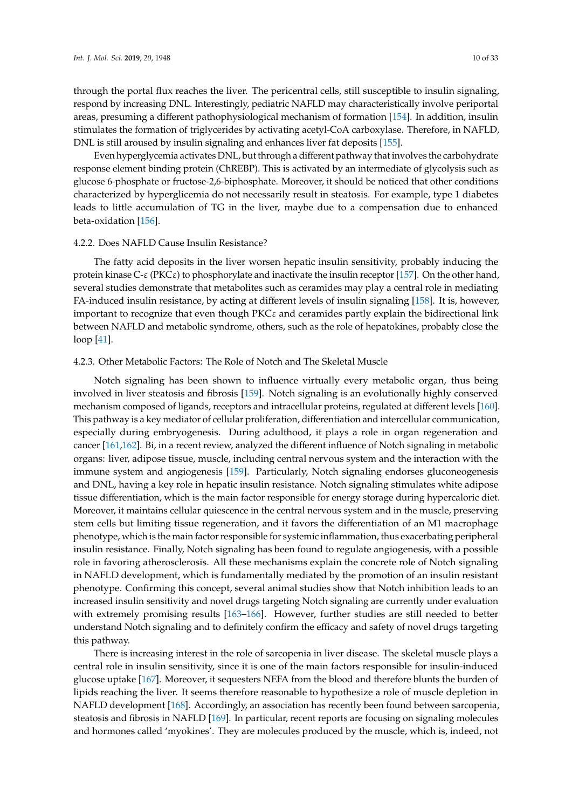through the portal flux reaches the liver. The pericentral cells, still susceptible to insulin signaling, respond by increasing DNL. Interestingly, pediatric NAFLD may characteristically involve periportal areas, presuming a different pathophysiological mechanism of formation [\[154\]](#page-25-9). In addition, insulin stimulates the formation of triglycerides by activating acetyl-CoA carboxylase. Therefore, in NAFLD, DNL is still aroused by insulin signaling and enhances liver fat deposits [\[155\]](#page-25-10).

Even hyperglycemia activates DNL, but through a different pathway that involves the carbohydrate response element binding protein (ChREBP). This is activated by an intermediate of glycolysis such as glucose 6-phosphate or fructose-2,6-biphosphate. Moreover, it should be noticed that other conditions characterized by hyperglicemia do not necessarily result in steatosis. For example, type 1 diabetes leads to little accumulation of TG in the liver, maybe due to a compensation due to enhanced beta-oxidation [\[156\]](#page-25-11).

#### 4.2.2. Does NAFLD Cause Insulin Resistance?

The fatty acid deposits in the liver worsen hepatic insulin sensitivity, probably inducing the protein kinase  $C-\varepsilon$  (PKC $\varepsilon$ ) to phosphorylate and inactivate the insulin receptor [\[157\]](#page-25-12). On the other hand, several studies demonstrate that metabolites such as ceramides may play a central role in mediating FA-induced insulin resistance, by acting at different levels of insulin signaling [\[158\]](#page-25-13). It is, however, important to recognize that even though  $PKC \varepsilon$  and ceramides partly explain the bidirectional link between NAFLD and metabolic syndrome, others, such as the role of hepatokines, probably close the loop [\[41\]](#page-19-9).

# 4.2.3. Other Metabolic Factors: The Role of Notch and The Skeletal Muscle

Notch signaling has been shown to influence virtually every metabolic organ, thus being involved in liver steatosis and fibrosis [\[159\]](#page-25-14). Notch signaling is an evolutionally highly conserved mechanism composed of ligands, receptors and intracellular proteins, regulated at different levels [\[160\]](#page-25-15). This pathway is a key mediator of cellular proliferation, differentiation and intercellular communication, especially during embryogenesis. During adulthood, it plays a role in organ regeneration and cancer [\[161](#page-25-16)[,162\]](#page-25-17). Bi, in a recent review, analyzed the different influence of Notch signaling in metabolic organs: liver, adipose tissue, muscle, including central nervous system and the interaction with the immune system and angiogenesis [\[159\]](#page-25-14). Particularly, Notch signaling endorses gluconeogenesis and DNL, having a key role in hepatic insulin resistance. Notch signaling stimulates white adipose tissue differentiation, which is the main factor responsible for energy storage during hypercaloric diet. Moreover, it maintains cellular quiescence in the central nervous system and in the muscle, preserving stem cells but limiting tissue regeneration, and it favors the differentiation of an M1 macrophage phenotype, which is the main factor responsible for systemic inflammation, thus exacerbating peripheral insulin resistance. Finally, Notch signaling has been found to regulate angiogenesis, with a possible role in favoring atherosclerosis. All these mechanisms explain the concrete role of Notch signaling in NAFLD development, which is fundamentally mediated by the promotion of an insulin resistant phenotype. Confirming this concept, several animal studies show that Notch inhibition leads to an increased insulin sensitivity and novel drugs targeting Notch signaling are currently under evaluation with extremely promising results [\[163](#page-25-18)[–166\]](#page-26-0). However, further studies are still needed to better understand Notch signaling and to definitely confirm the efficacy and safety of novel drugs targeting this pathway.

There is increasing interest in the role of sarcopenia in liver disease. The skeletal muscle plays a central role in insulin sensitivity, since it is one of the main factors responsible for insulin-induced glucose uptake [\[167\]](#page-26-1). Moreover, it sequesters NEFA from the blood and therefore blunts the burden of lipids reaching the liver. It seems therefore reasonable to hypothesize a role of muscle depletion in NAFLD development [\[168\]](#page-26-2). Accordingly, an association has recently been found between sarcopenia, steatosis and fibrosis in NAFLD [\[169\]](#page-26-3). In particular, recent reports are focusing on signaling molecules and hormones called 'myokines'. They are molecules produced by the muscle, which is, indeed, not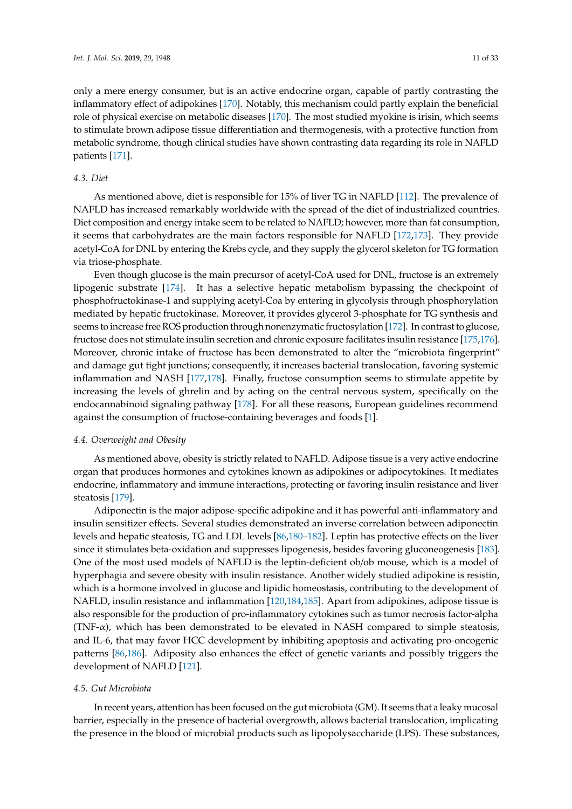only a mere energy consumer, but is an active endocrine organ, capable of partly contrasting the inflammatory effect of adipokines [\[170\]](#page-26-4). Notably, this mechanism could partly explain the beneficial role of physical exercise on metabolic diseases [\[170\]](#page-26-4). The most studied myokine is irisin, which seems to stimulate brown adipose tissue differentiation and thermogenesis, with a protective function from metabolic syndrome, though clinical studies have shown contrasting data regarding its role in NAFLD patients [\[171\]](#page-26-5).

#### *4.3. Diet*

As mentioned above, diet is responsible for 15% of liver TG in NAFLD [\[112\]](#page-23-7). The prevalence of NAFLD has increased remarkably worldwide with the spread of the diet of industrialized countries. Diet composition and energy intake seem to be related to NAFLD; however, more than fat consumption, it seems that carbohydrates are the main factors responsible for NAFLD [\[172,](#page-26-6)[173\]](#page-26-7). They provide acetyl-CoA for DNL by entering the Krebs cycle, and they supply the glycerol skeleton for TG formation via triose-phosphate.

Even though glucose is the main precursor of acetyl-CoA used for DNL, fructose is an extremely lipogenic substrate [\[174\]](#page-26-8). It has a selective hepatic metabolism bypassing the checkpoint of phosphofructokinase-1 and supplying acetyl-Coa by entering in glycolysis through phosphorylation mediated by hepatic fructokinase. Moreover, it provides glycerol 3-phosphate for TG synthesis and seems to increase free ROS production through nonenzymatic fructosylation [\[172\]](#page-26-6). In contrast to glucose, fructose does not stimulate insulin secretion and chronic exposure facilitates insulin resistance [\[175](#page-26-9)[,176\]](#page-26-10). Moreover, chronic intake of fructose has been demonstrated to alter the "microbiota fingerprint" and damage gut tight junctions; consequently, it increases bacterial translocation, favoring systemic inflammation and NASH [\[177](#page-26-11)[,178\]](#page-26-12). Finally, fructose consumption seems to stimulate appetite by increasing the levels of ghrelin and by acting on the central nervous system, specifically on the endocannabinoid signaling pathway [\[178\]](#page-26-12). For all these reasons, European guidelines recommend against the consumption of fructose-containing beverages and foods [\[1\]](#page-17-0).

#### *4.4. Overweight and Obesity*

As mentioned above, obesity is strictly related to NAFLD. Adipose tissue is a very active endocrine organ that produces hormones and cytokines known as adipokines or adipocytokines. It mediates endocrine, inflammatory and immune interactions, protecting or favoring insulin resistance and liver steatosis [\[179\]](#page-26-13).

Adiponectin is the major adipose-specific adipokine and it has powerful anti-inflammatory and insulin sensitizer effects. Several studies demonstrated an inverse correlation between adiponectin levels and hepatic steatosis, TG and LDL levels [\[86](#page-21-14)[,180](#page-26-14)[–182\]](#page-26-15). Leptin has protective effects on the liver since it stimulates beta-oxidation and suppresses lipogenesis, besides favoring gluconeogenesis [\[183\]](#page-26-16). One of the most used models of NAFLD is the leptin-deficient ob/ob mouse, which is a model of hyperphagia and severe obesity with insulin resistance. Another widely studied adipokine is resistin, which is a hormone involved in glucose and lipidic homeostasis, contributing to the development of NAFLD, insulin resistance and inflammation [\[120,](#page-23-15)[184,](#page-26-17)[185\]](#page-26-18). Apart from adipokines, adipose tissue is also responsible for the production of pro-inflammatory cytokines such as tumor necrosis factor-alpha (TNF- $\alpha$ ), which has been demonstrated to be elevated in NASH compared to simple steatosis, and IL-6, that may favor HCC development by inhibiting apoptosis and activating pro-oncogenic patterns [\[86](#page-21-14)[,186\]](#page-27-0). Adiposity also enhances the effect of genetic variants and possibly triggers the development of NAFLD [\[121\]](#page-23-16).

#### *4.5. Gut Microbiota*

In recent years, attention has been focused on the gut microbiota (GM). It seems that a leaky mucosal barrier, especially in the presence of bacterial overgrowth, allows bacterial translocation, implicating the presence in the blood of microbial products such as lipopolysaccharide (LPS). These substances,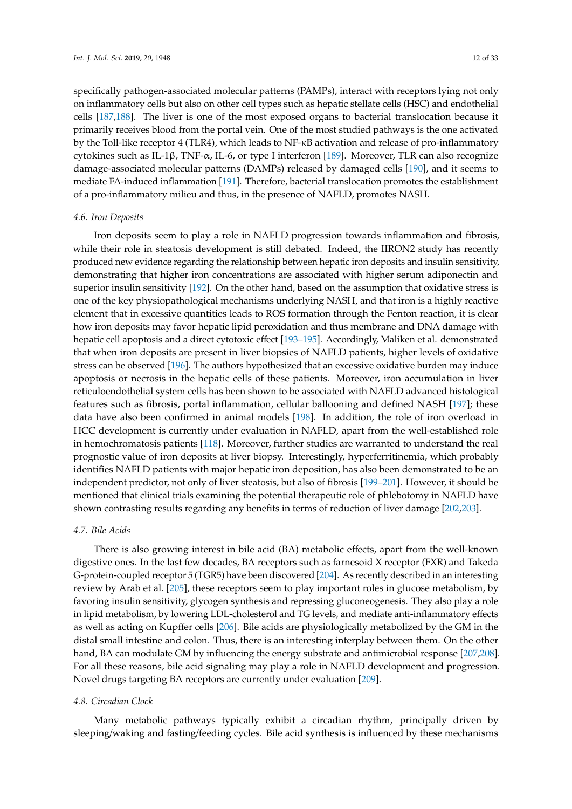specifically pathogen-associated molecular patterns (PAMPs), interact with receptors lying not only on inflammatory cells but also on other cell types such as hepatic stellate cells (HSC) and endothelial cells [\[187,](#page-27-1)[188\]](#page-27-2). The liver is one of the most exposed organs to bacterial translocation because it primarily receives blood from the portal vein. One of the most studied pathways is the one activated by the Toll-like receptor 4 (TLR4), which leads to NF-κB activation and release of pro-inflammatory cytokines such as IL-1β, TNF-α, IL-6, or type I interferon [\[189\]](#page-27-3). Moreover, TLR can also recognize damage-associated molecular patterns (DAMPs) released by damaged cells [\[190\]](#page-27-4), and it seems to mediate FA-induced inflammation [\[191\]](#page-27-5). Therefore, bacterial translocation promotes the establishment of a pro-inflammatory milieu and thus, in the presence of NAFLD, promotes NASH.

#### *4.6. Iron Deposits*

Iron deposits seem to play a role in NAFLD progression towards inflammation and fibrosis, while their role in steatosis development is still debated. Indeed, the IIRON2 study has recently produced new evidence regarding the relationship between hepatic iron deposits and insulin sensitivity, demonstrating that higher iron concentrations are associated with higher serum adiponectin and superior insulin sensitivity [\[192\]](#page-27-6). On the other hand, based on the assumption that oxidative stress is one of the key physiopathological mechanisms underlying NASH, and that iron is a highly reactive element that in excessive quantities leads to ROS formation through the Fenton reaction, it is clear how iron deposits may favor hepatic lipid peroxidation and thus membrane and DNA damage with hepatic cell apoptosis and a direct cytotoxic effect [\[193](#page-27-7)[–195\]](#page-27-8). Accordingly, Maliken et al. demonstrated that when iron deposits are present in liver biopsies of NAFLD patients, higher levels of oxidative stress can be observed [\[196\]](#page-27-9). The authors hypothesized that an excessive oxidative burden may induce apoptosis or necrosis in the hepatic cells of these patients. Moreover, iron accumulation in liver reticuloendothelial system cells has been shown to be associated with NAFLD advanced histological features such as fibrosis, portal inflammation, cellular ballooning and defined NASH [\[197\]](#page-27-10); these data have also been confirmed in animal models [\[198\]](#page-27-11). In addition, the role of iron overload in HCC development is currently under evaluation in NAFLD, apart from the well-established role in hemochromatosis patients [\[118\]](#page-23-13). Moreover, further studies are warranted to understand the real prognostic value of iron deposits at liver biopsy. Interestingly, hyperferritinemia, which probably identifies NAFLD patients with major hepatic iron deposition, has also been demonstrated to be an independent predictor, not only of liver steatosis, but also of fibrosis [\[199](#page-27-12)[–201\]](#page-27-13). However, it should be mentioned that clinical trials examining the potential therapeutic role of phlebotomy in NAFLD have shown contrasting results regarding any benefits in terms of reduction of liver damage [\[202,](#page-27-14)[203\]](#page-27-15).

#### *4.7. Bile Acids*

There is also growing interest in bile acid (BA) metabolic effects, apart from the well-known digestive ones. In the last few decades, BA receptors such as farnesoid X receptor (FXR) and Takeda G-protein-coupled receptor 5 (TGR5) have been discovered [\[204\]](#page-27-16). As recently described in an interesting review by Arab et al. [\[205\]](#page-28-0), these receptors seem to play important roles in glucose metabolism, by favoring insulin sensitivity, glycogen synthesis and repressing gluconeogenesis. They also play a role in lipid metabolism, by lowering LDL-cholesterol and TG levels, and mediate anti-inflammatory effects as well as acting on Kupffer cells [\[206\]](#page-28-1). Bile acids are physiologically metabolized by the GM in the distal small intestine and colon. Thus, there is an interesting interplay between them. On the other hand, BA can modulate GM by influencing the energy substrate and antimicrobial response [\[207](#page-28-2)[,208\]](#page-28-3). For all these reasons, bile acid signaling may play a role in NAFLD development and progression. Novel drugs targeting BA receptors are currently under evaluation [\[209\]](#page-28-4).

#### *4.8. Circadian Clock*

Many metabolic pathways typically exhibit a circadian rhythm, principally driven by sleeping/waking and fasting/feeding cycles. Bile acid synthesis is influenced by these mechanisms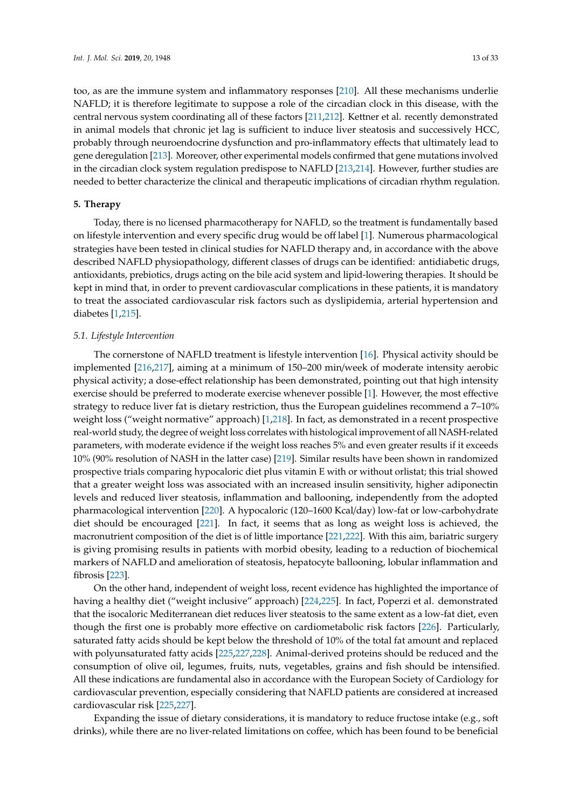too, as are the immune system and inflammatory responses [\[210\]](#page-28-5). All these mechanisms underlie NAFLD; it is therefore legitimate to suppose a role of the circadian clock in this disease, with the central nervous system coordinating all of these factors [\[211,](#page-28-6)[212\]](#page-28-7). Kettner et al. recently demonstrated in animal models that chronic jet lag is sufficient to induce liver steatosis and successively HCC, probably through neuroendocrine dysfunction and pro-inflammatory effects that ultimately lead to gene deregulation [\[213\]](#page-28-8). Moreover, other experimental models confirmed that gene mutations involved in the circadian clock system regulation predispose to NAFLD [\[213](#page-28-8)[,214\]](#page-28-9). However, further studies are needed to better characterize the clinical and therapeutic implications of circadian rhythm regulation.

# **5. Therapy**

Today, there is no licensed pharmacotherapy for NAFLD, so the treatment is fundamentally based on lifestyle intervention and every specific drug would be off label [\[1\]](#page-17-0). Numerous pharmacological strategies have been tested in clinical studies for NAFLD therapy and, in accordance with the above described NAFLD physiopathology, different classes of drugs can be identified: antidiabetic drugs, antioxidants, prebiotics, drugs acting on the bile acid system and lipid-lowering therapies. It should be kept in mind that, in order to prevent cardiovascular complications in these patients, it is mandatory to treat the associated cardiovascular risk factors such as dyslipidemia, arterial hypertension and diabetes [\[1](#page-17-0)[,215\]](#page-28-10).

#### *5.1. Lifestyle Intervention*

The cornerstone of NAFLD treatment is lifestyle intervention [\[16\]](#page-18-6). Physical activity should be implemented [\[216,](#page-28-11)[217\]](#page-28-12), aiming at a minimum of 150–200 min/week of moderate intensity aerobic physical activity; a dose-effect relationship has been demonstrated, pointing out that high intensity exercise should be preferred to moderate exercise whenever possible [\[1\]](#page-17-0). However, the most effective strategy to reduce liver fat is dietary restriction, thus the European guidelines recommend a 7–10% weight loss ("weight normative" approach) [\[1](#page-17-0)[,218\]](#page-28-13). In fact, as demonstrated in a recent prospective real-world study, the degree of weight loss correlates with histological improvement of all NASH-related parameters, with moderate evidence if the weight loss reaches 5% and even greater results if it exceeds 10% (90% resolution of NASH in the latter case) [\[219\]](#page-28-14). Similar results have been shown in randomized prospective trials comparing hypocaloric diet plus vitamin E with or without orlistat; this trial showed that a greater weight loss was associated with an increased insulin sensitivity, higher adiponectin levels and reduced liver steatosis, inflammation and ballooning, independently from the adopted pharmacological intervention [\[220\]](#page-28-15). A hypocaloric (120–1600 Kcal/day) low-fat or low-carbohydrate diet should be encouraged [\[221\]](#page-28-16). In fact, it seems that as long as weight loss is achieved, the macronutrient composition of the diet is of little importance [\[221,](#page-28-16)[222\]](#page-28-17). With this aim, bariatric surgery is giving promising results in patients with morbid obesity, leading to a reduction of biochemical markers of NAFLD and amelioration of steatosis, hepatocyte ballooning, lobular inflammation and fibrosis [\[223\]](#page-28-18).

On the other hand, independent of weight loss, recent evidence has highlighted the importance of having a healthy diet ("weight inclusive" approach) [\[224](#page-28-19)[,225\]](#page-28-20). In fact, Poperzi et al. demonstrated that the isocaloric Mediterranean diet reduces liver steatosis to the same extent as a low-fat diet, even though the first one is probably more effective on cardiometabolic risk factors [\[226\]](#page-28-21). Particularly, saturated fatty acids should be kept below the threshold of 10% of the total fat amount and replaced with polyunsaturated fatty acids [\[225,](#page-28-20)[227,](#page-29-0)[228\]](#page-29-1). Animal-derived proteins should be reduced and the consumption of olive oil, legumes, fruits, nuts, vegetables, grains and fish should be intensified. All these indications are fundamental also in accordance with the European Society of Cardiology for cardiovascular prevention, especially considering that NAFLD patients are considered at increased cardiovascular risk [\[225,](#page-28-20)[227\]](#page-29-0).

Expanding the issue of dietary considerations, it is mandatory to reduce fructose intake (e.g., soft drinks), while there are no liver-related limitations on coffee, which has been found to be beneficial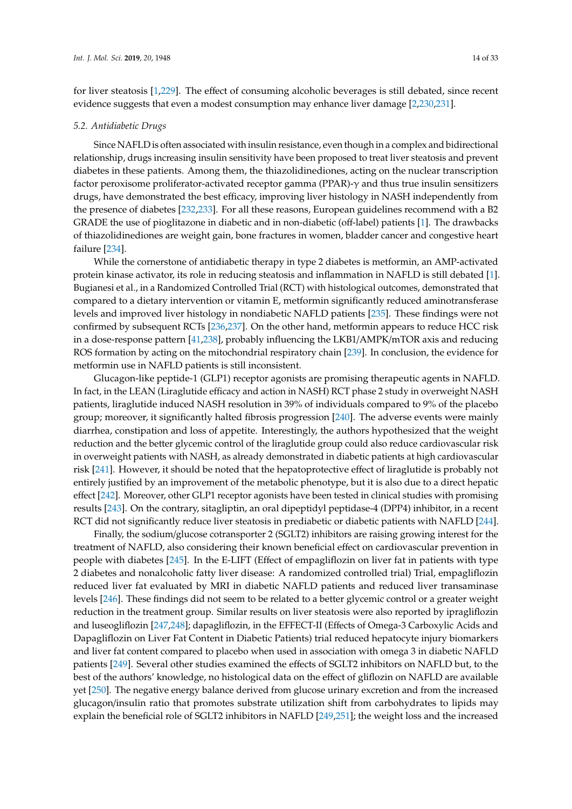for liver steatosis [\[1,](#page-17-0)[229\]](#page-29-2). The effect of consuming alcoholic beverages is still debated, since recent evidence suggests that even a modest consumption may enhance liver damage [\[2](#page-17-1)[,230](#page-29-3)[,231\]](#page-29-4).

#### *5.2. Antidiabetic Drugs*

Since NAFLD is often associated with insulin resistance, even though in a complex and bidirectional relationship, drugs increasing insulin sensitivity have been proposed to treat liver steatosis and prevent diabetes in these patients. Among them, the thiazolidinediones, acting on the nuclear transcription factor peroxisome proliferator-activated receptor gamma (PPAR)-γ and thus true insulin sensitizers drugs, have demonstrated the best efficacy, improving liver histology in NASH independently from the presence of diabetes [\[232](#page-29-5)[,233\]](#page-29-6). For all these reasons, European guidelines recommend with a B2 GRADE the use of pioglitazone in diabetic and in non-diabetic (off-label) patients [\[1\]](#page-17-0). The drawbacks of thiazolidinediones are weight gain, bone fractures in women, bladder cancer and congestive heart failure [\[234\]](#page-29-7).

While the cornerstone of antidiabetic therapy in type 2 diabetes is metformin, an AMP-activated protein kinase activator, its role in reducing steatosis and inflammation in NAFLD is still debated [\[1\]](#page-17-0). Bugianesi et al., in a Randomized Controlled Trial (RCT) with histological outcomes, demonstrated that compared to a dietary intervention or vitamin E, metformin significantly reduced aminotransferase levels and improved liver histology in nondiabetic NAFLD patients [\[235\]](#page-29-8). These findings were not confirmed by subsequent RCTs [\[236](#page-29-9)[,237\]](#page-29-10). On the other hand, metformin appears to reduce HCC risk in a dose-response pattern [\[41,](#page-19-9)[238\]](#page-29-11), probably influencing the LKB1/AMPK/mTOR axis and reducing ROS formation by acting on the mitochondrial respiratory chain [\[239\]](#page-29-12). In conclusion, the evidence for metformin use in NAFLD patients is still inconsistent.

Glucagon-like peptide-1 (GLP1) receptor agonists are promising therapeutic agents in NAFLD. In fact, in the LEAN (Liraglutide efficacy and action in NASH) RCT phase 2 study in overweight NASH patients, liraglutide induced NASH resolution in 39% of individuals compared to 9% of the placebo group; moreover, it significantly halted fibrosis progression [\[240\]](#page-29-13). The adverse events were mainly diarrhea, constipation and loss of appetite. Interestingly, the authors hypothesized that the weight reduction and the better glycemic control of the liraglutide group could also reduce cardiovascular risk in overweight patients with NASH, as already demonstrated in diabetic patients at high cardiovascular risk [\[241\]](#page-29-14). However, it should be noted that the hepatoprotective effect of liraglutide is probably not entirely justified by an improvement of the metabolic phenotype, but it is also due to a direct hepatic effect [\[242\]](#page-29-15). Moreover, other GLP1 receptor agonists have been tested in clinical studies with promising results [\[243\]](#page-29-16). On the contrary, sitagliptin, an oral dipeptidyl peptidase-4 (DPP4) inhibitor, in a recent RCT did not significantly reduce liver steatosis in prediabetic or diabetic patients with NAFLD [\[244\]](#page-29-17).

Finally, the sodium/glucose cotransporter 2 (SGLT2) inhibitors are raising growing interest for the treatment of NAFLD, also considering their known beneficial effect on cardiovascular prevention in people with diabetes [\[245\]](#page-29-18). In the E-LIFT (Effect of empagliflozin on liver fat in patients with type 2 diabetes and nonalcoholic fatty liver disease: A randomized controlled trial) Trial, empagliflozin reduced liver fat evaluated by MRI in diabetic NAFLD patients and reduced liver transaminase levels [\[246\]](#page-30-0). These findings did not seem to be related to a better glycemic control or a greater weight reduction in the treatment group. Similar results on liver steatosis were also reported by ipragliflozin and luseogliflozin [\[247,](#page-30-1)[248\]](#page-30-2); dapagliflozin, in the EFFECT-II (Effects of Omega-3 Carboxylic Acids and Dapagliflozin on Liver Fat Content in Diabetic Patients) trial reduced hepatocyte injury biomarkers and liver fat content compared to placebo when used in association with omega 3 in diabetic NAFLD patients [\[249\]](#page-30-3). Several other studies examined the effects of SGLT2 inhibitors on NAFLD but, to the best of the authors' knowledge, no histological data on the effect of gliflozin on NAFLD are available yet [\[250\]](#page-30-4). The negative energy balance derived from glucose urinary excretion and from the increased glucagon/insulin ratio that promotes substrate utilization shift from carbohydrates to lipids may explain the beneficial role of SGLT2 inhibitors in NAFLD [\[249,](#page-30-3)[251\]](#page-30-5); the weight loss and the increased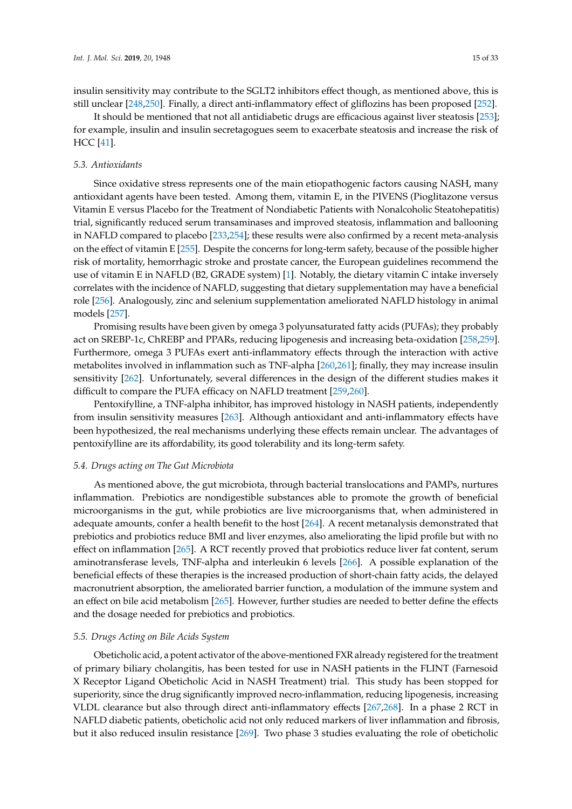insulin sensitivity may contribute to the SGLT2 inhibitors effect though, as mentioned above, this is still unclear [\[248](#page-30-2)[,250\]](#page-30-4). Finally, a direct anti-inflammatory effect of gliflozins has been proposed [\[252\]](#page-30-6).

It should be mentioned that not all antidiabetic drugs are efficacious against liver steatosis [\[253\]](#page-30-7); for example, insulin and insulin secretagogues seem to exacerbate steatosis and increase the risk of HCC [\[41\]](#page-19-9).

#### *5.3. Antioxidants*

Since oxidative stress represents one of the main etiopathogenic factors causing NASH, many antioxidant agents have been tested. Among them, vitamin E, in the PIVENS (Pioglitazone versus Vitamin E versus Placebo for the Treatment of Nondiabetic Patients with Nonalcoholic Steatohepatitis) trial, significantly reduced serum transaminases and improved steatosis, inflammation and ballooning in NAFLD compared to placebo [\[233](#page-29-6)[,254\]](#page-30-8); these results were also confirmed by a recent meta-analysis on the effect of vitamin E [\[255\]](#page-30-9). Despite the concerns for long-term safety, because of the possible higher risk of mortality, hemorrhagic stroke and prostate cancer, the European guidelines recommend the use of vitamin E in NAFLD (B2, GRADE system) [\[1\]](#page-17-0). Notably, the dietary vitamin C intake inversely correlates with the incidence of NAFLD, suggesting that dietary supplementation may have a beneficial role [\[256\]](#page-30-10). Analogously, zinc and selenium supplementation ameliorated NAFLD histology in animal models [\[257\]](#page-30-11).

Promising results have been given by omega 3 polyunsaturated fatty acids (PUFAs); they probably act on SREBP-1c, ChREBP and PPARs, reducing lipogenesis and increasing beta-oxidation [\[258,](#page-30-12)[259\]](#page-30-13). Furthermore, omega 3 PUFAs exert anti-inflammatory effects through the interaction with active metabolites involved in inflammation such as TNF-alpha [\[260](#page-30-14)[,261\]](#page-30-15); finally, they may increase insulin sensitivity [\[262\]](#page-30-16). Unfortunately, several differences in the design of the different studies makes it difficult to compare the PUFA efficacy on NAFLD treatment [\[259](#page-30-13)[,260\]](#page-30-14).

Pentoxifylline, a TNF-alpha inhibitor, has improved histology in NASH patients, independently from insulin sensitivity measures [\[263\]](#page-30-17). Although antioxidant and anti-inflammatory effects have been hypothesized, the real mechanisms underlying these effects remain unclear. The advantages of pentoxifylline are its affordability, its good tolerability and its long-term safety.

#### *5.4. Drugs acting on The Gut Microbiota*

As mentioned above, the gut microbiota, through bacterial translocations and PAMPs, nurtures inflammation. Prebiotics are nondigestible substances able to promote the growth of beneficial microorganisms in the gut, while probiotics are live microorganisms that, when administered in adequate amounts, confer a health benefit to the host [\[264\]](#page-30-18). A recent metanalysis demonstrated that prebiotics and probiotics reduce BMI and liver enzymes, also ameliorating the lipid profile but with no effect on inflammation [\[265\]](#page-31-0). A RCT recently proved that probiotics reduce liver fat content, serum aminotransferase levels, TNF-alpha and interleukin 6 levels [\[266\]](#page-31-1). A possible explanation of the beneficial effects of these therapies is the increased production of short-chain fatty acids, the delayed macronutrient absorption, the ameliorated barrier function, a modulation of the immune system and an effect on bile acid metabolism [\[265\]](#page-31-0). However, further studies are needed to better define the effects and the dosage needed for prebiotics and probiotics.

# *5.5. Drugs Acting on Bile Acids System*

Obeticholic acid, a potent activator of the above-mentioned FXR already registered for the treatment of primary biliary cholangitis, has been tested for use in NASH patients in the FLINT (Farnesoid X Receptor Ligand Obeticholic Acid in NASH Treatment) trial. This study has been stopped for superiority, since the drug significantly improved necro-inflammation, reducing lipogenesis, increasing VLDL clearance but also through direct anti-inflammatory effects [\[267](#page-31-2)[,268\]](#page-31-3). In a phase 2 RCT in NAFLD diabetic patients, obeticholic acid not only reduced markers of liver inflammation and fibrosis, but it also reduced insulin resistance [\[269\]](#page-31-4). Two phase 3 studies evaluating the role of obeticholic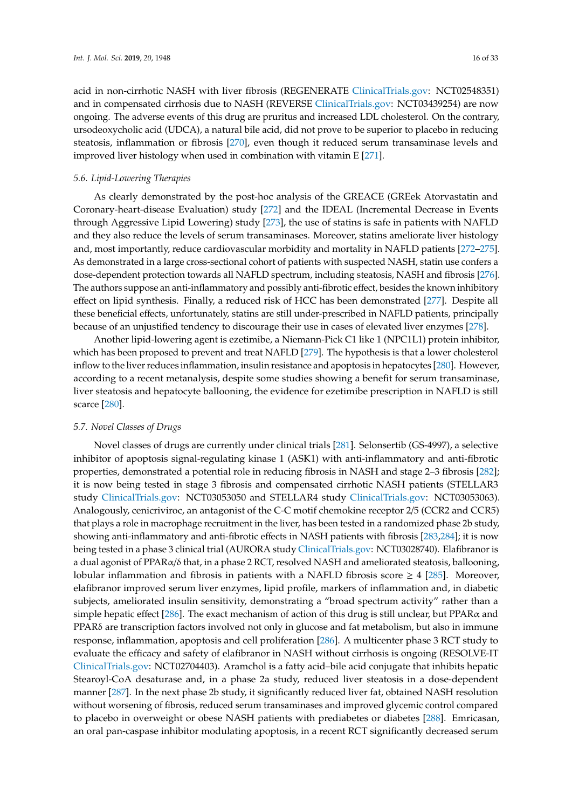acid in non-cirrhotic NASH with liver fibrosis (REGENERATE [ClinicalTrials.gov:](ClinicalTrials.gov) NCT02548351) and in compensated cirrhosis due to NASH (REVERSE [ClinicalTrials.gov:](ClinicalTrials.gov) NCT03439254) are now ongoing. The adverse events of this drug are pruritus and increased LDL cholesterol. On the contrary, ursodeoxycholic acid (UDCA), a natural bile acid, did not prove to be superior to placebo in reducing steatosis, inflammation or fibrosis [\[270\]](#page-31-5), even though it reduced serum transaminase levels and improved liver histology when used in combination with vitamin E [\[271\]](#page-31-6).

# *5.6. Lipid-Lowering Therapies*

As clearly demonstrated by the post-hoc analysis of the GREACE (GREek Atorvastatin and Coronary-heart-disease Evaluation) study [\[272\]](#page-31-7) and the IDEAL (Incremental Decrease in Events through Aggressive Lipid Lowering) study [\[273\]](#page-31-8), the use of statins is safe in patients with NAFLD and they also reduce the levels of serum transaminases. Moreover, statins ameliorate liver histology and, most importantly, reduce cardiovascular morbidity and mortality in NAFLD patients [\[272–](#page-31-7)[275\]](#page-31-9). As demonstrated in a large cross-sectional cohort of patients with suspected NASH, statin use confers a dose-dependent protection towards all NAFLD spectrum, including steatosis, NASH and fibrosis [\[276\]](#page-31-10). The authors suppose an anti-inflammatory and possibly anti-fibrotic effect, besides the known inhibitory effect on lipid synthesis. Finally, a reduced risk of HCC has been demonstrated [\[277\]](#page-31-11). Despite all these beneficial effects, unfortunately, statins are still under-prescribed in NAFLD patients, principally because of an unjustified tendency to discourage their use in cases of elevated liver enzymes [\[278\]](#page-31-12).

Another lipid-lowering agent is ezetimibe, a Niemann-Pick C1 like 1 (NPC1L1) protein inhibitor, which has been proposed to prevent and treat NAFLD [\[279\]](#page-31-13). The hypothesis is that a lower cholesterol inflow to the liver reduces inflammation, insulin resistance and apoptosis in hepatocytes [\[280\]](#page-31-14). However, according to a recent metanalysis, despite some studies showing a benefit for serum transaminase, liver steatosis and hepatocyte ballooning, the evidence for ezetimibe prescription in NAFLD is still scarce [\[280\]](#page-31-14).

#### *5.7. Novel Classes of Drugs*

Novel classes of drugs are currently under clinical trials [\[281\]](#page-31-15). Selonsertib (GS-4997), a selective inhibitor of apoptosis signal-regulating kinase 1 (ASK1) with anti-inflammatory and anti-fibrotic properties, demonstrated a potential role in reducing fibrosis in NASH and stage 2–3 fibrosis [\[282\]](#page-31-16); it is now being tested in stage 3 fibrosis and compensated cirrhotic NASH patients (STELLAR3 study [ClinicalTrials.gov:](ClinicalTrials.gov) NCT03053050 and STELLAR4 study [ClinicalTrials.gov:](ClinicalTrials.gov) NCT03053063). Analogously, cenicriviroc, an antagonist of the C-C motif chemokine receptor 2/5 (CCR2 and CCR5) that plays a role in macrophage recruitment in the liver, has been tested in a randomized phase 2b study, showing anti-inflammatory and anti-fibrotic effects in NASH patients with fibrosis [\[283,](#page-32-0)[284\]](#page-32-1); it is now being tested in a phase 3 clinical trial (AURORA study [ClinicalTrials.gov:](ClinicalTrials.gov) NCT03028740). Elafibranor is a dual agonist of PPARα/δ that, in a phase 2 RCT, resolved NASH and ameliorated steatosis, ballooning, lobular inflammation and fibrosis in patients with a NAFLD fibrosis score  $\geq 4$  [\[285\]](#page-32-2). Moreover, elafibranor improved serum liver enzymes, lipid profile, markers of inflammation and, in diabetic subjects, ameliorated insulin sensitivity, demonstrating a "broad spectrum activity" rather than a simple hepatic effect [\[286\]](#page-32-3). The exact mechanism of action of this drug is still unclear, but PPAR $\alpha$  and PPARδ are transcription factors involved not only in glucose and fat metabolism, but also in immune response, inflammation, apoptosis and cell proliferation [\[286\]](#page-32-3). A multicenter phase 3 RCT study to evaluate the efficacy and safety of elafibranor in NASH without cirrhosis is ongoing (RESOLVE-IT [ClinicalTrials.gov:](ClinicalTrials.gov) NCT02704403). Aramchol is a fatty acid–bile acid conjugate that inhibits hepatic Stearoyl-CoA desaturase and, in a phase 2a study, reduced liver steatosis in a dose-dependent manner [\[287\]](#page-32-4). In the next phase 2b study, it significantly reduced liver fat, obtained NASH resolution without worsening of fibrosis, reduced serum transaminases and improved glycemic control compared to placebo in overweight or obese NASH patients with prediabetes or diabetes [\[288\]](#page-32-5). Emricasan, an oral pan-caspase inhibitor modulating apoptosis, in a recent RCT significantly decreased serum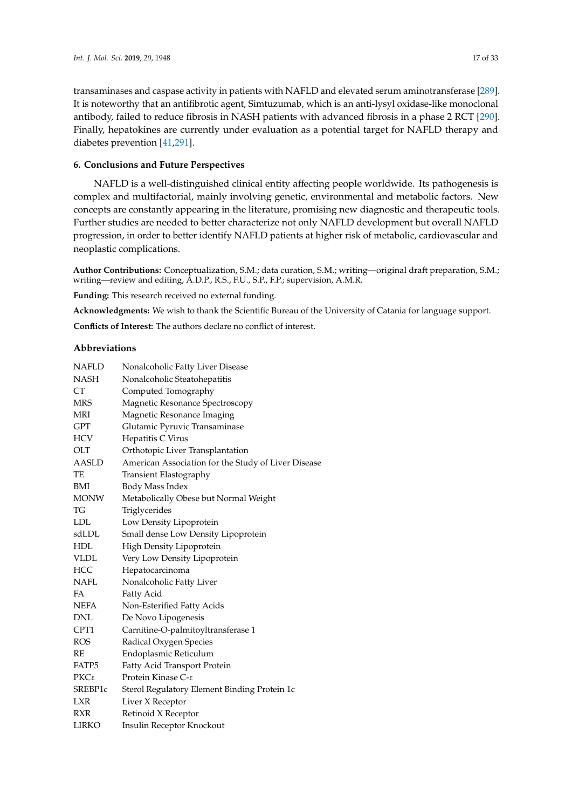transaminases and caspase activity in patients with NAFLD and elevated serum aminotransferase [\[289\]](#page-32-6). It is noteworthy that an antifibrotic agent, Simtuzumab, which is an anti-lysyl oxidase-like monoclonal antibody, failed to reduce fibrosis in NASH patients with advanced fibrosis in a phase 2 RCT [\[290\]](#page-32-7). Finally, hepatokines are currently under evaluation as a potential target for NAFLD therapy and diabetes prevention [\[41](#page-19-9)[,291\]](#page-32-8).

#### **6. Conclusions and Future Perspectives**

NAFLD is a well-distinguished clinical entity affecting people worldwide. Its pathogenesis is complex and multifactorial, mainly involving genetic, environmental and metabolic factors. New concepts are constantly appearing in the literature, promising new diagnostic and therapeutic tools. Further studies are needed to better characterize not only NAFLD development but overall NAFLD progression, in order to better identify NAFLD patients at higher risk of metabolic, cardiovascular and neoplastic complications.

**Author Contributions:** Conceptualization, S.M.; data curation, S.M.; writing—original draft preparation, S.M.; writing—review and editing, A.D.P., R.S., F.U., S.P., F.P.; supervision, A.M.R.

**Funding:** This research received no external funding.

**Acknowledgments:** We wish to thank the Scientific Bureau of the University of Catania for language support.

**Conflicts of Interest:** The authors declare no conflict of interest.

# **Abbreviations**

| NAFLD         | Nonalcoholic Fatty Liver Disease                    |
|---------------|-----------------------------------------------------|
| <b>NASH</b>   | Nonalcoholic Steatohepatitis                        |
| <b>CT</b>     | Computed Tomography                                 |
| <b>MRS</b>    | Magnetic Resonance Spectroscopy                     |
| MRI           | Magnetic Resonance Imaging                          |
| GPT           | Glutamic Pyruvic Transaminase                       |
| HCV           | Hepatitis C Virus                                   |
| OLT           | Orthotopic Liver Transplantation                    |
| AASLD         | American Association for the Study of Liver Disease |
| TE            | Transient Elastography                              |
| BMI           | Body Mass Index                                     |
| <b>MONW</b>   | Metabolically Obese but Normal Weight               |
| TG            | Triglycerides                                       |
| <b>LDL</b>    | Low Density Lipoprotein                             |
| sdLDL         | Small dense Low Density Lipoprotein                 |
| HDL           | High Density Lipoprotein                            |
| <b>VLDL</b>   | Very Low Density Lipoprotein                        |
| HCC           | Hepatocarcinoma                                     |
| NAFL          | Nonalcoholic Fatty Liver                            |
| FA            | Fatty Acid                                          |
| NEFA          | Non-Esterified Fatty Acids                          |
| <b>DNL</b>    | De Novo Lipogenesis                                 |
| CPT1          | Carnitine-O-palmitoyltransferase 1                  |
| <b>ROS</b>    | Radical Oxygen Species                              |
| RE            | Endoplasmic Reticulum                               |
| FATP5         | Fatty Acid Transport Protein                        |
| $PKC\epsilon$ | Protein Kinase $C$ - $\varepsilon$                  |
| SREBP1c       | Sterol Regulatory Element Binding Protein 1c        |
| <b>LXR</b>    | Liver X Receptor                                    |
| RXR           | Retinoid X Receptor                                 |
| <b>LIRKO</b>  | Insulin Receptor Knockout                           |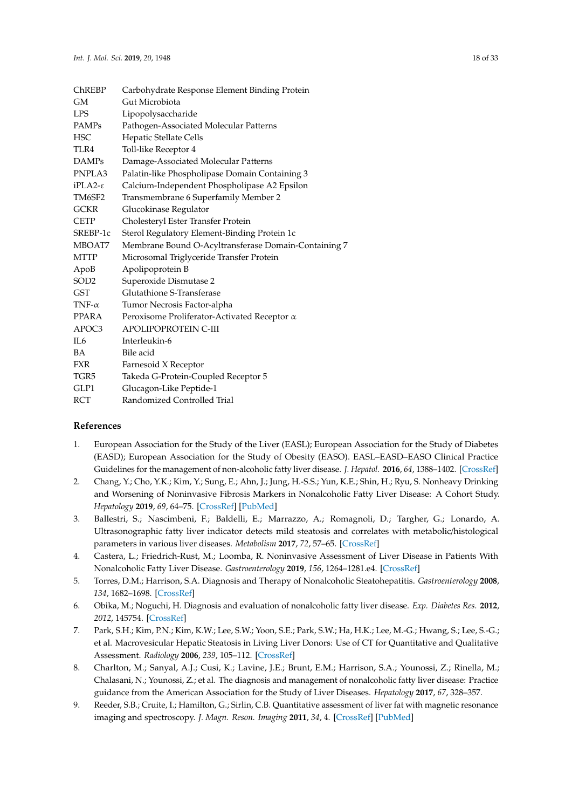| <b>ChREBP</b>    | Carbohydrate Response Element Binding Protein        |
|------------------|------------------------------------------------------|
| GМ               | Gut Microbiota                                       |
| <b>LPS</b>       | Lipopolysaccharide                                   |
| PAMPs            | Pathogen-Associated Molecular Patterns               |
| <b>HSC</b>       | Hepatic Stellate Cells                               |
| TLR4             | Toll-like Receptor 4                                 |
| <b>DAMPs</b>     | Damage-Associated Molecular Patterns                 |
| PNPLA3           | Palatin-like Phospholipase Domain Containing 3       |
| $iPLA2-\epsilon$ | Calcium-Independent Phospholipase A2 Epsilon         |
| TM6SF2           | Transmembrane 6 Superfamily Member 2                 |
| <b>GCKR</b>      | Glucokinase Regulator                                |
| <b>CETP</b>      | Cholesteryl Ester Transfer Protein                   |
| SREBP-1c         | Sterol Regulatory Element-Binding Protein 1c         |
| MBOAT7           | Membrane Bound O-Acyltransferase Domain-Containing 7 |
| <b>MTTP</b>      | Microsomal Triglyceride Transfer Protein             |
| ApoB             | Apolipoprotein B                                     |
| SOD <sub>2</sub> | Superoxide Dismutase 2                               |
| <b>GST</b>       | Glutathione S-Transferase                            |
| TNF- $\alpha$    | Tumor Necrosis Factor-alpha                          |
| PPARA            | Peroxisome Proliferator-Activated Receptor $\alpha$  |
| APOC3            | APOLIPOPROTEIN C-III                                 |
| IL <sub>6</sub>  | Interleukin-6                                        |
| <b>BA</b>        | Bile acid                                            |
| <b>FXR</b>       | Farnesoid X Receptor                                 |
| TGR5             | Takeda G-Protein-Coupled Receptor 5                  |
| GLP1             | Glucagon-Like Peptide-1                              |
| RCT              | Randomized Controlled Trial                          |
|                  |                                                      |

# **References**

- <span id="page-17-0"></span>1. European Association for the Study of the Liver (EASL); European Association for the Study of Diabetes (EASD); European Association for the Study of Obesity (EASO). EASL–EASD–EASO Clinical Practice Guidelines for the management of non-alcoholic fatty liver disease. *J. Hepatol.* **2016**, *64*, 1388–1402. [\[CrossRef\]](http://dx.doi.org/10.1016/j.jhep.2015.11.004)
- <span id="page-17-1"></span>2. Chang, Y.; Cho, Y.K.; Kim, Y.; Sung, E.; Ahn, J.; Jung, H.-S.S.; Yun, K.E.; Shin, H.; Ryu, S. Nonheavy Drinking and Worsening of Noninvasive Fibrosis Markers in Nonalcoholic Fatty Liver Disease: A Cohort Study. *Hepatology* **2019**, *69*, 64–75. [\[CrossRef\]](http://dx.doi.org/10.1002/hep.30170) [\[PubMed\]](http://www.ncbi.nlm.nih.gov/pubmed/30019340)
- <span id="page-17-2"></span>3. Ballestri, S.; Nascimbeni, F.; Baldelli, E.; Marrazzo, A.; Romagnoli, D.; Targher, G.; Lonardo, A. Ultrasonographic fatty liver indicator detects mild steatosis and correlates with metabolic/histological parameters in various liver diseases. *Metabolism* **2017**, *72*, 57–65. [\[CrossRef\]](http://dx.doi.org/10.1016/j.metabol.2017.04.003)
- <span id="page-17-3"></span>4. Castera, L.; Friedrich-Rust, M.; Loomba, R. Noninvasive Assessment of Liver Disease in Patients With Nonalcoholic Fatty Liver Disease. *Gastroenterology* **2019**, *156*, 1264–1281.e4. [\[CrossRef\]](http://dx.doi.org/10.1053/j.gastro.2018.12.036)
- <span id="page-17-4"></span>5. Torres, D.M.; Harrison, S.A. Diagnosis and Therapy of Nonalcoholic Steatohepatitis. *Gastroenterology* **2008**, *134*, 1682–1698. [\[CrossRef\]](http://dx.doi.org/10.1053/j.gastro.2008.02.077)
- <span id="page-17-8"></span>6. Obika, M.; Noguchi, H. Diagnosis and evaluation of nonalcoholic fatty liver disease. *Exp. Diabetes Res.* **2012**, *2012*, 145754. [\[CrossRef\]](http://dx.doi.org/10.1155/2012/145754)
- <span id="page-17-5"></span>7. Park, S.H.; Kim, P.N.; Kim, K.W.; Lee, S.W.; Yoon, S.E.; Park, S.W.; Ha, H.K.; Lee, M.-G.; Hwang, S.; Lee, S.-G.; et al. Macrovesicular Hepatic Steatosis in Living Liver Donors: Use of CT for Quantitative and Qualitative Assessment. *Radiology* **2006**, *239*, 105–112. [\[CrossRef\]](http://dx.doi.org/10.1148/radiol.2391050361)
- <span id="page-17-6"></span>8. Charlton, M.; Sanyal, A.J.; Cusi, K.; Lavine, J.E.; Brunt, E.M.; Harrison, S.A.; Younossi, Z.; Rinella, M.; Chalasani, N.; Younossi, Z.; et al. The diagnosis and management of nonalcoholic fatty liver disease: Practice guidance from the American Association for the Study of Liver Diseases. *Hepatology* **2017**, *67*, 328–357.
- <span id="page-17-7"></span>9. Reeder, S.B.; Cruite, I.; Hamilton, G.; Sirlin, C.B. Quantitative assessment of liver fat with magnetic resonance imaging and spectroscopy. *J. Magn. Reson. Imaging* **2011**, *34*, 4. [\[CrossRef\]](http://dx.doi.org/10.1002/jmri.22775) [\[PubMed\]](http://www.ncbi.nlm.nih.gov/pubmed/22025886)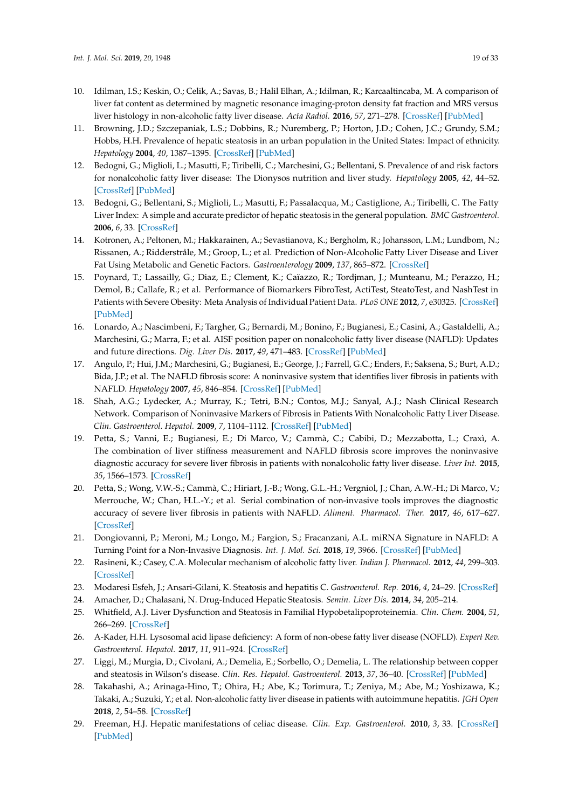- <span id="page-18-0"></span>10. Idilman, I.S.; Keskin, O.; Celik, A.; Savas, B.; Halil Elhan, A.; Idilman, R.; Karcaaltincaba, M. A comparison of liver fat content as determined by magnetic resonance imaging-proton density fat fraction and MRS versus liver histology in non-alcoholic fatty liver disease. *Acta Radiol.* **2016**, *57*, 271–278. [\[CrossRef\]](http://dx.doi.org/10.1177/0284185115580488) [\[PubMed\]](http://www.ncbi.nlm.nih.gov/pubmed/25855666)
- <span id="page-18-1"></span>11. Browning, J.D.; Szczepaniak, L.S.; Dobbins, R.; Nuremberg, P.; Horton, J.D.; Cohen, J.C.; Grundy, S.M.; Hobbs, H.H. Prevalence of hepatic steatosis in an urban population in the United States: Impact of ethnicity. *Hepatology* **2004**, *40*, 1387–1395. [\[CrossRef\]](http://dx.doi.org/10.1002/hep.20466) [\[PubMed\]](http://www.ncbi.nlm.nih.gov/pubmed/15565570)
- <span id="page-18-2"></span>12. Bedogni, G.; Miglioli, L.; Masutti, F.; Tiribelli, C.; Marchesini, G.; Bellentani, S. Prevalence of and risk factors for nonalcoholic fatty liver disease: The Dionysos nutrition and liver study. *Hepatology* **2005**, *42*, 44–52. [\[CrossRef\]](http://dx.doi.org/10.1002/hep.20734) [\[PubMed\]](http://www.ncbi.nlm.nih.gov/pubmed/15895401)
- <span id="page-18-3"></span>13. Bedogni, G.; Bellentani, S.; Miglioli, L.; Masutti, F.; Passalacqua, M.; Castiglione, A.; Tiribelli, C. The Fatty Liver Index: A simple and accurate predictor of hepatic steatosis in the general population. *BMC Gastroenterol.* **2006**, *6*, 33. [\[CrossRef\]](http://dx.doi.org/10.1186/1471-230X-6-33)
- <span id="page-18-4"></span>14. Kotronen, A.; Peltonen, M.; Hakkarainen, A.; Sevastianova, K.; Bergholm, R.; Johansson, L.M.; Lundbom, N.; Rissanen, A.; Ridderstråle, M.; Groop, L.; et al. Prediction of Non-Alcoholic Fatty Liver Disease and Liver Fat Using Metabolic and Genetic Factors. *Gastroenterology* **2009**, *137*, 865–872. [\[CrossRef\]](http://dx.doi.org/10.1053/j.gastro.2009.06.005)
- <span id="page-18-5"></span>15. Poynard, T.; Lassailly, G.; Diaz, E.; Clement, K.; Caïazzo, R.; Tordjman, J.; Munteanu, M.; Perazzo, H.; Demol, B.; Callafe, R.; et al. Performance of Biomarkers FibroTest, ActiTest, SteatoTest, and NashTest in Patients with Severe Obesity: Meta Analysis of Individual Patient Data. *PLoS ONE* **2012**, *7*, e30325. [\[CrossRef\]](http://dx.doi.org/10.1371/journal.pone.0030325) [\[PubMed\]](http://www.ncbi.nlm.nih.gov/pubmed/22431959)
- <span id="page-18-6"></span>16. Lonardo, A.; Nascimbeni, F.; Targher, G.; Bernardi, M.; Bonino, F.; Bugianesi, E.; Casini, A.; Gastaldelli, A.; Marchesini, G.; Marra, F.; et al. AISF position paper on nonalcoholic fatty liver disease (NAFLD): Updates and future directions. *Dig. Liver Dis.* **2017**, *49*, 471–483. [\[CrossRef\]](http://dx.doi.org/10.1016/j.dld.2017.01.147) [\[PubMed\]](http://www.ncbi.nlm.nih.gov/pubmed/28215516)
- <span id="page-18-7"></span>17. Angulo, P.; Hui, J.M.; Marchesini, G.; Bugianesi, E.; George, J.; Farrell, G.C.; Enders, F.; Saksena, S.; Burt, A.D.; Bida, J.P.; et al. The NAFLD fibrosis score: A noninvasive system that identifies liver fibrosis in patients with NAFLD. *Hepatology* **2007**, *45*, 846–854. [\[CrossRef\]](http://dx.doi.org/10.1002/hep.21496) [\[PubMed\]](http://www.ncbi.nlm.nih.gov/pubmed/17393509)
- <span id="page-18-8"></span>18. Shah, A.G.; Lydecker, A.; Murray, K.; Tetri, B.N.; Contos, M.J.; Sanyal, A.J.; Nash Clinical Research Network. Comparison of Noninvasive Markers of Fibrosis in Patients With Nonalcoholic Fatty Liver Disease. *Clin. Gastroenterol. Hepatol.* **2009**, *7*, 1104–1112. [\[CrossRef\]](http://dx.doi.org/10.1016/j.cgh.2009.05.033) [\[PubMed\]](http://www.ncbi.nlm.nih.gov/pubmed/19523535)
- <span id="page-18-9"></span>19. Petta, S.; Vanni, E.; Bugianesi, E.; Di Marco, V.; Cammà, C.; Cabibi, D.; Mezzabotta, L.; Craxì, A. The combination of liver stiffness measurement and NAFLD fibrosis score improves the noninvasive diagnostic accuracy for severe liver fibrosis in patients with nonalcoholic fatty liver disease. *Liver Int.* **2015**, *35*, 1566–1573. [\[CrossRef\]](http://dx.doi.org/10.1111/liv.12584)
- <span id="page-18-10"></span>20. Petta, S.; Wong, V.W.-S.; Cammà, C.; Hiriart, J.-B.; Wong, G.L.-H.; Vergniol, J.; Chan, A.W.-H.; Di Marco, V.; Merrouche, W.; Chan, H.L.-Y.; et al. Serial combination of non-invasive tools improves the diagnostic accuracy of severe liver fibrosis in patients with NAFLD. *Aliment. Pharmacol. Ther.* **2017**, *46*, 617–627. [\[CrossRef\]](http://dx.doi.org/10.1111/apt.14219)
- <span id="page-18-11"></span>21. Dongiovanni, P.; Meroni, M.; Longo, M.; Fargion, S.; Fracanzani, A.L. miRNA Signature in NAFLD: A Turning Point for a Non-Invasive Diagnosis. *Int. J. Mol. Sci.* **2018**, *19*, 3966. [\[CrossRef\]](http://dx.doi.org/10.3390/ijms19123966) [\[PubMed\]](http://www.ncbi.nlm.nih.gov/pubmed/30544653)
- <span id="page-18-12"></span>22. Rasineni, K.; Casey, C.A. Molecular mechanism of alcoholic fatty liver. *Indian J. Pharmacol.* **2012**, *44*, 299–303. [\[CrossRef\]](http://dx.doi.org/10.4103/0253-7613.96297)
- <span id="page-18-13"></span>23. Modaresi Esfeh, J.; Ansari-Gilani, K. Steatosis and hepatitis C. *Gastroenterol. Rep.* **2016**, *4*, 24–29. [\[CrossRef\]](http://dx.doi.org/10.1093/gastro/gov040)
- <span id="page-18-14"></span>24. Amacher, D.; Chalasani, N. Drug-Induced Hepatic Steatosis. *Semin. Liver Dis.* **2014**, *34*, 205–214.
- <span id="page-18-15"></span>25. Whitfield, A.J. Liver Dysfunction and Steatosis in Familial Hypobetalipoproteinemia. *Clin. Chem.* **2004**, *51*, 266–269. [\[CrossRef\]](http://dx.doi.org/10.1373/clinchem.2004.037978)
- <span id="page-18-16"></span>26. A-Kader, H.H. Lysosomal acid lipase deficiency: A form of non-obese fatty liver disease (NOFLD). *Expert Rev. Gastroenterol. Hepatol.* **2017**, *11*, 911–924. [\[CrossRef\]](http://dx.doi.org/10.1080/17474124.2017.1343144)
- <span id="page-18-17"></span>27. Liggi, M.; Murgia, D.; Civolani, A.; Demelia, E.; Sorbello, O.; Demelia, L. The relationship between copper and steatosis in Wilson's disease. *Clin. Res. Hepatol. Gastroenterol.* **2013**, *37*, 36–40. [\[CrossRef\]](http://dx.doi.org/10.1016/j.clinre.2012.03.038) [\[PubMed\]](http://www.ncbi.nlm.nih.gov/pubmed/22572525)
- <span id="page-18-18"></span>28. Takahashi, A.; Arinaga-Hino, T.; Ohira, H.; Abe, K.; Torimura, T.; Zeniya, M.; Abe, M.; Yoshizawa, K.; Takaki, A.; Suzuki, Y.; et al. Non-alcoholic fatty liver disease in patients with autoimmune hepatitis. *JGH Open* **2018**, *2*, 54–58. [\[CrossRef\]](http://dx.doi.org/10.1002/jgh3.12046)
- <span id="page-18-19"></span>29. Freeman, H.J. Hepatic manifestations of celiac disease. *Clin. Exp. Gastroenterol.* **2010**, *3*, 33. [\[CrossRef\]](http://dx.doi.org/10.2147/CEG.S7556) [\[PubMed\]](http://www.ncbi.nlm.nih.gov/pubmed/21694844)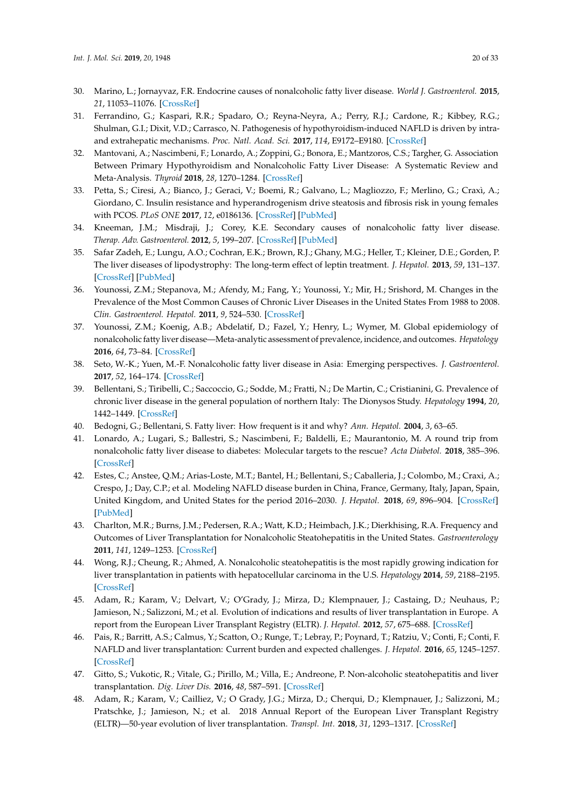- <span id="page-19-0"></span>30. Marino, L.; Jornayvaz, F.R. Endocrine causes of nonalcoholic fatty liver disease. *World J. Gastroenterol.* **2015**, *21*, 11053–11076. [\[CrossRef\]](http://dx.doi.org/10.3748/wjg.v21.i39.11053)
- 31. Ferrandino, G.; Kaspari, R.R.; Spadaro, O.; Reyna-Neyra, A.; Perry, R.J.; Cardone, R.; Kibbey, R.G.; Shulman, G.I.; Dixit, V.D.; Carrasco, N. Pathogenesis of hypothyroidism-induced NAFLD is driven by intraand extrahepatic mechanisms. *Proc. Natl. Acad. Sci.* **2017**, *114*, E9172–E9180. [\[CrossRef\]](http://dx.doi.org/10.1073/pnas.1707797114)
- 32. Mantovani, A.; Nascimbeni, F.; Lonardo, A.; Zoppini, G.; Bonora, E.; Mantzoros, C.S.; Targher, G. Association Between Primary Hypothyroidism and Nonalcoholic Fatty Liver Disease: A Systematic Review and Meta-Analysis. *Thyroid* **2018**, *28*, 1270–1284. [\[CrossRef\]](http://dx.doi.org/10.1089/thy.2018.0257)
- <span id="page-19-1"></span>33. Petta, S.; Ciresi, A.; Bianco, J.; Geraci, V.; Boemi, R.; Galvano, L.; Magliozzo, F.; Merlino, G.; Craxì, A.; Giordano, C. Insulin resistance and hyperandrogenism drive steatosis and fibrosis risk in young females with PCOS. *PLoS ONE* **2017**, *12*, e0186136. [\[CrossRef\]](http://dx.doi.org/10.1371/journal.pone.0186136) [\[PubMed\]](http://www.ncbi.nlm.nih.gov/pubmed/29161258)
- <span id="page-19-2"></span>34. Kneeman, J.M.; Misdraji, J.; Corey, K.E. Secondary causes of nonalcoholic fatty liver disease. *Therap. Adv. Gastroenterol.* **2012**, *5*, 199–207. [\[CrossRef\]](http://dx.doi.org/10.1177/1756283X11430859) [\[PubMed\]](http://www.ncbi.nlm.nih.gov/pubmed/22570680)
- <span id="page-19-3"></span>35. Safar Zadeh, E.; Lungu, A.O.; Cochran, E.K.; Brown, R.J.; Ghany, M.G.; Heller, T.; Kleiner, D.E.; Gorden, P. The liver diseases of lipodystrophy: The long-term effect of leptin treatment. *J. Hepatol.* **2013**, *59*, 131–137. [\[CrossRef\]](http://dx.doi.org/10.1016/j.jhep.2013.02.007) [\[PubMed\]](http://www.ncbi.nlm.nih.gov/pubmed/23439261)
- <span id="page-19-4"></span>36. Younossi, Z.M.; Stepanova, M.; Afendy, M.; Fang, Y.; Younossi, Y.; Mir, H.; Srishord, M. Changes in the Prevalence of the Most Common Causes of Chronic Liver Diseases in the United States From 1988 to 2008. *Clin. Gastroenterol. Hepatol.* **2011**, *9*, 524–530. [\[CrossRef\]](http://dx.doi.org/10.1016/j.cgh.2011.03.020)
- <span id="page-19-5"></span>37. Younossi, Z.M.; Koenig, A.B.; Abdelatif, D.; Fazel, Y.; Henry, L.; Wymer, M. Global epidemiology of nonalcoholic fatty liver disease—Meta-analytic assessment of prevalence, incidence, and outcomes. *Hepatology* **2016**, *64*, 73–84. [\[CrossRef\]](http://dx.doi.org/10.1002/hep.28431)
- <span id="page-19-6"></span>38. Seto, W.-K.; Yuen, M.-F. Nonalcoholic fatty liver disease in Asia: Emerging perspectives. *J. Gastroenterol.* **2017**, *52*, 164–174. [\[CrossRef\]](http://dx.doi.org/10.1007/s00535-016-1264-3)
- <span id="page-19-7"></span>39. Bellentani, S.; Tiribelli, C.; Saccoccio, G.; Sodde, M.; Fratti, N.; De Martin, C.; Cristianini, G. Prevalence of chronic liver disease in the general population of northern Italy: The Dionysos Study. *Hepatology* **1994**, *20*, 1442–1449. [\[CrossRef\]](http://dx.doi.org/10.1002/hep.1840200611)
- <span id="page-19-8"></span>40. Bedogni, G.; Bellentani, S. Fatty liver: How frequent is it and why? *Ann. Hepatol.* **2004**, *3*, 63–65.
- <span id="page-19-9"></span>41. Lonardo, A.; Lugari, S.; Ballestri, S.; Nascimbeni, F.; Baldelli, E.; Maurantonio, M. A round trip from nonalcoholic fatty liver disease to diabetes: Molecular targets to the rescue? *Acta Diabetol.* **2018**, 385–396. [\[CrossRef\]](http://dx.doi.org/10.1007/s00592-018-1266-0)
- <span id="page-19-10"></span>42. Estes, C.; Anstee, Q.M.; Arias-Loste, M.T.; Bantel, H.; Bellentani, S.; Caballeria, J.; Colombo, M.; Craxi, A.; Crespo, J.; Day, C.P.; et al. Modeling NAFLD disease burden in China, France, Germany, Italy, Japan, Spain, United Kingdom, and United States for the period 2016–2030. *J. Hepatol.* **2018**, *69*, 896–904. [\[CrossRef\]](http://dx.doi.org/10.1016/j.jhep.2018.05.036) [\[PubMed\]](http://www.ncbi.nlm.nih.gov/pubmed/29886156)
- <span id="page-19-11"></span>43. Charlton, M.R.; Burns, J.M.; Pedersen, R.A.; Watt, K.D.; Heimbach, J.K.; Dierkhising, R.A. Frequency and Outcomes of Liver Transplantation for Nonalcoholic Steatohepatitis in the United States. *Gastroenterology* **2011**, *141*, 1249–1253. [\[CrossRef\]](http://dx.doi.org/10.1053/j.gastro.2011.06.061)
- <span id="page-19-12"></span>44. Wong, R.J.; Cheung, R.; Ahmed, A. Nonalcoholic steatohepatitis is the most rapidly growing indication for liver transplantation in patients with hepatocellular carcinoma in the U.S. *Hepatology* **2014**, *59*, 2188–2195. [\[CrossRef\]](http://dx.doi.org/10.1002/hep.26986)
- <span id="page-19-13"></span>45. Adam, R.; Karam, V.; Delvart, V.; O'Grady, J.; Mirza, D.; Klempnauer, J.; Castaing, D.; Neuhaus, P.; Jamieson, N.; Salizzoni, M.; et al. Evolution of indications and results of liver transplantation in Europe. A report from the European Liver Transplant Registry (ELTR). *J. Hepatol.* **2012**, *57*, 675–688. [\[CrossRef\]](http://dx.doi.org/10.1016/j.jhep.2012.04.015)
- 46. Pais, R.; Barritt, A.S.; Calmus, Y.; Scatton, O.; Runge, T.; Lebray, P.; Poynard, T.; Ratziu, V.; Conti, F.; Conti, F. NAFLD and liver transplantation: Current burden and expected challenges. *J. Hepatol.* **2016**, *65*, 1245–1257. [\[CrossRef\]](http://dx.doi.org/10.1016/j.jhep.2016.07.033)
- <span id="page-19-14"></span>47. Gitto, S.; Vukotic, R.; Vitale, G.; Pirillo, M.; Villa, E.; Andreone, P. Non-alcoholic steatohepatitis and liver transplantation. *Dig. Liver Dis.* **2016**, *48*, 587–591. [\[CrossRef\]](http://dx.doi.org/10.1016/j.dld.2016.02.014)
- <span id="page-19-15"></span>48. Adam, R.; Karam, V.; Cailliez, V.; O Grady, J.G.; Mirza, D.; Cherqui, D.; Klempnauer, J.; Salizzoni, M.; Pratschke, J.; Jamieson, N.; et al. 2018 Annual Report of the European Liver Transplant Registry (ELTR)—50-year evolution of liver transplantation. *Transpl. Int.* **2018**, *31*, 1293–1317. [\[CrossRef\]](http://dx.doi.org/10.1111/tri.13358)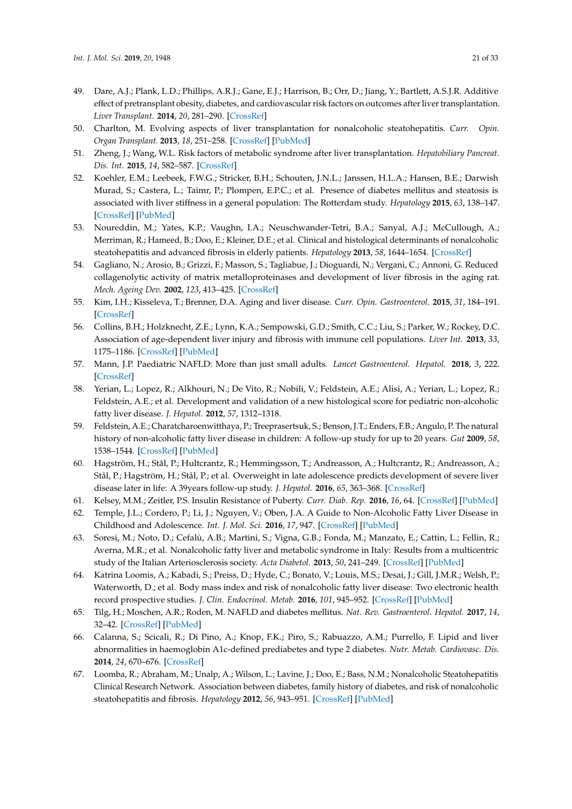- <span id="page-20-0"></span>49. Dare, A.J.; Plank, L.D.; Phillips, A.R.J.; Gane, E.J.; Harrison, B.; Orr, D.; Jiang, Y.; Bartlett, A.S.J.R. Additive effect of pretransplant obesity, diabetes, and cardiovascular risk factors on outcomes after liver transplantation. *Liver Transplant.* **2014**, *20*, 281–290. [\[CrossRef\]](http://dx.doi.org/10.1002/lt.23818)
- <span id="page-20-1"></span>50. Charlton, M. Evolving aspects of liver transplantation for nonalcoholic steatohepatitis. *Curr. Opin. Organ Transplant.* **2013**, *18*, 251–258. [\[CrossRef\]](http://dx.doi.org/10.1097/MOT.0b013e3283615d30) [\[PubMed\]](http://www.ncbi.nlm.nih.gov/pubmed/23652610)
- <span id="page-20-2"></span>51. Zheng, J.; Wang, W.L. Risk factors of metabolic syndrome after liver transplantation. *Hepatobiliary Pancreat. Dis. Int.* **2015**, *14*, 582–587. [\[CrossRef\]](http://dx.doi.org/10.1016/S1499-3872(15)60037-6)
- <span id="page-20-3"></span>52. Koehler, E.M.; Leebeek, F.W.G.; Stricker, B.H.; Schouten, J.N.L.; Janssen, H.L.A.; Hansen, B.E.; Darwish Murad, S.; Castera, L.; Taimr, P.; Plompen, E.P.C.; et al. Presence of diabetes mellitus and steatosis is associated with liver stiffness in a general population: The Rotterdam study. *Hepatology* **2015**, *63*, 138–147. [\[CrossRef\]](http://dx.doi.org/10.1002/hep.27981) [\[PubMed\]](http://www.ncbi.nlm.nih.gov/pubmed/26171685)
- <span id="page-20-4"></span>53. Noureddin, M.; Yates, K.P.; Vaughn, I.A.; Neuschwander-Tetri, B.A.; Sanyal, A.J.; McCullough, A.; Merriman, R.; Hameed, B.; Doo, E.; Kleiner, D.E.; et al. Clinical and histological determinants of nonalcoholic steatohepatitis and advanced fibrosis in elderly patients. *Hepatology* **2013**, *58*, 1644–1654. [\[CrossRef\]](http://dx.doi.org/10.1002/hep.26465)
- <span id="page-20-5"></span>54. Gagliano, N.; Arosio, B.; Grizzi, F.; Masson, S.; Tagliabue, J.; Dioguardi, N.; Vergani, C.; Annoni, G. Reduced collagenolytic activity of matrix metalloproteinases and development of liver fibrosis in the aging rat. *Mech. Ageing Dev.* **2002**, *123*, 413–425. [\[CrossRef\]](http://dx.doi.org/10.1016/S0047-6374(01)00398-0)
- <span id="page-20-6"></span>55. Kim, I.H.; Kisseleva, T.; Brenner, D.A. Aging and liver disease. *Curr. Opin. Gastroenterol.* **2015**, *31*, 184–191. [\[CrossRef\]](http://dx.doi.org/10.1097/MOG.0000000000000176)
- <span id="page-20-7"></span>56. Collins, B.H.; Holzknecht, Z.E.; Lynn, K.A.; Sempowski, G.D.; Smith, C.C.; Liu, S.; Parker, W.; Rockey, D.C. Association of age-dependent liver injury and fibrosis with immune cell populations. *Liver Int.* **2013**, *33*, 1175–1186. [\[CrossRef\]](http://dx.doi.org/10.1111/liv.12202) [\[PubMed\]](http://www.ncbi.nlm.nih.gov/pubmed/23710620)
- <span id="page-20-8"></span>57. Mann, J.P. Paediatric NAFLD: More than just small adults. *Lancet Gastroenterol. Hepatol.* **2018**, *3*, 222. [\[CrossRef\]](http://dx.doi.org/10.1016/S2468-1253(18)30040-2)
- <span id="page-20-9"></span>58. Yerian, L.; Lopez, R.; Alkhouri, N.; De Vito, R.; Nobili, V.; Feldstein, A.E.; Alisi, A.; Yerian, L.; Lopez, R.; Feldstein, A.E.; et al. Development and validation of a new histological score for pediatric non-alcoholic fatty liver disease. *J. Hepatol.* **2012**, *57*, 1312–1318.
- <span id="page-20-10"></span>59. Feldstein, A.E.; Charatcharoenwitthaya, P.; Treeprasertsuk, S.; Benson, J.T.; Enders, F.B.; Angulo, P. The natural history of non-alcoholic fatty liver disease in children: A follow-up study for up to 20 years. *Gut* **2009**, *58*, 1538–1544. [\[CrossRef\]](http://dx.doi.org/10.1136/gut.2008.171280) [\[PubMed\]](http://www.ncbi.nlm.nih.gov/pubmed/19625277)
- <span id="page-20-11"></span>60. Hagström, H.; Stål, P.; Hultcrantz, R.; Hemmingsson, T.; Andreasson, A.; Hultcrantz, R.; Andreasson, A.; Stål, P.; Hagström, H.; Stål, P.; et al. Overweight in late adolescence predicts development of severe liver disease later in life: A 39years follow-up study. *J. Hepatol.* **2016**, *65*, 363–368. [\[CrossRef\]](http://dx.doi.org/10.1016/j.jhep.2016.03.019)
- <span id="page-20-12"></span>61. Kelsey, M.M.; Zeitler, P.S. Insulin Resistance of Puberty. *Curr. Diab. Rep.* **2016**, *16*, 64. [\[CrossRef\]](http://dx.doi.org/10.1007/s11892-016-0751-5) [\[PubMed\]](http://www.ncbi.nlm.nih.gov/pubmed/27179965)
- <span id="page-20-13"></span>62. Temple, J.L.; Cordero, P.; Li, J.; Nguyen, V.; Oben, J.A. A Guide to Non-Alcoholic Fatty Liver Disease in Childhood and Adolescence. *Int. J. Mol. Sci.* **2016**, *17*, 947. [\[CrossRef\]](http://dx.doi.org/10.3390/ijms17060947) [\[PubMed\]](http://www.ncbi.nlm.nih.gov/pubmed/27314342)
- <span id="page-20-14"></span>63. Soresi, M.; Noto, D.; Cefalù, A.B.; Martini, S.; Vigna, G.B.; Fonda, M.; Manzato, E.; Cattin, L.; Fellin, R.; Averna, M.R.; et al. Nonalcoholic fatty liver and metabolic syndrome in Italy: Results from a multicentric study of the Italian Arteriosclerosis society. *Acta Diabetol.* **2013**, *50*, 241–249. [\[CrossRef\]](http://dx.doi.org/10.1007/s00592-012-0406-1) [\[PubMed\]](http://www.ncbi.nlm.nih.gov/pubmed/22684314)
- <span id="page-20-15"></span>64. Katrina Loomis, A.; Kabadi, S.; Preiss, D.; Hyde, C.; Bonato, V.; Louis, M.S.; Desai, J.; Gill, J.M.R.; Welsh, P.; Waterworth, D.; et al. Body mass index and risk of nonalcoholic fatty liver disease: Two electronic health record prospective studies. *J. Clin. Endocrinol. Metab.* **2016**, *101*, 945–952. [\[CrossRef\]](http://dx.doi.org/10.1210/jc.2015-3444) [\[PubMed\]](http://www.ncbi.nlm.nih.gov/pubmed/26672639)
- <span id="page-20-16"></span>65. Tilg, H.; Moschen, A.R.; Roden, M. NAFLD and diabetes mellitus. *Nat. Rev. Gastroenterol. Hepatol.* **2017**, *14*, 32–42. [\[CrossRef\]](http://dx.doi.org/10.1038/nrgastro.2016.147) [\[PubMed\]](http://www.ncbi.nlm.nih.gov/pubmed/27729660)
- <span id="page-20-17"></span>66. Calanna, S.; Scicali, R.; Di Pino, A.; Knop, F.K.; Piro, S.; Rabuazzo, A.M.; Purrello, F. Lipid and liver abnormalities in haemoglobin A1c-defined prediabetes and type 2 diabetes. *Nutr. Metab. Cardiovasc. Dis.* **2014**, *24*, 670–676. [\[CrossRef\]](http://dx.doi.org/10.1016/j.numecd.2014.01.013)
- <span id="page-20-18"></span>67. Loomba, R.; Abraham, M.; Unalp, A.; Wilson, L.; Lavine, J.; Doo, E.; Bass, N.M.; Nonalcoholic Steatohepatitis Clinical Research Network. Association between diabetes, family history of diabetes, and risk of nonalcoholic steatohepatitis and fibrosis. *Hepatology* **2012**, *56*, 943–951. [\[CrossRef\]](http://dx.doi.org/10.1002/hep.25772) [\[PubMed\]](http://www.ncbi.nlm.nih.gov/pubmed/22505194)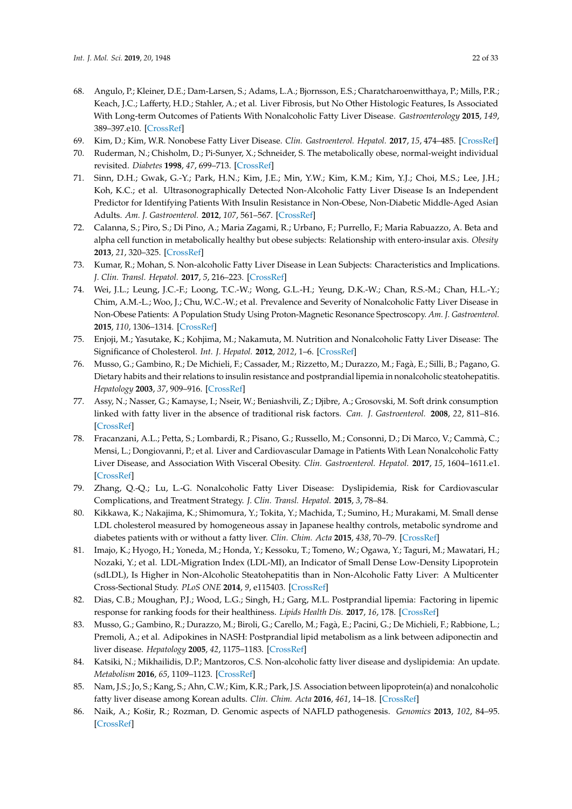- <span id="page-21-0"></span>68. Angulo, P.; Kleiner, D.E.; Dam-Larsen, S.; Adams, L.A.; Bjornsson, E.S.; Charatcharoenwitthaya, P.; Mills, P.R.; Keach, J.C.; Lafferty, H.D.; Stahler, A.; et al. Liver Fibrosis, but No Other Histologic Features, Is Associated With Long-term Outcomes of Patients With Nonalcoholic Fatty Liver Disease. *Gastroenterology* **2015**, *149*, 389–397.e10. [\[CrossRef\]](http://dx.doi.org/10.1053/j.gastro.2015.04.043)
- <span id="page-21-1"></span>69. Kim, D.; Kim, W.R. Nonobese Fatty Liver Disease. *Clin. Gastroenterol. Hepatol.* **2017**, *15*, 474–485. [\[CrossRef\]](http://dx.doi.org/10.1016/j.cgh.2016.08.028)
- <span id="page-21-2"></span>70. Ruderman, N.; Chisholm, D.; Pi-Sunyer, X.; Schneider, S. The metabolically obese, normal-weight individual revisited. *Diabetes* **1998**, *47*, 699–713. [\[CrossRef\]](http://dx.doi.org/10.2337/diabetes.47.5.699)
- 71. Sinn, D.H.; Gwak, G.-Y.; Park, H.N.; Kim, J.E.; Min, Y.W.; Kim, K.M.; Kim, Y.J.; Choi, M.S.; Lee, J.H.; Koh, K.C.; et al. Ultrasonographically Detected Non-Alcoholic Fatty Liver Disease Is an Independent Predictor for Identifying Patients With Insulin Resistance in Non-Obese, Non-Diabetic Middle-Aged Asian Adults. *Am. J. Gastroenterol.* **2012**, *107*, 561–567. [\[CrossRef\]](http://dx.doi.org/10.1038/ajg.2011.400)
- <span id="page-21-3"></span>72. Calanna, S.; Piro, S.; Di Pino, A.; Maria Zagami, R.; Urbano, F.; Purrello, F.; Maria Rabuazzo, A. Beta and alpha cell function in metabolically healthy but obese subjects: Relationship with entero-insular axis. *Obesity* **2013**, *21*, 320–325. [\[CrossRef\]](http://dx.doi.org/10.1002/oby.20017)
- <span id="page-21-4"></span>73. Kumar, R.; Mohan, S. Non-alcoholic Fatty Liver Disease in Lean Subjects: Characteristics and Implications. *J. Clin. Transl. Hepatol.* **2017**, *5*, 216–223. [\[CrossRef\]](http://dx.doi.org/10.14218/JCTH.2016.00068)
- <span id="page-21-5"></span>74. Wei, J.L.; Leung, J.C.-F.; Loong, T.C.-W.; Wong, G.L.-H.; Yeung, D.K.-W.; Chan, R.S.-M.; Chan, H.L.-Y.; Chim, A.M.-L.; Woo, J.; Chu, W.C.-W.; et al. Prevalence and Severity of Nonalcoholic Fatty Liver Disease in Non-Obese Patients: A Population Study Using Proton-Magnetic Resonance Spectroscopy. *Am. J. Gastroenterol.* **2015**, *110*, 1306–1314. [\[CrossRef\]](http://dx.doi.org/10.1038/ajg.2015.235)
- <span id="page-21-6"></span>75. Enjoji, M.; Yasutake, K.; Kohjima, M.; Nakamuta, M. Nutrition and Nonalcoholic Fatty Liver Disease: The Significance of Cholesterol. *Int. J. Hepatol.* **2012**, *2012*, 1–6. [\[CrossRef\]](http://dx.doi.org/10.1155/2012/925807)
- 76. Musso, G.; Gambino, R.; De Michieli, F.; Cassader, M.; Rizzetto, M.; Durazzo, M.; Fagà, E.; Silli, B.; Pagano, G. Dietary habits and their relations to insulin resistance and postprandial lipemia in nonalcoholic steatohepatitis. *Hepatology* **2003**, *37*, 909–916. [\[CrossRef\]](http://dx.doi.org/10.1053/jhep.2003.50132)
- <span id="page-21-7"></span>77. Assy, N.; Nasser, G.; Kamayse, I.; Nseir, W.; Beniashvili, Z.; Djibre, A.; Grosovski, M. Soft drink consumption linked with fatty liver in the absence of traditional risk factors. *Can. J. Gastroenterol.* **2008**, *22*, 811–816. [\[CrossRef\]](http://dx.doi.org/10.1155/2008/810961)
- <span id="page-21-8"></span>78. Fracanzani, A.L.; Petta, S.; Lombardi, R.; Pisano, G.; Russello, M.; Consonni, D.; Di Marco, V.; Cammà, C.; Mensi, L.; Dongiovanni, P.; et al. Liver and Cardiovascular Damage in Patients With Lean Nonalcoholic Fatty Liver Disease, and Association With Visceral Obesity. *Clin. Gastroenterol. Hepatol.* **2017**, *15*, 1604–1611.e1. [\[CrossRef\]](http://dx.doi.org/10.1016/j.cgh.2017.04.045)
- <span id="page-21-9"></span>79. Zhang, Q.-Q.; Lu, L.-G. Nonalcoholic Fatty Liver Disease: Dyslipidemia, Risk for Cardiovascular Complications, and Treatment Strategy. *J. Clin. Transl. Hepatol.* **2015**, *3*, 78–84.
- 80. Kikkawa, K.; Nakajima, K.; Shimomura, Y.; Tokita, Y.; Machida, T.; Sumino, H.; Murakami, M. Small dense LDL cholesterol measured by homogeneous assay in Japanese healthy controls, metabolic syndrome and diabetes patients with or without a fatty liver. *Clin. Chim. Acta* **2015**, *438*, 70–79. [\[CrossRef\]](http://dx.doi.org/10.1016/j.cca.2014.07.017)
- <span id="page-21-10"></span>81. Imajo, K.; Hyogo, H.; Yoneda, M.; Honda, Y.; Kessoku, T.; Tomeno, W.; Ogawa, Y.; Taguri, M.; Mawatari, H.; Nozaki, Y.; et al. LDL-Migration Index (LDL-MI), an Indicator of Small Dense Low-Density Lipoprotein (sdLDL), Is Higher in Non-Alcoholic Steatohepatitis than in Non-Alcoholic Fatty Liver: A Multicenter Cross-Sectional Study. *PLoS ONE* **2014**, *9*, e115403. [\[CrossRef\]](http://dx.doi.org/10.1371/journal.pone.0115403)
- <span id="page-21-11"></span>82. Dias, C.B.; Moughan, P.J.; Wood, L.G.; Singh, H.; Garg, M.L. Postprandial lipemia: Factoring in lipemic response for ranking foods for their healthiness. *Lipids Health Dis.* **2017**, *16*, 178. [\[CrossRef\]](http://dx.doi.org/10.1186/s12944-017-0568-5)
- 83. Musso, G.; Gambino, R.; Durazzo, M.; Biroli, G.; Carello, M.; Fagà, E.; Pacini, G.; De Michieli, F.; Rabbione, L.; Premoli, A.; et al. Adipokines in NASH: Postprandial lipid metabolism as a link between adiponectin and liver disease. *Hepatology* **2005**, *42*, 1175–1183. [\[CrossRef\]](http://dx.doi.org/10.1002/hep.20896)
- <span id="page-21-12"></span>84. Katsiki, N.; Mikhailidis, D.P.; Mantzoros, C.S. Non-alcoholic fatty liver disease and dyslipidemia: An update. *Metabolism* **2016**, *65*, 1109–1123. [\[CrossRef\]](http://dx.doi.org/10.1016/j.metabol.2016.05.003)
- <span id="page-21-13"></span>85. Nam, J.S.; Jo, S.; Kang, S.; Ahn, C.W.; Kim, K.R.; Park, J.S. Association between lipoprotein(a) and nonalcoholic fatty liver disease among Korean adults. *Clin. Chim. Acta* **2016**, *461*, 14–18. [\[CrossRef\]](http://dx.doi.org/10.1016/j.cca.2016.07.003)
- <span id="page-21-14"></span>86. Naik, A.; Košir, R.; Rozman, D. Genomic aspects of NAFLD pathogenesis. *Genomics* **2013**, *102*, 84–95. [\[CrossRef\]](http://dx.doi.org/10.1016/j.ygeno.2013.03.007)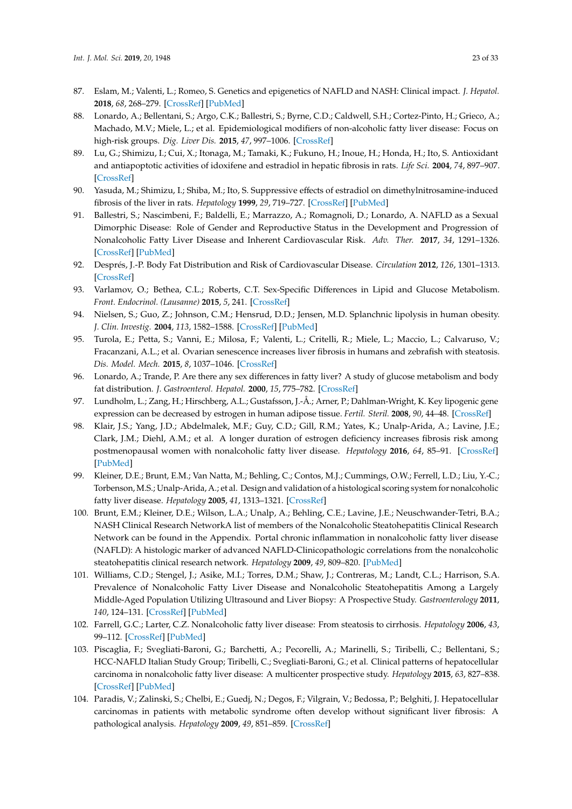- <span id="page-22-0"></span>87. Eslam, M.; Valenti, L.; Romeo, S. Genetics and epigenetics of NAFLD and NASH: Clinical impact. *J. Hepatol.* **2018**, *68*, 268–279. [\[CrossRef\]](http://dx.doi.org/10.1016/j.jhep.2017.09.003) [\[PubMed\]](http://www.ncbi.nlm.nih.gov/pubmed/29122391)
- <span id="page-22-1"></span>88. Lonardo, A.; Bellentani, S.; Argo, C.K.; Ballestri, S.; Byrne, C.D.; Caldwell, S.H.; Cortez-Pinto, H.; Grieco, A.; Machado, M.V.; Miele, L.; et al. Epidemiological modifiers of non-alcoholic fatty liver disease: Focus on high-risk groups. *Dig. Liver Dis.* **2015**, *47*, 997–1006. [\[CrossRef\]](http://dx.doi.org/10.1016/j.dld.2015.08.004)
- <span id="page-22-2"></span>89. Lu, G.; Shimizu, I.; Cui, X.; Itonaga, M.; Tamaki, K.; Fukuno, H.; Inoue, H.; Honda, H.; Ito, S. Antioxidant and antiapoptotic activities of idoxifene and estradiol in hepatic fibrosis in rats. *Life Sci.* **2004**, *74*, 897–907. [\[CrossRef\]](http://dx.doi.org/10.1016/j.lfs.2003.08.004)
- 90. Yasuda, M.; Shimizu, I.; Shiba, M.; Ito, S. Suppressive effects of estradiol on dimethylnitrosamine-induced fibrosis of the liver in rats. *Hepatology* **1999**, *29*, 719–727. [\[CrossRef\]](http://dx.doi.org/10.1002/hep.510290307) [\[PubMed\]](http://www.ncbi.nlm.nih.gov/pubmed/10051473)
- <span id="page-22-3"></span>91. Ballestri, S.; Nascimbeni, F.; Baldelli, E.; Marrazzo, A.; Romagnoli, D.; Lonardo, A. NAFLD as a Sexual Dimorphic Disease: Role of Gender and Reproductive Status in the Development and Progression of Nonalcoholic Fatty Liver Disease and Inherent Cardiovascular Risk. *Adv. Ther.* **2017**, *34*, 1291–1326. [\[CrossRef\]](http://dx.doi.org/10.1007/s12325-017-0556-1) [\[PubMed\]](http://www.ncbi.nlm.nih.gov/pubmed/28526997)
- <span id="page-22-4"></span>92. Després, J.-P. Body Fat Distribution and Risk of Cardiovascular Disease. *Circulation* **2012**, *126*, 1301–1313. [\[CrossRef\]](http://dx.doi.org/10.1161/CIRCULATIONAHA.111.067264)
- <span id="page-22-5"></span>93. Varlamov, O.; Bethea, C.L.; Roberts, C.T. Sex-Specific Differences in Lipid and Glucose Metabolism. *Front. Endocrinol. (Lausanne)* **2015**, *5*, 241. [\[CrossRef\]](http://dx.doi.org/10.3389/fendo.2014.00241)
- <span id="page-22-6"></span>94. Nielsen, S.; Guo, Z.; Johnson, C.M.; Hensrud, D.D.; Jensen, M.D. Splanchnic lipolysis in human obesity. *J. Clin. Investig.* **2004**, *113*, 1582–1588. [\[CrossRef\]](http://dx.doi.org/10.1172/JCI21047) [\[PubMed\]](http://www.ncbi.nlm.nih.gov/pubmed/15173884)
- <span id="page-22-7"></span>95. Turola, E.; Petta, S.; Vanni, E.; Milosa, F.; Valenti, L.; Critelli, R.; Miele, L.; Maccio, L.; Calvaruso, V.; Fracanzani, A.L.; et al. Ovarian senescence increases liver fibrosis in humans and zebrafish with steatosis. *Dis. Model. Mech.* **2015**, *8*, 1037–1046. [\[CrossRef\]](http://dx.doi.org/10.1242/dmm.019950)
- <span id="page-22-8"></span>96. Lonardo, A.; Trande, P. Are there any sex differences in fatty liver? A study of glucose metabolism and body fat distribution. *J. Gastroenterol. Hepatol.* **2000**, *15*, 775–782. [\[CrossRef\]](http://dx.doi.org/10.1046/j.1440-1746.2000.02226.x)
- <span id="page-22-9"></span>97. Lundholm, L.; Zang, H.; Hirschberg, A.L.; Gustafsson, J.-Å.; Arner, P.; Dahlman-Wright, K. Key lipogenic gene expression can be decreased by estrogen in human adipose tissue. *Fertil. Steril.* **2008**, *90*, 44–48. [\[CrossRef\]](http://dx.doi.org/10.1016/j.fertnstert.2007.06.011)
- <span id="page-22-10"></span>98. Klair, J.S.; Yang, J.D.; Abdelmalek, M.F.; Guy, C.D.; Gill, R.M.; Yates, K.; Unalp-Arida, A.; Lavine, J.E.; Clark, J.M.; Diehl, A.M.; et al. A longer duration of estrogen deficiency increases fibrosis risk among postmenopausal women with nonalcoholic fatty liver disease. *Hepatology* **2016**, *64*, 85–91. [\[CrossRef\]](http://dx.doi.org/10.1002/hep.28514) [\[PubMed\]](http://www.ncbi.nlm.nih.gov/pubmed/26919573)
- <span id="page-22-11"></span>99. Kleiner, D.E.; Brunt, E.M.; Van Natta, M.; Behling, C.; Contos, M.J.; Cummings, O.W.; Ferrell, L.D.; Liu, Y.-C.; Torbenson, M.S.; Unalp-Arida, A.; et al. Design and validation of a histological scoring system for nonalcoholic fatty liver disease. *Hepatology* **2005**, *41*, 1313–1321. [\[CrossRef\]](http://dx.doi.org/10.1002/hep.20701)
- <span id="page-22-12"></span>100. Brunt, E.M.; Kleiner, D.E.; Wilson, L.A.; Unalp, A.; Behling, C.E.; Lavine, J.E.; Neuschwander-Tetri, B.A.; NASH Clinical Research NetworkA list of members of the Nonalcoholic Steatohepatitis Clinical Research Network can be found in the Appendix. Portal chronic inflammation in nonalcoholic fatty liver disease (NAFLD): A histologic marker of advanced NAFLD-Clinicopathologic correlations from the nonalcoholic steatohepatitis clinical research network. *Hepatology* **2009**, *49*, 809–820. [\[PubMed\]](http://www.ncbi.nlm.nih.gov/pubmed/19142989)
- <span id="page-22-13"></span>101. Williams, C.D.; Stengel, J.; Asike, M.I.; Torres, D.M.; Shaw, J.; Contreras, M.; Landt, C.L.; Harrison, S.A. Prevalence of Nonalcoholic Fatty Liver Disease and Nonalcoholic Steatohepatitis Among a Largely Middle-Aged Population Utilizing Ultrasound and Liver Biopsy: A Prospective Study. *Gastroenterology* **2011**, *140*, 124–131. [\[CrossRef\]](http://dx.doi.org/10.1053/j.gastro.2010.09.038) [\[PubMed\]](http://www.ncbi.nlm.nih.gov/pubmed/20858492)
- <span id="page-22-14"></span>102. Farrell, G.C.; Larter, C.Z. Nonalcoholic fatty liver disease: From steatosis to cirrhosis. *Hepatology* **2006**, *43*, 99–112. [\[CrossRef\]](http://dx.doi.org/10.1002/hep.20973) [\[PubMed\]](http://www.ncbi.nlm.nih.gov/pubmed/16447287)
- <span id="page-22-15"></span>103. Piscaglia, F.; Svegliati-Baroni, G.; Barchetti, A.; Pecorelli, A.; Marinelli, S.; Tiribelli, C.; Bellentani, S.; HCC-NAFLD Italian Study Group; Tiribelli, C.; Svegliati-Baroni, G.; et al. Clinical patterns of hepatocellular carcinoma in nonalcoholic fatty liver disease: A multicenter prospective study. *Hepatology* **2015**, *63*, 827–838. [\[CrossRef\]](http://dx.doi.org/10.1002/hep.28368) [\[PubMed\]](http://www.ncbi.nlm.nih.gov/pubmed/26599351)
- <span id="page-22-16"></span>104. Paradis, V.; Zalinski, S.; Chelbi, E.; Guedj, N.; Degos, F.; Vilgrain, V.; Bedossa, P.; Belghiti, J. Hepatocellular carcinomas in patients with metabolic syndrome often develop without significant liver fibrosis: A pathological analysis. *Hepatology* **2009**, *49*, 851–859. [\[CrossRef\]](http://dx.doi.org/10.1002/hep.22734)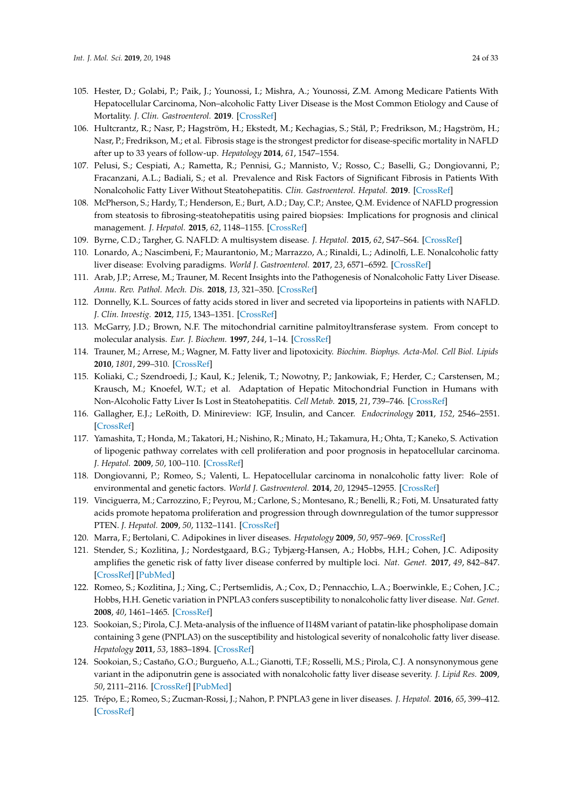- <span id="page-23-0"></span>105. Hester, D.; Golabi, P.; Paik, J.; Younossi, I.; Mishra, A.; Younossi, Z.M. Among Medicare Patients With Hepatocellular Carcinoma, Non–alcoholic Fatty Liver Disease is the Most Common Etiology and Cause of Mortality. *J. Clin. Gastroenterol.* **2019**. [\[CrossRef\]](http://dx.doi.org/10.1097/MCG.0000000000001172)
- <span id="page-23-1"></span>106. Hultcrantz, R.; Nasr, P.; Hagström, H.; Ekstedt, M.; Kechagias, S.; Stål, P.; Fredrikson, M.; Hagström, H.; Nasr, P.; Fredrikson, M.; et al. Fibrosis stage is the strongest predictor for disease-specific mortality in NAFLD after up to 33 years of follow-up. *Hepatology* **2014**, *61*, 1547–1554.
- <span id="page-23-2"></span>107. Pelusi, S.; Cespiati, A.; Rametta, R.; Pennisi, G.; Mannisto, V.; Rosso, C.; Baselli, G.; Dongiovanni, P.; Fracanzani, A.L.; Badiali, S.; et al. Prevalence and Risk Factors of Significant Fibrosis in Patients With Nonalcoholic Fatty Liver Without Steatohepatitis. *Clin. Gastroenterol. Hepatol.* **2019**. [\[CrossRef\]](http://dx.doi.org/10.1016/j.cgh.2019.01.027)
- <span id="page-23-3"></span>108. McPherson, S.; Hardy, T.; Henderson, E.; Burt, A.D.; Day, C.P.; Anstee, Q.M. Evidence of NAFLD progression from steatosis to fibrosing-steatohepatitis using paired biopsies: Implications for prognosis and clinical management. *J. Hepatol.* **2015**, *62*, 1148–1155. [\[CrossRef\]](http://dx.doi.org/10.1016/j.jhep.2014.11.034)
- <span id="page-23-4"></span>109. Byrne, C.D.; Targher, G. NAFLD: A multisystem disease. *J. Hepatol.* **2015**, *62*, S47–S64. [\[CrossRef\]](http://dx.doi.org/10.1016/j.jhep.2014.12.012)
- <span id="page-23-5"></span>110. Lonardo, A.; Nascimbeni, F.; Maurantonio, M.; Marrazzo, A.; Rinaldi, L.; Adinolfi, L.E. Nonalcoholic fatty liver disease: Evolving paradigms. *World J. Gastroenterol.* **2017**, *23*, 6571–6592. [\[CrossRef\]](http://dx.doi.org/10.3748/wjg.v23.i36.6571)
- <span id="page-23-6"></span>111. Arab, J.P.; Arrese, M.; Trauner, M. Recent Insights into the Pathogenesis of Nonalcoholic Fatty Liver Disease. *Annu. Rev. Pathol. Mech. Dis.* **2018**, *13*, 321–350. [\[CrossRef\]](http://dx.doi.org/10.1146/annurev-pathol-020117-043617)
- <span id="page-23-7"></span>112. Donnelly, K.L. Sources of fatty acids stored in liver and secreted via lipoporteins in patients with NAFLD. *J. Clin. Investig.* **2012**, *115*, 1343–1351. [\[CrossRef\]](http://dx.doi.org/10.1172/JCI23621)
- <span id="page-23-8"></span>113. McGarry, J.D.; Brown, N.F. The mitochondrial carnitine palmitoyltransferase system. From concept to molecular analysis. *Eur. J. Biochem.* **1997**, *244*, 1–14. [\[CrossRef\]](http://dx.doi.org/10.1111/j.1432-1033.1997.00001.x)
- <span id="page-23-9"></span>114. Trauner, M.; Arrese, M.; Wagner, M. Fatty liver and lipotoxicity. *Biochim. Biophys. Acta-Mol. Cell Biol. Lipids* **2010**, *1801*, 299–310. [\[CrossRef\]](http://dx.doi.org/10.1016/j.bbalip.2009.10.007)
- <span id="page-23-10"></span>115. Koliaki, C.; Szendroedi, J.; Kaul, K.; Jelenik, T.; Nowotny, P.; Jankowiak, F.; Herder, C.; Carstensen, M.; Krausch, M.; Knoefel, W.T.; et al. Adaptation of Hepatic Mitochondrial Function in Humans with Non-Alcoholic Fatty Liver Is Lost in Steatohepatitis. *Cell Metab.* **2015**, *21*, 739–746. [\[CrossRef\]](http://dx.doi.org/10.1016/j.cmet.2015.04.004)
- <span id="page-23-11"></span>116. Gallagher, E.J.; LeRoith, D. Minireview: IGF, Insulin, and Cancer. *Endocrinology* **2011**, *152*, 2546–2551. [\[CrossRef\]](http://dx.doi.org/10.1210/en.2011-0231)
- <span id="page-23-12"></span>117. Yamashita, T.; Honda, M.; Takatori, H.; Nishino, R.; Minato, H.; Takamura, H.; Ohta, T.; Kaneko, S. Activation of lipogenic pathway correlates with cell proliferation and poor prognosis in hepatocellular carcinoma. *J. Hepatol.* **2009**, *50*, 100–110. [\[CrossRef\]](http://dx.doi.org/10.1016/j.jhep.2008.07.036)
- <span id="page-23-13"></span>118. Dongiovanni, P.; Romeo, S.; Valenti, L. Hepatocellular carcinoma in nonalcoholic fatty liver: Role of environmental and genetic factors. *World J. Gastroenterol.* **2014**, *20*, 12945–12955. [\[CrossRef\]](http://dx.doi.org/10.3748/wjg.v20.i36.12945)
- <span id="page-23-14"></span>119. Vinciguerra, M.; Carrozzino, F.; Peyrou, M.; Carlone, S.; Montesano, R.; Benelli, R.; Foti, M. Unsaturated fatty acids promote hepatoma proliferation and progression through downregulation of the tumor suppressor PTEN. *J. Hepatol.* **2009**, *50*, 1132–1141. [\[CrossRef\]](http://dx.doi.org/10.1016/j.jhep.2009.01.027)
- <span id="page-23-15"></span>120. Marra, F.; Bertolani, C. Adipokines in liver diseases. *Hepatology* **2009**, *50*, 957–969. [\[CrossRef\]](http://dx.doi.org/10.1002/hep.23046)
- <span id="page-23-16"></span>121. Stender, S.; Kozlitina, J.; Nordestgaard, B.G.; Tybjærg-Hansen, A.; Hobbs, H.H.; Cohen, J.C. Adiposity amplifies the genetic risk of fatty liver disease conferred by multiple loci. *Nat. Genet.* **2017**, *49*, 842–847. [\[CrossRef\]](http://dx.doi.org/10.1038/ng.3855) [\[PubMed\]](http://www.ncbi.nlm.nih.gov/pubmed/28436986)
- <span id="page-23-17"></span>122. Romeo, S.; Kozlitina, J.; Xing, C.; Pertsemlidis, A.; Cox, D.; Pennacchio, L.A.; Boerwinkle, E.; Cohen, J.C.; Hobbs, H.H. Genetic variation in PNPLA3 confers susceptibility to nonalcoholic fatty liver disease. *Nat. Genet.* **2008**, *40*, 1461–1465. [\[CrossRef\]](http://dx.doi.org/10.1038/ng.257)
- <span id="page-23-18"></span>123. Sookoian, S.; Pirola, C.J. Meta-analysis of the influence of I148M variant of patatin-like phospholipase domain containing 3 gene (PNPLA3) on the susceptibility and histological severity of nonalcoholic fatty liver disease. *Hepatology* **2011**, *53*, 1883–1894. [\[CrossRef\]](http://dx.doi.org/10.1002/hep.24283)
- 124. Sookoian, S.; Castaño, G.O.; Burgueño, A.L.; Gianotti, T.F.; Rosselli, M.S.; Pirola, C.J. A nonsynonymous gene variant in the adiponutrin gene is associated with nonalcoholic fatty liver disease severity. *J. Lipid Res.* **2009**, *50*, 2111–2116. [\[CrossRef\]](http://dx.doi.org/10.1194/jlr.P900013-JLR200) [\[PubMed\]](http://www.ncbi.nlm.nih.gov/pubmed/19738004)
- <span id="page-23-19"></span>125. Trépo, E.; Romeo, S.; Zucman-Rossi, J.; Nahon, P. PNPLA3 gene in liver diseases. *J. Hepatol.* **2016**, *65*, 399–412. [\[CrossRef\]](http://dx.doi.org/10.1016/j.jhep.2016.03.011)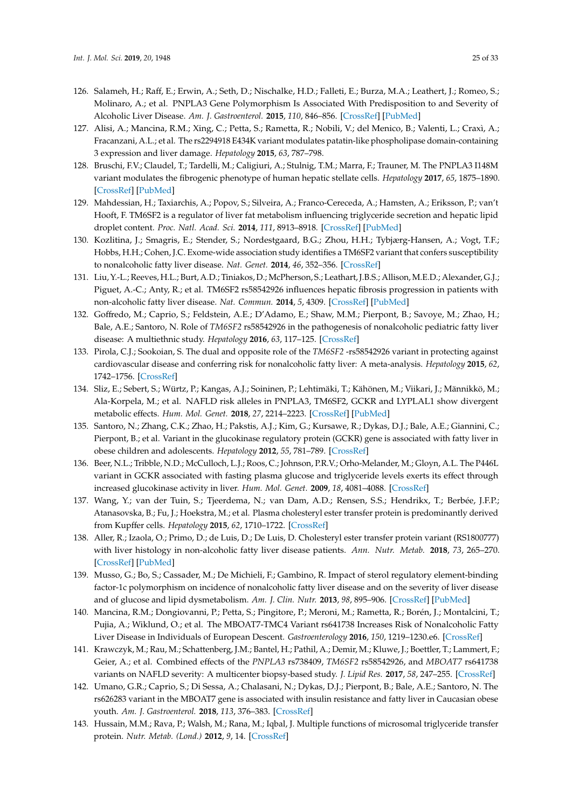- <span id="page-24-0"></span>126. Salameh, H.; Raff, E.; Erwin, A.; Seth, D.; Nischalke, H.D.; Falleti, E.; Burza, M.A.; Leathert, J.; Romeo, S.; Molinaro, A.; et al. PNPLA3 Gene Polymorphism Is Associated With Predisposition to and Severity of Alcoholic Liver Disease. *Am. J. Gastroenterol.* **2015**, *110*, 846–856. [\[CrossRef\]](http://dx.doi.org/10.1038/ajg.2015.137) [\[PubMed\]](http://www.ncbi.nlm.nih.gov/pubmed/25964223)
- <span id="page-24-1"></span>127. Alisi, A.; Mancina, R.M.; Xing, C.; Petta, S.; Rametta, R.; Nobili, V.; del Menico, B.; Valenti, L.; Craxì, A.; Fracanzani, A.L.; et al. The rs2294918 E434K variant modulates patatin-like phospholipase domain-containing 3 expression and liver damage. *Hepatology* **2015**, *63*, 787–798.
- <span id="page-24-2"></span>128. Bruschi, F.V.; Claudel, T.; Tardelli, M.; Caligiuri, A.; Stulnig, T.M.; Marra, F.; Trauner, M. The PNPLA3 I148M variant modulates the fibrogenic phenotype of human hepatic stellate cells. *Hepatology* **2017**, *65*, 1875–1890. [\[CrossRef\]](http://dx.doi.org/10.1002/hep.29041) [\[PubMed\]](http://www.ncbi.nlm.nih.gov/pubmed/28073161)
- <span id="page-24-3"></span>129. Mahdessian, H.; Taxiarchis, A.; Popov, S.; Silveira, A.; Franco-Cereceda, A.; Hamsten, A.; Eriksson, P.; van't Hooft, F. TM6SF2 is a regulator of liver fat metabolism influencing triglyceride secretion and hepatic lipid droplet content. *Proc. Natl. Acad. Sci.* **2014**, *111*, 8913–8918. [\[CrossRef\]](http://dx.doi.org/10.1073/pnas.1323785111) [\[PubMed\]](http://www.ncbi.nlm.nih.gov/pubmed/24927523)
- <span id="page-24-4"></span>130. Kozlitina, J.; Smagris, E.; Stender, S.; Nordestgaard, B.G.; Zhou, H.H.; Tybjærg-Hansen, A.; Vogt, T.F.; Hobbs, H.H.; Cohen, J.C. Exome-wide association study identifies a TM6SF2 variant that confers susceptibility to nonalcoholic fatty liver disease. *Nat. Genet.* **2014**, *46*, 352–356. [\[CrossRef\]](http://dx.doi.org/10.1038/ng.2901)
- 131. Liu, Y.-L.; Reeves, H.L.; Burt, A.D.; Tiniakos, D.; McPherson, S.; Leathart, J.B.S.; Allison,M.E.D.; Alexander, G.J.; Piguet, A.-C.; Anty, R.; et al. TM6SF2 rs58542926 influences hepatic fibrosis progression in patients with non-alcoholic fatty liver disease. *Nat. Commun.* **2014**, *5*, 4309. [\[CrossRef\]](http://dx.doi.org/10.1038/ncomms5309) [\[PubMed\]](http://www.ncbi.nlm.nih.gov/pubmed/24978903)
- <span id="page-24-5"></span>132. Goffredo, M.; Caprio, S.; Feldstein, A.E.; D'Adamo, E.; Shaw, M.M.; Pierpont, B.; Savoye, M.; Zhao, H.; Bale, A.E.; Santoro, N. Role of *TM6SF2* rs58542926 in the pathogenesis of nonalcoholic pediatric fatty liver disease: A multiethnic study. *Hepatology* **2016**, *63*, 117–125. [\[CrossRef\]](http://dx.doi.org/10.1002/hep.28283)
- <span id="page-24-6"></span>133. Pirola, C.J.; Sookoian, S. The dual and opposite role of the *TM6SF2* -rs58542926 variant in protecting against cardiovascular disease and conferring risk for nonalcoholic fatty liver: A meta-analysis. *Hepatology* **2015**, *62*, 1742–1756. [\[CrossRef\]](http://dx.doi.org/10.1002/hep.28142)
- <span id="page-24-7"></span>134. Sliz, E.; Sebert, S.; Würtz, P.; Kangas, A.J.; Soininen, P.; Lehtimäki, T.; Kähönen, M.; Viikari, J.; Männikkö, M.; Ala-Korpela, M.; et al. NAFLD risk alleles in PNPLA3, TM6SF2, GCKR and LYPLAL1 show divergent metabolic effects. *Hum. Mol. Genet.* **2018**, *27*, 2214–2223. [\[CrossRef\]](http://dx.doi.org/10.1093/hmg/ddy124) [\[PubMed\]](http://www.ncbi.nlm.nih.gov/pubmed/29648650)
- <span id="page-24-8"></span>135. Santoro, N.; Zhang, C.K.; Zhao, H.; Pakstis, A.J.; Kim, G.; Kursawe, R.; Dykas, D.J.; Bale, A.E.; Giannini, C.; Pierpont, B.; et al. Variant in the glucokinase regulatory protein (GCKR) gene is associated with fatty liver in obese children and adolescents. *Hepatology* **2012**, *55*, 781–789. [\[CrossRef\]](http://dx.doi.org/10.1002/hep.24806)
- <span id="page-24-9"></span>136. Beer, N.L.; Tribble, N.D.; McCulloch, L.J.; Roos, C.; Johnson, P.R.V.; Orho-Melander, M.; Gloyn, A.L. The P446L variant in GCKR associated with fasting plasma glucose and triglyceride levels exerts its effect through increased glucokinase activity in liver. *Hum. Mol. Genet.* **2009**, *18*, 4081–4088. [\[CrossRef\]](http://dx.doi.org/10.1093/hmg/ddp357)
- <span id="page-24-10"></span>137. Wang, Y.; van der Tuin, S.; Tjeerdema, N.; van Dam, A.D.; Rensen, S.S.; Hendrikx, T.; Berbée, J.F.P.; Atanasovska, B.; Fu, J.; Hoekstra, M.; et al. Plasma cholesteryl ester transfer protein is predominantly derived from Kupffer cells. *Hepatology* **2015**, *62*, 1710–1722. [\[CrossRef\]](http://dx.doi.org/10.1002/hep.27985)
- <span id="page-24-11"></span>138. Aller, R.; Izaola, O.; Primo, D.; de Luis, D.; De Luis, D. Cholesteryl ester transfer protein variant (RS1800777) with liver histology in non-alcoholic fatty liver disease patients. *Ann. Nutr. Metab.* **2018**, *73*, 265–270. [\[CrossRef\]](http://dx.doi.org/10.1159/000493552) [\[PubMed\]](http://www.ncbi.nlm.nih.gov/pubmed/30293065)
- <span id="page-24-12"></span>139. Musso, G.; Bo, S.; Cassader, M.; De Michieli, F.; Gambino, R. Impact of sterol regulatory element-binding factor-1c polymorphism on incidence of nonalcoholic fatty liver disease and on the severity of liver disease and of glucose and lipid dysmetabolism. *Am. J. Clin. Nutr.* **2013**, *98*, 895–906. [\[CrossRef\]](http://dx.doi.org/10.3945/ajcn.113.063792) [\[PubMed\]](http://www.ncbi.nlm.nih.gov/pubmed/23985808)
- <span id="page-24-13"></span>140. Mancina, R.M.; Dongiovanni, P.; Petta, S.; Pingitore, P.; Meroni, M.; Rametta, R.; Borén, J.; Montalcini, T.; Pujia, A.; Wiklund, O.; et al. The MBOAT7-TMC4 Variant rs641738 Increases Risk of Nonalcoholic Fatty Liver Disease in Individuals of European Descent. *Gastroenterology* **2016**, *150*, 1219–1230.e6. [\[CrossRef\]](http://dx.doi.org/10.1053/j.gastro.2016.01.032)
- <span id="page-24-14"></span>141. Krawczyk, M.; Rau, M.; Schattenberg, J.M.; Bantel, H.; Pathil, A.; Demir, M.; Kluwe, J.; Boettler, T.; Lammert, F.; Geier, A.; et al. Combined effects of the *PNPLA3* rs738409, *TM6SF2* rs58542926, and *MBOAT7* rs641738 variants on NAFLD severity: A multicenter biopsy-based study. *J. Lipid Res.* **2017**, *58*, 247–255. [\[CrossRef\]](http://dx.doi.org/10.1194/jlr.P067454)
- <span id="page-24-15"></span>142. Umano, G.R.; Caprio, S.; Di Sessa, A.; Chalasani, N.; Dykas, D.J.; Pierpont, B.; Bale, A.E.; Santoro, N. The rs626283 variant in the MBOAT7 gene is associated with insulin resistance and fatty liver in Caucasian obese youth. *Am. J. Gastroenterol.* **2018**, *113*, 376–383. [\[CrossRef\]](http://dx.doi.org/10.1038/ajg.2018.1)
- <span id="page-24-16"></span>143. Hussain, M.M.; Rava, P.; Walsh, M.; Rana, M.; Iqbal, J. Multiple functions of microsomal triglyceride transfer protein. *Nutr. Metab. (Lond.)* **2012**, *9*, 14. [\[CrossRef\]](http://dx.doi.org/10.1186/1743-7075-9-14)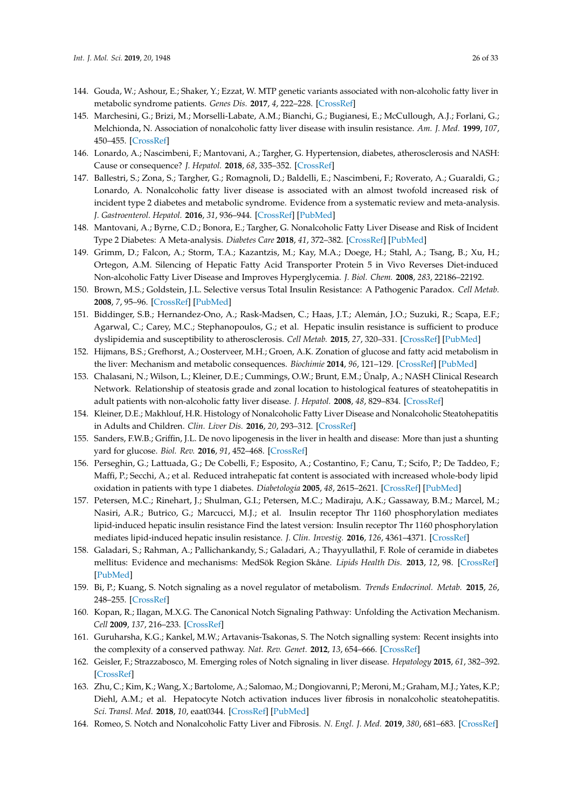- <span id="page-25-0"></span>144. Gouda, W.; Ashour, E.; Shaker, Y.; Ezzat, W. MTP genetic variants associated with non-alcoholic fatty liver in metabolic syndrome patients. *Genes Dis.* **2017**, *4*, 222–228. [\[CrossRef\]](http://dx.doi.org/10.1016/j.gendis.2017.09.002)
- <span id="page-25-1"></span>145. Marchesini, G.; Brizi, M.; Morselli-Labate, A.M.; Bianchi, G.; Bugianesi, E.; McCullough, A.J.; Forlani, G.; Melchionda, N. Association of nonalcoholic fatty liver disease with insulin resistance. *Am. J. Med.* **1999**, *107*, 450–455. [\[CrossRef\]](http://dx.doi.org/10.1016/S0002-9343(99)00271-5)
- <span id="page-25-2"></span>146. Lonardo, A.; Nascimbeni, F.; Mantovani, A.; Targher, G. Hypertension, diabetes, atherosclerosis and NASH: Cause or consequence? *J. Hepatol.* **2018**, *68*, 335–352. [\[CrossRef\]](http://dx.doi.org/10.1016/j.jhep.2017.09.021)
- 147. Ballestri, S.; Zona, S.; Targher, G.; Romagnoli, D.; Baldelli, E.; Nascimbeni, F.; Roverato, A.; Guaraldi, G.; Lonardo, A. Nonalcoholic fatty liver disease is associated with an almost twofold increased risk of incident type 2 diabetes and metabolic syndrome. Evidence from a systematic review and meta-analysis. *J. Gastroenterol. Hepatol.* **2016**, *31*, 936–944. [\[CrossRef\]](http://dx.doi.org/10.1111/jgh.13264) [\[PubMed\]](http://www.ncbi.nlm.nih.gov/pubmed/26667191)
- <span id="page-25-3"></span>148. Mantovani, A.; Byrne, C.D.; Bonora, E.; Targher, G. Nonalcoholic Fatty Liver Disease and Risk of Incident Type 2 Diabetes: A Meta-analysis. *Diabetes Care* **2018**, *41*, 372–382. [\[CrossRef\]](http://dx.doi.org/10.2337/dc17-1902) [\[PubMed\]](http://www.ncbi.nlm.nih.gov/pubmed/29358469)
- <span id="page-25-4"></span>149. Grimm, D.; Falcon, A.; Storm, T.A.; Kazantzis, M.; Kay, M.A.; Doege, H.; Stahl, A.; Tsang, B.; Xu, H.; Ortegon, A.M. Silencing of Hepatic Fatty Acid Transporter Protein 5 in Vivo Reverses Diet-induced Non-alcoholic Fatty Liver Disease and Improves Hyperglycemia. *J. Biol. Chem.* **2008**, *283*, 22186–22192.
- <span id="page-25-5"></span>150. Brown, M.S.; Goldstein, J.L. Selective versus Total Insulin Resistance: A Pathogenic Paradox. *Cell Metab.* **2008**, *7*, 95–96. [\[CrossRef\]](http://dx.doi.org/10.1016/j.cmet.2007.12.009) [\[PubMed\]](http://www.ncbi.nlm.nih.gov/pubmed/18249166)
- <span id="page-25-6"></span>151. Biddinger, S.B.; Hernandez-Ono, A.; Rask-Madsen, C.; Haas, J.T.; Alemán, J.O.; Suzuki, R.; Scapa, E.F.; Agarwal, C.; Carey, M.C.; Stephanopoulos, G.; et al. Hepatic insulin resistance is sufficient to produce dyslipidemia and susceptibility to atherosclerosis. *Cell Metab.* **2015**, *27*, 320–331. [\[CrossRef\]](http://dx.doi.org/10.1016/j.cmet.2007.11.013) [\[PubMed\]](http://www.ncbi.nlm.nih.gov/pubmed/18249172)
- <span id="page-25-7"></span>152. Hijmans, B.S.; Grefhorst, A.; Oosterveer, M.H.; Groen, A.K. Zonation of glucose and fatty acid metabolism in the liver: Mechanism and metabolic consequences. *Biochimie* **2014**, *96*, 121–129. [\[CrossRef\]](http://dx.doi.org/10.1016/j.biochi.2013.06.007) [\[PubMed\]](http://www.ncbi.nlm.nih.gov/pubmed/23792151)
- <span id="page-25-8"></span>153. Chalasani, N.; Wilson, L.; Kleiner, D.E.; Cummings, O.W.; Brunt, E.M.; Ünalp, A.; NASH Clinical Research Network. Relationship of steatosis grade and zonal location to histological features of steatohepatitis in adult patients with non-alcoholic fatty liver disease. *J. Hepatol.* **2008**, *48*, 829–834. [\[CrossRef\]](http://dx.doi.org/10.1016/j.jhep.2008.01.016)
- <span id="page-25-9"></span>154. Kleiner, D.E.; Makhlouf, H.R. Histology of Nonalcoholic Fatty Liver Disease and Nonalcoholic Steatohepatitis in Adults and Children. *Clin. Liver Dis.* **2016**, *20*, 293–312. [\[CrossRef\]](http://dx.doi.org/10.1016/j.cld.2015.10.011)
- <span id="page-25-10"></span>155. Sanders, F.W.B.; Griffin, J.L. De novo lipogenesis in the liver in health and disease: More than just a shunting yard for glucose. *Biol. Rev.* **2016**, *91*, 452–468. [\[CrossRef\]](http://dx.doi.org/10.1111/brv.12178)
- <span id="page-25-11"></span>156. Perseghin, G.; Lattuada, G.; De Cobelli, F.; Esposito, A.; Costantino, F.; Canu, T.; Scifo, P.; De Taddeo, F.; Maffi, P.; Secchi, A.; et al. Reduced intrahepatic fat content is associated with increased whole-body lipid oxidation in patients with type 1 diabetes. *Diabetologia* **2005**, *48*, 2615–2621. [\[CrossRef\]](http://dx.doi.org/10.1007/s00125-005-0014-5) [\[PubMed\]](http://www.ncbi.nlm.nih.gov/pubmed/16261312)
- <span id="page-25-12"></span>157. Petersen, M.C.; Rinehart, J.; Shulman, G.I.; Petersen, M.C.; Madiraju, A.K.; Gassaway, B.M.; Marcel, M.; Nasiri, A.R.; Butrico, G.; Marcucci, M.J.; et al. Insulin receptor Thr 1160 phosphorylation mediates lipid-induced hepatic insulin resistance Find the latest version: Insulin receptor Thr 1160 phosphorylation mediates lipid-induced hepatic insulin resistance. *J. Clin. Investig.* **2016**, *126*, 4361–4371. [\[CrossRef\]](http://dx.doi.org/10.1172/JCI86013)
- <span id="page-25-13"></span>158. Galadari, S.; Rahman, A.; Pallichankandy, S.; Galadari, A.; Thayyullathil, F. Role of ceramide in diabetes mellitus: Evidence and mechanisms: MedSök Region Skåne. *Lipids Health Dis.* **2013**, *12*, 98. [\[CrossRef\]](http://dx.doi.org/10.1186/1476-511X-12-98) [\[PubMed\]](http://www.ncbi.nlm.nih.gov/pubmed/23835113)
- <span id="page-25-14"></span>159. Bi, P.; Kuang, S. Notch signaling as a novel regulator of metabolism. *Trends Endocrinol. Metab.* **2015**, *26*, 248–255. [\[CrossRef\]](http://dx.doi.org/10.1016/j.tem.2015.02.006)
- <span id="page-25-15"></span>160. Kopan, R.; Ilagan, M.X.G. The Canonical Notch Signaling Pathway: Unfolding the Activation Mechanism. *Cell* **2009**, *137*, 216–233. [\[CrossRef\]](http://dx.doi.org/10.1016/j.cell.2009.03.045)
- <span id="page-25-16"></span>161. Guruharsha, K.G.; Kankel, M.W.; Artavanis-Tsakonas, S. The Notch signalling system: Recent insights into the complexity of a conserved pathway. *Nat. Rev. Genet.* **2012**, *13*, 654–666. [\[CrossRef\]](http://dx.doi.org/10.1038/nrg3272)
- <span id="page-25-17"></span>162. Geisler, F.; Strazzabosco, M. Emerging roles of Notch signaling in liver disease. *Hepatology* **2015**, *61*, 382–392. [\[CrossRef\]](http://dx.doi.org/10.1002/hep.27268)
- <span id="page-25-18"></span>163. Zhu, C.; Kim, K.; Wang, X.; Bartolome, A.; Salomao, M.; Dongiovanni, P.; Meroni, M.; Graham, M.J.; Yates, K.P.; Diehl, A.M.; et al. Hepatocyte Notch activation induces liver fibrosis in nonalcoholic steatohepatitis. *Sci. Transl. Med.* **2018**, *10*, eaat0344. [\[CrossRef\]](http://dx.doi.org/10.1126/scitranslmed.aat0344) [\[PubMed\]](http://www.ncbi.nlm.nih.gov/pubmed/30463916)
- 164. Romeo, S. Notch and Nonalcoholic Fatty Liver and Fibrosis. *N. Engl. J. Med.* **2019**, *380*, 681–683. [\[CrossRef\]](http://dx.doi.org/10.1056/NEJMcibr1815636)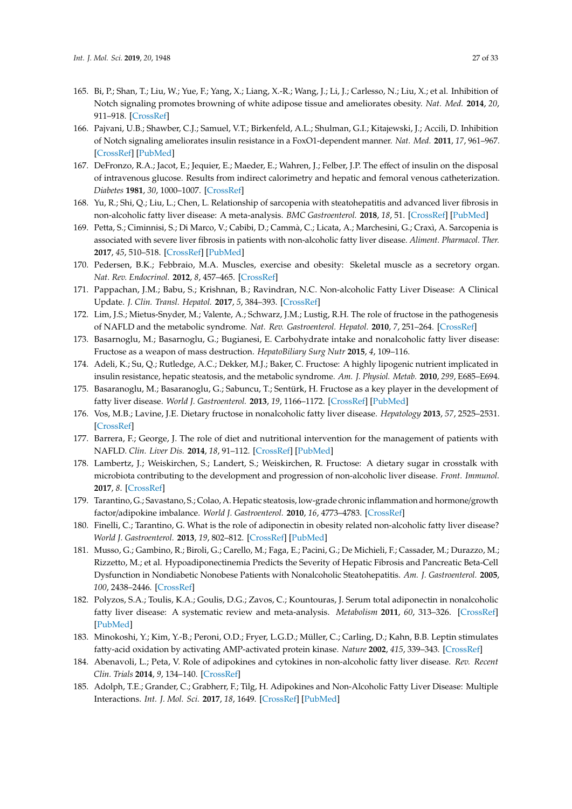- 165. Bi, P.; Shan, T.; Liu, W.; Yue, F.; Yang, X.; Liang, X.-R.; Wang, J.; Li, J.; Carlesso, N.; Liu, X.; et al. Inhibition of Notch signaling promotes browning of white adipose tissue and ameliorates obesity. *Nat. Med.* **2014**, *20*, 911–918. [\[CrossRef\]](http://dx.doi.org/10.1038/nm.3615)
- <span id="page-26-0"></span>166. Pajvani, U.B.; Shawber, C.J.; Samuel, V.T.; Birkenfeld, A.L.; Shulman, G.I.; Kitajewski, J.; Accili, D. Inhibition of Notch signaling ameliorates insulin resistance in a FoxO1-dependent manner. *Nat. Med.* **2011**, *17*, 961–967. [\[CrossRef\]](http://dx.doi.org/10.1038/nm.2378) [\[PubMed\]](http://www.ncbi.nlm.nih.gov/pubmed/21804540)
- <span id="page-26-1"></span>167. DeFronzo, R.A.; Jacot, E.; Jequier, E.; Maeder, E.; Wahren, J.; Felber, J.P. The effect of insulin on the disposal of intravenous glucose. Results from indirect calorimetry and hepatic and femoral venous catheterization. *Diabetes* **1981**, *30*, 1000–1007. [\[CrossRef\]](http://dx.doi.org/10.2337/diab.30.12.1000)
- <span id="page-26-2"></span>168. Yu, R.; Shi, Q.; Liu, L.; Chen, L. Relationship of sarcopenia with steatohepatitis and advanced liver fibrosis in non-alcoholic fatty liver disease: A meta-analysis. *BMC Gastroenterol.* **2018**, *18*, 51. [\[CrossRef\]](http://dx.doi.org/10.1186/s12876-018-0776-0) [\[PubMed\]](http://www.ncbi.nlm.nih.gov/pubmed/29673321)
- <span id="page-26-3"></span>169. Petta, S.; Ciminnisi, S.; Di Marco, V.; Cabibi, D.; Cammà, C.; Licata, A.; Marchesini, G.; Craxì, A. Sarcopenia is associated with severe liver fibrosis in patients with non-alcoholic fatty liver disease. *Aliment. Pharmacol. Ther.* **2017**, *45*, 510–518. [\[CrossRef\]](http://dx.doi.org/10.1111/apt.13889) [\[PubMed\]](http://www.ncbi.nlm.nih.gov/pubmed/28028821)
- <span id="page-26-4"></span>170. Pedersen, B.K.; Febbraio, M.A. Muscles, exercise and obesity: Skeletal muscle as a secretory organ. *Nat. Rev. Endocrinol.* **2012**, *8*, 457–465. [\[CrossRef\]](http://dx.doi.org/10.1038/nrendo.2012.49)
- <span id="page-26-5"></span>171. Pappachan, J.M.; Babu, S.; Krishnan, B.; Ravindran, N.C. Non-alcoholic Fatty Liver Disease: A Clinical Update. *J. Clin. Transl. Hepatol.* **2017**, *5*, 384–393. [\[CrossRef\]](http://dx.doi.org/10.14218/JCTH.2017.00013)
- <span id="page-26-6"></span>172. Lim, J.S.; Mietus-Snyder, M.; Valente, A.; Schwarz, J.M.; Lustig, R.H. The role of fructose in the pathogenesis of NAFLD and the metabolic syndrome. *Nat. Rev. Gastroenterol. Hepatol.* **2010**, *7*, 251–264. [\[CrossRef\]](http://dx.doi.org/10.1038/nrgastro.2010.41)
- <span id="page-26-7"></span>173. Basarnoglu, M.; Basarnoglu, G.; Bugianesi, E. Carbohydrate intake and nonalcoholic fatty liver disease: Fructose as a weapon of mass destruction. *HepatoBiliary Surg Nutr* **2015**, *4*, 109–116.
- <span id="page-26-8"></span>174. Adeli, K.; Su, Q.; Rutledge, A.C.; Dekker, M.J.; Baker, C. Fructose: A highly lipogenic nutrient implicated in insulin resistance, hepatic steatosis, and the metabolic syndrome. *Am. J. Physiol. Metab.* **2010**, *299*, E685–E694.
- <span id="page-26-9"></span>175. Basaranoglu, M.; Basaranoglu, G.; Sabuncu, T.; Sentürk, H. Fructose as a key player in the development of fatty liver disease. *World J. Gastroenterol.* **2013**, *19*, 1166–1172. [\[CrossRef\]](http://dx.doi.org/10.3748/wjg.v19.i8.1166) [\[PubMed\]](http://www.ncbi.nlm.nih.gov/pubmed/23482247)
- <span id="page-26-10"></span>176. Vos, M.B.; Lavine, J.E. Dietary fructose in nonalcoholic fatty liver disease. *Hepatology* **2013**, *57*, 2525–2531. [\[CrossRef\]](http://dx.doi.org/10.1002/hep.26299)
- <span id="page-26-11"></span>177. Barrera, F.; George, J. The role of diet and nutritional intervention for the management of patients with NAFLD. *Clin. Liver Dis.* **2014**, *18*, 91–112. [\[CrossRef\]](http://dx.doi.org/10.1016/j.cld.2013.09.009) [\[PubMed\]](http://www.ncbi.nlm.nih.gov/pubmed/24274867)
- <span id="page-26-12"></span>178. Lambertz, J.; Weiskirchen, S.; Landert, S.; Weiskirchen, R. Fructose: A dietary sugar in crosstalk with microbiota contributing to the development and progression of non-alcoholic liver disease. *Front. Immunol.* **2017**, *8*. [\[CrossRef\]](http://dx.doi.org/10.3389/fimmu.2017.01159)
- <span id="page-26-13"></span>179. Tarantino, G.; Savastano, S.; Colao, A. Hepatic steatosis, low-grade chronic inflammation and hormone/growth factor/adipokine imbalance. *World J. Gastroenterol.* **2010**, *16*, 4773–4783. [\[CrossRef\]](http://dx.doi.org/10.3748/wjg.v16.i38.4773)
- <span id="page-26-14"></span>180. Finelli, C.; Tarantino, G. What is the role of adiponectin in obesity related non-alcoholic fatty liver disease? *World J. Gastroenterol.* **2013**, *19*, 802–812. [\[CrossRef\]](http://dx.doi.org/10.3748/wjg.v19.i6.802) [\[PubMed\]](http://www.ncbi.nlm.nih.gov/pubmed/23430039)
- 181. Musso, G.; Gambino, R.; Biroli, G.; Carello, M.; Faga, E.; Pacini, G.; De Michieli, F.; Cassader, M.; Durazzo, M.; Rizzetto, M.; et al. Hypoadiponectinemia Predicts the Severity of Hepatic Fibrosis and Pancreatic Beta-Cell Dysfunction in Nondiabetic Nonobese Patients with Nonalcoholic Steatohepatitis. *Am. J. Gastroenterol.* **2005**, *100*, 2438–2446. [\[CrossRef\]](http://dx.doi.org/10.1111/j.1572-0241.2005.00297.x)
- <span id="page-26-15"></span>182. Polyzos, S.A.; Toulis, K.A.; Goulis, D.G.; Zavos, C.; Kountouras, J. Serum total adiponectin in nonalcoholic fatty liver disease: A systematic review and meta-analysis. *Metabolism* **2011**, *60*, 313–326. [\[CrossRef\]](http://dx.doi.org/10.1016/j.metabol.2010.09.003) [\[PubMed\]](http://www.ncbi.nlm.nih.gov/pubmed/21040935)
- <span id="page-26-16"></span>183. Minokoshi, Y.; Kim, Y.-B.; Peroni, O.D.; Fryer, L.G.D.; Müller, C.; Carling, D.; Kahn, B.B. Leptin stimulates fatty-acid oxidation by activating AMP-activated protein kinase. *Nature* **2002**, *415*, 339–343. [\[CrossRef\]](http://dx.doi.org/10.1038/415339a)
- <span id="page-26-17"></span>184. Abenavoli, L.; Peta, V. Role of adipokines and cytokines in non-alcoholic fatty liver disease. *Rev. Recent Clin. Trials* **2014**, *9*, 134–140. [\[CrossRef\]](http://dx.doi.org/10.2174/1574887109666141216102458)
- <span id="page-26-18"></span>185. Adolph, T.E.; Grander, C.; Grabherr, F.; Tilg, H. Adipokines and Non-Alcoholic Fatty Liver Disease: Multiple Interactions. *Int. J. Mol. Sci.* **2017**, *18*, 1649. [\[CrossRef\]](http://dx.doi.org/10.3390/ijms18081649) [\[PubMed\]](http://www.ncbi.nlm.nih.gov/pubmed/28758929)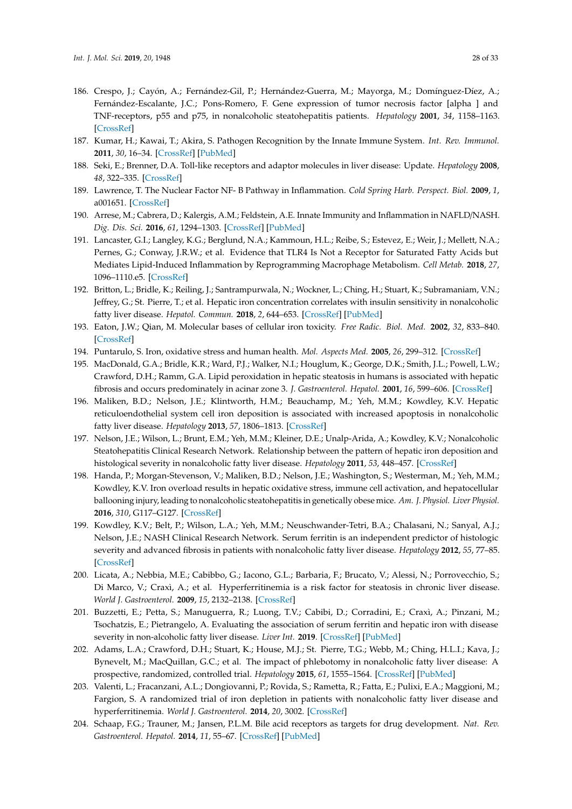- <span id="page-27-0"></span>186. Crespo, J.; Cayón, A.; Fernández-Gil, P.; Hernández-Guerra, M.; Mayorga, M.; Domínguez-Díez, A.; Fernández-Escalante, J.C.; Pons-Romero, F. Gene expression of tumor necrosis factor [alpha ] and TNF-receptors, p55 and p75, in nonalcoholic steatohepatitis patients. *Hepatology* **2001**, *34*, 1158–1163. [\[CrossRef\]](http://dx.doi.org/10.1053/jhep.2001.29628)
- <span id="page-27-1"></span>187. Kumar, H.; Kawai, T.; Akira, S. Pathogen Recognition by the Innate Immune System. *Int. Rev. Immunol.* **2011**, *30*, 16–34. [\[CrossRef\]](http://dx.doi.org/10.3109/08830185.2010.529976) [\[PubMed\]](http://www.ncbi.nlm.nih.gov/pubmed/21235323)
- <span id="page-27-2"></span>188. Seki, E.; Brenner, D.A. Toll-like receptors and adaptor molecules in liver disease: Update. *Hepatology* **2008**, *48*, 322–335. [\[CrossRef\]](http://dx.doi.org/10.1002/hep.22306)
- <span id="page-27-3"></span>189. Lawrence, T. The Nuclear Factor NF- B Pathway in Inflammation. *Cold Spring Harb. Perspect. Biol.* **2009**, *1*, a001651. [\[CrossRef\]](http://dx.doi.org/10.1101/cshperspect.a001651)
- <span id="page-27-4"></span>190. Arrese, M.; Cabrera, D.; Kalergis, A.M.; Feldstein, A.E. Innate Immunity and Inflammation in NAFLD/NASH. *Dig. Dis. Sci.* **2016**, *61*, 1294–1303. [\[CrossRef\]](http://dx.doi.org/10.1007/s10620-016-4049-x) [\[PubMed\]](http://www.ncbi.nlm.nih.gov/pubmed/26841783)
- <span id="page-27-5"></span>191. Lancaster, G.I.; Langley, K.G.; Berglund, N.A.; Kammoun, H.L.; Reibe, S.; Estevez, E.; Weir, J.; Mellett, N.A.; Pernes, G.; Conway, J.R.W.; et al. Evidence that TLR4 Is Not a Receptor for Saturated Fatty Acids but Mediates Lipid-Induced Inflammation by Reprogramming Macrophage Metabolism. *Cell Metab.* **2018**, *27*, 1096–1110.e5. [\[CrossRef\]](http://dx.doi.org/10.1016/j.cmet.2018.03.014)
- <span id="page-27-6"></span>192. Britton, L.; Bridle, K.; Reiling, J.; Santrampurwala, N.; Wockner, L.; Ching, H.; Stuart, K.; Subramaniam, V.N.; Jeffrey, G.; St. Pierre, T.; et al. Hepatic iron concentration correlates with insulin sensitivity in nonalcoholic fatty liver disease. *Hepatol. Commun.* **2018**, *2*, 644–653. [\[CrossRef\]](http://dx.doi.org/10.1002/hep4.1190) [\[PubMed\]](http://www.ncbi.nlm.nih.gov/pubmed/29881816)
- <span id="page-27-7"></span>193. Eaton, J.W.; Qian, M. Molecular bases of cellular iron toxicity. *Free Radic. Biol. Med.* **2002**, *32*, 833–840. [\[CrossRef\]](http://dx.doi.org/10.1016/S0891-5849(02)00772-4)
- 194. Puntarulo, S. Iron, oxidative stress and human health. *Mol. Aspects Med.* **2005**, *26*, 299–312. [\[CrossRef\]](http://dx.doi.org/10.1016/j.mam.2005.07.001)
- <span id="page-27-8"></span>195. MacDonald, G.A.; Bridle, K.R.; Ward, P.J.; Walker, N.I.; Houglum, K.; George, D.K.; Smith, J.L.; Powell, L.W.; Crawford, D.H.; Ramm, G.A. Lipid peroxidation in hepatic steatosis in humans is associated with hepatic fibrosis and occurs predominately in acinar zone 3. *J. Gastroenterol. Hepatol.* **2001**, *16*, 599–606. [\[CrossRef\]](http://dx.doi.org/10.1046/j.1440-1746.2001.02445.x)
- <span id="page-27-9"></span>196. Maliken, B.D.; Nelson, J.E.; Klintworth, H.M.; Beauchamp, M.; Yeh, M.M.; Kowdley, K.V. Hepatic reticuloendothelial system cell iron deposition is associated with increased apoptosis in nonalcoholic fatty liver disease. *Hepatology* **2013**, *57*, 1806–1813. [\[CrossRef\]](http://dx.doi.org/10.1002/hep.26238)
- <span id="page-27-10"></span>197. Nelson, J.E.; Wilson, L.; Brunt, E.M.; Yeh, M.M.; Kleiner, D.E.; Unalp-Arida, A.; Kowdley, K.V.; Nonalcoholic Steatohepatitis Clinical Research Network. Relationship between the pattern of hepatic iron deposition and histological severity in nonalcoholic fatty liver disease. *Hepatology* **2011**, *53*, 448–457. [\[CrossRef\]](http://dx.doi.org/10.1002/hep.24038)
- <span id="page-27-11"></span>198. Handa, P.; Morgan-Stevenson, V.; Maliken, B.D.; Nelson, J.E.; Washington, S.; Westerman, M.; Yeh, M.M.; Kowdley, K.V. Iron overload results in hepatic oxidative stress, immune cell activation, and hepatocellular ballooning injury, leading to nonalcoholic steatohepatitis in genetically obese mice. *Am. J. Physiol. Liver Physiol.* **2016**, *310*, G117–G127. [\[CrossRef\]](http://dx.doi.org/10.1152/ajpgi.00246.2015)
- <span id="page-27-12"></span>199. Kowdley, K.V.; Belt, P.; Wilson, L.A.; Yeh, M.M.; Neuschwander-Tetri, B.A.; Chalasani, N.; Sanyal, A.J.; Nelson, J.E.; NASH Clinical Research Network. Serum ferritin is an independent predictor of histologic severity and advanced fibrosis in patients with nonalcoholic fatty liver disease. *Hepatology* **2012**, *55*, 77–85. [\[CrossRef\]](http://dx.doi.org/10.1002/hep.24706)
- 200. Licata, A.; Nebbia, M.E.; Cabibbo, G.; Iacono, G.L.; Barbaria, F.; Brucato, V.; Alessi, N.; Porrovecchio, S.; Di Marco, V.; Craxì, A.; et al. Hyperferritinemia is a risk factor for steatosis in chronic liver disease. *World J. Gastroenterol.* **2009**, *15*, 2132–2138. [\[CrossRef\]](http://dx.doi.org/10.3748/wjg.15.2132)
- <span id="page-27-13"></span>201. Buzzetti, E.; Petta, S.; Manuguerra, R.; Luong, T.V.; Cabibi, D.; Corradini, E.; Craxì, A.; Pinzani, M.; Tsochatzis, E.; Pietrangelo, A. Evaluating the association of serum ferritin and hepatic iron with disease severity in non-alcoholic fatty liver disease. *Liver Int.* **2019**. [\[CrossRef\]](http://dx.doi.org/10.1111/liv.14096) [\[PubMed\]](http://www.ncbi.nlm.nih.gov/pubmed/30851216)
- <span id="page-27-14"></span>202. Adams, L.A.; Crawford, D.H.; Stuart, K.; House, M.J.; St. Pierre, T.G.; Webb, M.; Ching, H.L.I.; Kava, J.; Bynevelt, M.; MacQuillan, G.C.; et al. The impact of phlebotomy in nonalcoholic fatty liver disease: A prospective, randomized, controlled trial. *Hepatology* **2015**, *61*, 1555–1564. [\[CrossRef\]](http://dx.doi.org/10.1002/hep.27662) [\[PubMed\]](http://www.ncbi.nlm.nih.gov/pubmed/25524401)
- <span id="page-27-15"></span>203. Valenti, L.; Fracanzani, A.L.; Dongiovanni, P.; Rovida, S.; Rametta, R.; Fatta, E.; Pulixi, E.A.; Maggioni, M.; Fargion, S. A randomized trial of iron depletion in patients with nonalcoholic fatty liver disease and hyperferritinemia. *World J. Gastroenterol.* **2014**, *20*, 3002. [\[CrossRef\]](http://dx.doi.org/10.3748/wjg.v20.i11.3002)
- <span id="page-27-16"></span>204. Schaap, F.G.; Trauner, M.; Jansen, P.L.M. Bile acid receptors as targets for drug development. *Nat. Rev. Gastroenterol. Hepatol.* **2014**, *11*, 55–67. [\[CrossRef\]](http://dx.doi.org/10.1038/nrgastro.2013.151) [\[PubMed\]](http://www.ncbi.nlm.nih.gov/pubmed/23982684)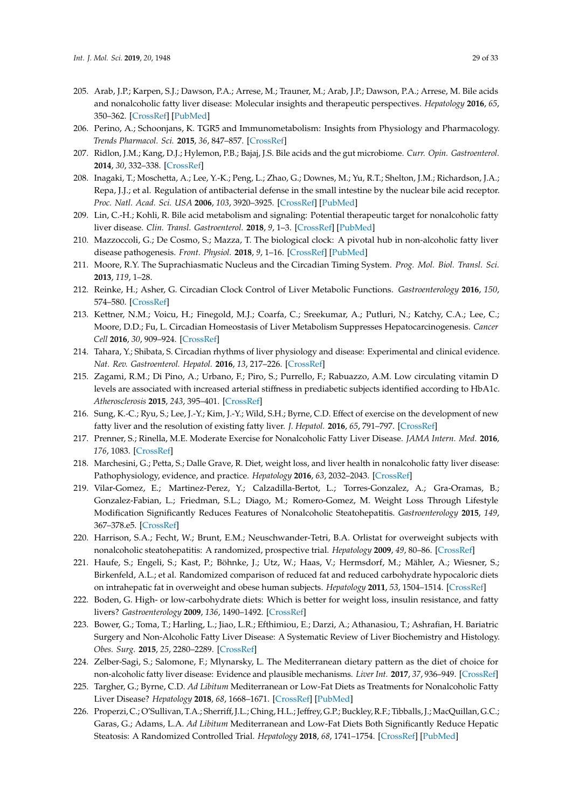- <span id="page-28-0"></span>205. Arab, J.P.; Karpen, S.J.; Dawson, P.A.; Arrese, M.; Trauner, M.; Arab, J.P.; Dawson, P.A.; Arrese, M. Bile acids and nonalcoholic fatty liver disease: Molecular insights and therapeutic perspectives. *Hepatology* **2016**, *65*, 350–362. [\[CrossRef\]](http://dx.doi.org/10.1002/hep.28709) [\[PubMed\]](http://www.ncbi.nlm.nih.gov/pubmed/27358174)
- <span id="page-28-1"></span>206. Perino, A.; Schoonjans, K. TGR5 and Immunometabolism: Insights from Physiology and Pharmacology. *Trends Pharmacol. Sci.* **2015**, *36*, 847–857. [\[CrossRef\]](http://dx.doi.org/10.1016/j.tips.2015.08.002)
- <span id="page-28-2"></span>207. Ridlon, J.M.; Kang, D.J.; Hylemon, P.B.; Bajaj, J.S. Bile acids and the gut microbiome. *Curr. Opin. Gastroenterol.* **2014**, *30*, 332–338. [\[CrossRef\]](http://dx.doi.org/10.1097/MOG.0000000000000057)
- <span id="page-28-3"></span>208. Inagaki, T.; Moschetta, A.; Lee, Y.-K.; Peng, L.; Zhao, G.; Downes, M.; Yu, R.T.; Shelton, J.M.; Richardson, J.A.; Repa, J.J.; et al. Regulation of antibacterial defense in the small intestine by the nuclear bile acid receptor. *Proc. Natl. Acad. Sci. USA* **2006**, *103*, 3920–3925. [\[CrossRef\]](http://dx.doi.org/10.1073/pnas.0509592103) [\[PubMed\]](http://www.ncbi.nlm.nih.gov/pubmed/16473946)
- <span id="page-28-4"></span>209. Lin, C.-H.; Kohli, R. Bile acid metabolism and signaling: Potential therapeutic target for nonalcoholic fatty liver disease. *Clin. Transl. Gastroenterol.* **2018**, *9*, 1–3. [\[CrossRef\]](http://dx.doi.org/10.1038/s41424-018-0034-3) [\[PubMed\]](http://www.ncbi.nlm.nih.gov/pubmed/29955036)
- <span id="page-28-5"></span>210. Mazzoccoli, G.; De Cosmo, S.; Mazza, T. The biological clock: A pivotal hub in non-alcoholic fatty liver disease pathogenesis. *Front. Physiol.* **2018**, *9*, 1–16. [\[CrossRef\]](http://dx.doi.org/10.3389/fphys.2018.00193) [\[PubMed\]](http://www.ncbi.nlm.nih.gov/pubmed/29662454)
- <span id="page-28-6"></span>211. Moore, R.Y. The Suprachiasmatic Nucleus and the Circadian Timing System. *Prog. Mol. Biol. Transl. Sci.* **2013**, *119*, 1–28.
- <span id="page-28-7"></span>212. Reinke, H.; Asher, G. Circadian Clock Control of Liver Metabolic Functions. *Gastroenterology* **2016**, *150*, 574–580. [\[CrossRef\]](http://dx.doi.org/10.1053/j.gastro.2015.11.043)
- <span id="page-28-8"></span>213. Kettner, N.M.; Voicu, H.; Finegold, M.J.; Coarfa, C.; Sreekumar, A.; Putluri, N.; Katchy, C.A.; Lee, C.; Moore, D.D.; Fu, L. Circadian Homeostasis of Liver Metabolism Suppresses Hepatocarcinogenesis. *Cancer Cell* **2016**, *30*, 909–924. [\[CrossRef\]](http://dx.doi.org/10.1016/j.ccell.2016.10.007)
- <span id="page-28-9"></span>214. Tahara, Y.; Shibata, S. Circadian rhythms of liver physiology and disease: Experimental and clinical evidence. *Nat. Rev. Gastroenterol. Hepatol.* **2016**, *13*, 217–226. [\[CrossRef\]](http://dx.doi.org/10.1038/nrgastro.2016.8)
- <span id="page-28-10"></span>215. Zagami, R.M.; Di Pino, A.; Urbano, F.; Piro, S.; Purrello, F.; Rabuazzo, A.M. Low circulating vitamin D levels are associated with increased arterial stiffness in prediabetic subjects identified according to HbA1c. *Atherosclerosis* **2015**, *243*, 395–401. [\[CrossRef\]](http://dx.doi.org/10.1016/j.atherosclerosis.2015.09.038)
- <span id="page-28-11"></span>216. Sung, K.-C.; Ryu, S.; Lee, J.-Y.; Kim, J.-Y.; Wild, S.H.; Byrne, C.D. Effect of exercise on the development of new fatty liver and the resolution of existing fatty liver. *J. Hepatol.* **2016**, *65*, 791–797. [\[CrossRef\]](http://dx.doi.org/10.1016/j.jhep.2016.05.026)
- <span id="page-28-12"></span>217. Prenner, S.; Rinella, M.E. Moderate Exercise for Nonalcoholic Fatty Liver Disease. *JAMA Intern. Med.* **2016**, *176*, 1083. [\[CrossRef\]](http://dx.doi.org/10.1001/jamainternmed.2016.3221)
- <span id="page-28-13"></span>218. Marchesini, G.; Petta, S.; Dalle Grave, R. Diet, weight loss, and liver health in nonalcoholic fatty liver disease: Pathophysiology, evidence, and practice. *Hepatology* **2016**, *63*, 2032–2043. [\[CrossRef\]](http://dx.doi.org/10.1002/hep.28392)
- <span id="page-28-14"></span>219. Vilar-Gomez, E.; Martinez-Perez, Y.; Calzadilla-Bertot, L.; Torres-Gonzalez, A.; Gra-Oramas, B.; Gonzalez-Fabian, L.; Friedman, S.L.; Diago, M.; Romero-Gomez, M. Weight Loss Through Lifestyle Modification Significantly Reduces Features of Nonalcoholic Steatohepatitis. *Gastroenterology* **2015**, *149*, 367–378.e5. [\[CrossRef\]](http://dx.doi.org/10.1053/j.gastro.2015.04.005)
- <span id="page-28-15"></span>220. Harrison, S.A.; Fecht, W.; Brunt, E.M.; Neuschwander-Tetri, B.A. Orlistat for overweight subjects with nonalcoholic steatohepatitis: A randomized, prospective trial. *Hepatology* **2009**, *49*, 80–86. [\[CrossRef\]](http://dx.doi.org/10.1002/hep.22575)
- <span id="page-28-16"></span>221. Haufe, S.; Engeli, S.; Kast, P.; Böhnke, J.; Utz, W.; Haas, V.; Hermsdorf, M.; Mähler, A.; Wiesner, S.; Birkenfeld, A.L.; et al. Randomized comparison of reduced fat and reduced carbohydrate hypocaloric diets on intrahepatic fat in overweight and obese human subjects. *Hepatology* **2011**, *53*, 1504–1514. [\[CrossRef\]](http://dx.doi.org/10.1002/hep.24242)
- <span id="page-28-17"></span>222. Boden, G. High- or low-carbohydrate diets: Which is better for weight loss, insulin resistance, and fatty livers? *Gastroenterology* **2009**, *136*, 1490–1492. [\[CrossRef\]](http://dx.doi.org/10.1053/j.gastro.2009.03.019)
- <span id="page-28-18"></span>223. Bower, G.; Toma, T.; Harling, L.; Jiao, L.R.; Efthimiou, E.; Darzi, A.; Athanasiou, T.; Ashrafian, H. Bariatric Surgery and Non-Alcoholic Fatty Liver Disease: A Systematic Review of Liver Biochemistry and Histology. *Obes. Surg.* **2015**, *25*, 2280–2289. [\[CrossRef\]](http://dx.doi.org/10.1007/s11695-015-1691-x)
- <span id="page-28-19"></span>224. Zelber-Sagi, S.; Salomone, F.; Mlynarsky, L. The Mediterranean dietary pattern as the diet of choice for non-alcoholic fatty liver disease: Evidence and plausible mechanisms. *Liver Int.* **2017**, *37*, 936–949. [\[CrossRef\]](http://dx.doi.org/10.1111/liv.13435)
- <span id="page-28-20"></span>225. Targher, G.; Byrne, C.D. *Ad Libitum* Mediterranean or Low-Fat Diets as Treatments for Nonalcoholic Fatty Liver Disease? *Hepatology* **2018**, *68*, 1668–1671. [\[CrossRef\]](http://dx.doi.org/10.1002/hep.30142) [\[PubMed\]](http://www.ncbi.nlm.nih.gov/pubmed/30070378)
- <span id="page-28-21"></span>226. Properzi, C.; O'Sullivan, T.A.; Sherriff, J.L.; Ching, H.L.; Jeffrey, G.P.; Buckley, R.F.; Tibballs, J.; MacQuillan, G.C.; Garas, G.; Adams, L.A. *Ad Libitum* Mediterranean and Low-Fat Diets Both Significantly Reduce Hepatic Steatosis: A Randomized Controlled Trial. *Hepatology* **2018**, *68*, 1741–1754. [\[CrossRef\]](http://dx.doi.org/10.1002/hep.30076) [\[PubMed\]](http://www.ncbi.nlm.nih.gov/pubmed/29729189)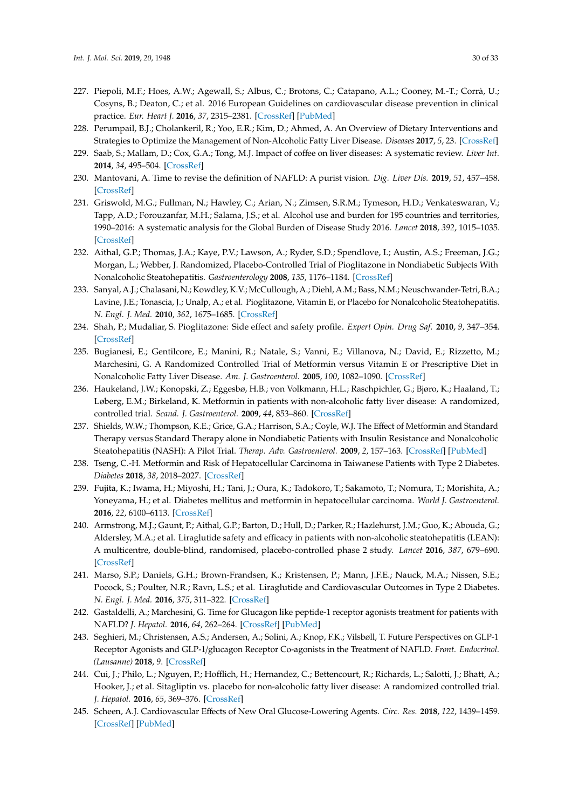- <span id="page-29-0"></span>227. Piepoli, M.F.; Hoes, A.W.; Agewall, S.; Albus, C.; Brotons, C.; Catapano, A.L.; Cooney, M.-T.; Corrà, U.; Cosyns, B.; Deaton, C.; et al. 2016 European Guidelines on cardiovascular disease prevention in clinical practice. *Eur. Heart J.* **2016**, *37*, 2315–2381. [\[CrossRef\]](http://dx.doi.org/10.1093/eurheartj/ehw106) [\[PubMed\]](http://www.ncbi.nlm.nih.gov/pubmed/27222591)
- <span id="page-29-1"></span>228. Perumpail, B.J.; Cholankeril, R.; Yoo, E.R.; Kim, D.; Ahmed, A. An Overview of Dietary Interventions and Strategies to Optimize the Management of Non-Alcoholic Fatty Liver Disease. *Diseases* **2017**, *5*, 23. [\[CrossRef\]](http://dx.doi.org/10.3390/diseases5040023)
- <span id="page-29-2"></span>229. Saab, S.; Mallam, D.; Cox, G.A.; Tong, M.J. Impact of coffee on liver diseases: A systematic review. *Liver Int.* **2014**, *34*, 495–504. [\[CrossRef\]](http://dx.doi.org/10.1111/liv.12304)
- <span id="page-29-3"></span>230. Mantovani, A. Time to revise the definition of NAFLD: A purist vision. *Dig. Liver Dis.* **2019**, *51*, 457–458. [\[CrossRef\]](http://dx.doi.org/10.1016/j.dld.2018.12.018)
- <span id="page-29-4"></span>231. Griswold, M.G.; Fullman, N.; Hawley, C.; Arian, N.; Zimsen, S.R.M.; Tymeson, H.D.; Venkateswaran, V.; Tapp, A.D.; Forouzanfar, M.H.; Salama, J.S.; et al. Alcohol use and burden for 195 countries and territories, 1990–2016: A systematic analysis for the Global Burden of Disease Study 2016. *Lancet* **2018**, *392*, 1015–1035. [\[CrossRef\]](http://dx.doi.org/10.1016/S0140-6736(18)31310-2)
- <span id="page-29-5"></span>232. Aithal, G.P.; Thomas, J.A.; Kaye, P.V.; Lawson, A.; Ryder, S.D.; Spendlove, I.; Austin, A.S.; Freeman, J.G.; Morgan, L.; Webber, J. Randomized, Placebo-Controlled Trial of Pioglitazone in Nondiabetic Subjects With Nonalcoholic Steatohepatitis. *Gastroenterology* **2008**, *135*, 1176–1184. [\[CrossRef\]](http://dx.doi.org/10.1053/j.gastro.2008.06.047)
- <span id="page-29-6"></span>233. Sanyal, A.J.; Chalasani, N.; Kowdley, K.V.; McCullough, A.; Diehl, A.M.; Bass, N.M.; Neuschwander-Tetri, B.A.; Lavine, J.E.; Tonascia, J.; Unalp, A.; et al. Pioglitazone, Vitamin E, or Placebo for Nonalcoholic Steatohepatitis. *N. Engl. J. Med.* **2010**, *362*, 1675–1685. [\[CrossRef\]](http://dx.doi.org/10.1056/NEJMoa0907929)
- <span id="page-29-7"></span>234. Shah, P.; Mudaliar, S. Pioglitazone: Side effect and safety profile. *Expert Opin. Drug Saf.* **2010**, *9*, 347–354. [\[CrossRef\]](http://dx.doi.org/10.1517/14740331003623218)
- <span id="page-29-8"></span>235. Bugianesi, E.; Gentilcore, E.; Manini, R.; Natale, S.; Vanni, E.; Villanova, N.; David, E.; Rizzetto, M.; Marchesini, G. A Randomized Controlled Trial of Metformin versus Vitamin E or Prescriptive Diet in Nonalcoholic Fatty Liver Disease. *Am. J. Gastroenterol.* **2005**, *100*, 1082–1090. [\[CrossRef\]](http://dx.doi.org/10.1111/j.1572-0241.2005.41583.x)
- <span id="page-29-9"></span>236. Haukeland, J.W.; Konopski, Z.; Eggesbø, H.B.; von Volkmann, H.L.; Raschpichler, G.; Bjøro, K.; Haaland, T.; Løberg, E.M.; Birkeland, K. Metformin in patients with non-alcoholic fatty liver disease: A randomized, controlled trial. *Scand. J. Gastroenterol.* **2009**, *44*, 853–860. [\[CrossRef\]](http://dx.doi.org/10.1080/00365520902845268)
- <span id="page-29-10"></span>237. Shields, W.W.; Thompson, K.E.; Grice, G.A.; Harrison, S.A.; Coyle, W.J. The Effect of Metformin and Standard Therapy versus Standard Therapy alone in Nondiabetic Patients with Insulin Resistance and Nonalcoholic Steatohepatitis (NASH): A Pilot Trial. *Therap. Adv. Gastroenterol.* **2009**, *2*, 157–163. [\[CrossRef\]](http://dx.doi.org/10.1177/1756283X09105462) [\[PubMed\]](http://www.ncbi.nlm.nih.gov/pubmed/21180541)
- <span id="page-29-11"></span>238. Tseng, C.-H. Metformin and Risk of Hepatocellular Carcinoma in Taiwanese Patients with Type 2 Diabetes. *Diabetes* **2018**, *38*, 2018–2027. [\[CrossRef\]](http://dx.doi.org/10.2337/db18-1622-P)
- <span id="page-29-12"></span>239. Fujita, K.; Iwama, H.; Miyoshi, H.; Tani, J.; Oura, K.; Tadokoro, T.; Sakamoto, T.; Nomura, T.; Morishita, A.; Yoneyama, H.; et al. Diabetes mellitus and metformin in hepatocellular carcinoma. *World J. Gastroenterol.* **2016**, *22*, 6100–6113. [\[CrossRef\]](http://dx.doi.org/10.3748/wjg.v22.i27.6100)
- <span id="page-29-13"></span>240. Armstrong, M.J.; Gaunt, P.; Aithal, G.P.; Barton, D.; Hull, D.; Parker, R.; Hazlehurst, J.M.; Guo, K.; Abouda, G.; Aldersley, M.A.; et al. Liraglutide safety and efficacy in patients with non-alcoholic steatohepatitis (LEAN): A multicentre, double-blind, randomised, placebo-controlled phase 2 study. *Lancet* **2016**, *387*, 679–690. [\[CrossRef\]](http://dx.doi.org/10.1016/S0140-6736(15)00803-X)
- <span id="page-29-14"></span>241. Marso, S.P.; Daniels, G.H.; Brown-Frandsen, K.; Kristensen, P.; Mann, J.F.E.; Nauck, M.A.; Nissen, S.E.; Pocock, S.; Poulter, N.R.; Ravn, L.S.; et al. Liraglutide and Cardiovascular Outcomes in Type 2 Diabetes. *N. Engl. J. Med.* **2016**, *375*, 311–322. [\[CrossRef\]](http://dx.doi.org/10.1056/NEJMoa1603827)
- <span id="page-29-15"></span>242. Gastaldelli, A.; Marchesini, G. Time for Glucagon like peptide-1 receptor agonists treatment for patients with NAFLD? *J. Hepatol.* **2016**, *64*, 262–264. [\[CrossRef\]](http://dx.doi.org/10.1016/j.jhep.2015.11.031) [\[PubMed\]](http://www.ncbi.nlm.nih.gov/pubmed/26643784)
- <span id="page-29-16"></span>243. Seghieri, M.; Christensen, A.S.; Andersen, A.; Solini, A.; Knop, F.K.; Vilsbøll, T. Future Perspectives on GLP-1 Receptor Agonists and GLP-1/glucagon Receptor Co-agonists in the Treatment of NAFLD. *Front. Endocrinol. (Lausanne)* **2018**, *9*. [\[CrossRef\]](http://dx.doi.org/10.3389/fendo.2018.00649)
- <span id="page-29-17"></span>244. Cui, J.; Philo, L.; Nguyen, P.; Hofflich, H.; Hernandez, C.; Bettencourt, R.; Richards, L.; Salotti, J.; Bhatt, A.; Hooker, J.; et al. Sitagliptin vs. placebo for non-alcoholic fatty liver disease: A randomized controlled trial. *J. Hepatol.* **2016**, *65*, 369–376. [\[CrossRef\]](http://dx.doi.org/10.1016/j.jhep.2016.04.021)
- <span id="page-29-18"></span>245. Scheen, A.J. Cardiovascular Effects of New Oral Glucose-Lowering Agents. *Circ. Res.* **2018**, *122*, 1439–1459. [\[CrossRef\]](http://dx.doi.org/10.1161/CIRCRESAHA.117.311588) [\[PubMed\]](http://www.ncbi.nlm.nih.gov/pubmed/29748368)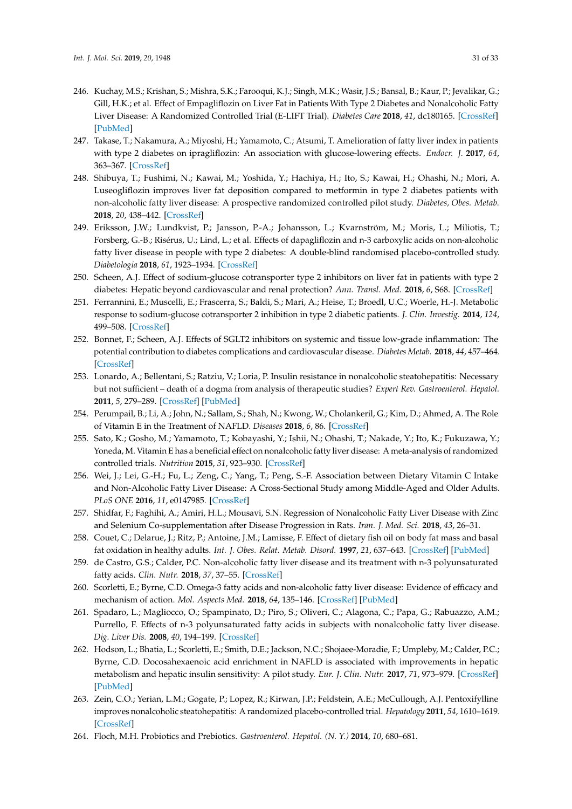- <span id="page-30-0"></span>246. Kuchay, M.S.; Krishan, S.; Mishra, S.K.; Farooqui, K.J.; Singh, M.K.; Wasir, J.S.; Bansal, B.; Kaur, P.; Jevalikar, G.; Gill, H.K.; et al. Effect of Empagliflozin on Liver Fat in Patients With Type 2 Diabetes and Nonalcoholic Fatty Liver Disease: A Randomized Controlled Trial (E-LIFT Trial). *Diabetes Care* **2018**, *41*, dc180165. [\[CrossRef\]](http://dx.doi.org/10.2337/dc18-0165) [\[PubMed\]](http://www.ncbi.nlm.nih.gov/pubmed/29895557)
- <span id="page-30-1"></span>247. Takase, T.; Nakamura, A.; Miyoshi, H.; Yamamoto, C.; Atsumi, T. Amelioration of fatty liver index in patients with type 2 diabetes on ipragliflozin: An association with glucose-lowering effects. *Endocr. J.* **2017**, *64*, 363–367. [\[CrossRef\]](http://dx.doi.org/10.1507/endocrj.EJ16-0295)
- <span id="page-30-2"></span>248. Shibuya, T.; Fushimi, N.; Kawai, M.; Yoshida, Y.; Hachiya, H.; Ito, S.; Kawai, H.; Ohashi, N.; Mori, A. Luseogliflozin improves liver fat deposition compared to metformin in type 2 diabetes patients with non-alcoholic fatty liver disease: A prospective randomized controlled pilot study. *Diabetes, Obes. Metab.* **2018**, *20*, 438–442. [\[CrossRef\]](http://dx.doi.org/10.1111/dom.13061)
- <span id="page-30-3"></span>249. Eriksson, J.W.; Lundkvist, P.; Jansson, P.-A.; Johansson, L.; Kvarnström, M.; Moris, L.; Miliotis, T.; Forsberg, G.-B.; Risérus, U.; Lind, L.; et al. Effects of dapagliflozin and n-3 carboxylic acids on non-alcoholic fatty liver disease in people with type 2 diabetes: A double-blind randomised placebo-controlled study. *Diabetologia* **2018**, *61*, 1923–1934. [\[CrossRef\]](http://dx.doi.org/10.1007/s00125-018-4675-2)
- <span id="page-30-4"></span>250. Scheen, A.J. Effect of sodium-glucose cotransporter type 2 inhibitors on liver fat in patients with type 2 diabetes: Hepatic beyond cardiovascular and renal protection? *Ann. Transl. Med.* **2018**, *6*, S68. [\[CrossRef\]](http://dx.doi.org/10.21037/atm.2018.10.39)
- <span id="page-30-5"></span>251. Ferrannini, E.; Muscelli, E.; Frascerra, S.; Baldi, S.; Mari, A.; Heise, T.; Broedl, U.C.; Woerle, H.-J. Metabolic response to sodium-glucose cotransporter 2 inhibition in type 2 diabetic patients. *J. Clin. Investig.* **2014**, *124*, 499–508. [\[CrossRef\]](http://dx.doi.org/10.1172/JCI72227)
- <span id="page-30-6"></span>252. Bonnet, F.; Scheen, A.J. Effects of SGLT2 inhibitors on systemic and tissue low-grade inflammation: The potential contribution to diabetes complications and cardiovascular disease. *Diabetes Metab.* **2018**, *44*, 457–464. [\[CrossRef\]](http://dx.doi.org/10.1016/j.diabet.2018.09.005)
- <span id="page-30-7"></span>253. Lonardo, A.; Bellentani, S.; Ratziu, V.; Loria, P. Insulin resistance in nonalcoholic steatohepatitis: Necessary but not sufficient – death of a dogma from analysis of therapeutic studies? *Expert Rev. Gastroenterol. Hepatol.* **2011**, *5*, 279–289. [\[CrossRef\]](http://dx.doi.org/10.1586/egh.11.19) [\[PubMed\]](http://www.ncbi.nlm.nih.gov/pubmed/21476922)
- <span id="page-30-8"></span>254. Perumpail, B.; Li, A.; John, N.; Sallam, S.; Shah, N.; Kwong, W.; Cholankeril, G.; Kim, D.; Ahmed, A. The Role of Vitamin E in the Treatment of NAFLD. *Diseases* **2018**, *6*, 86. [\[CrossRef\]](http://dx.doi.org/10.3390/diseases6040086)
- <span id="page-30-9"></span>255. Sato, K.; Gosho, M.; Yamamoto, T.; Kobayashi, Y.; Ishii, N.; Ohashi, T.; Nakade, Y.; Ito, K.; Fukuzawa, Y.; Yoneda, M. Vitamin E has a beneficial effect on nonalcoholic fatty liver disease: A meta-analysis of randomized controlled trials. *Nutrition* **2015**, *31*, 923–930. [\[CrossRef\]](http://dx.doi.org/10.1016/j.nut.2014.11.018)
- <span id="page-30-10"></span>256. Wei, J.; Lei, G.-H.; Fu, L.; Zeng, C.; Yang, T.; Peng, S.-F. Association between Dietary Vitamin C Intake and Non-Alcoholic Fatty Liver Disease: A Cross-Sectional Study among Middle-Aged and Older Adults. *PLoS ONE* **2016**, *11*, e0147985. [\[CrossRef\]](http://dx.doi.org/10.1371/journal.pone.0147985)
- <span id="page-30-11"></span>257. Shidfar, F.; Faghihi, A.; Amiri, H.L.; Mousavi, S.N. Regression of Nonalcoholic Fatty Liver Disease with Zinc and Selenium Co-supplementation after Disease Progression in Rats. *Iran. J. Med. Sci.* **2018**, *43*, 26–31.
- <span id="page-30-12"></span>258. Couet, C.; Delarue, J.; Ritz, P.; Antoine, J.M.; Lamisse, F. Effect of dietary fish oil on body fat mass and basal fat oxidation in healthy adults. *Int. J. Obes. Relat. Metab. Disord.* **1997**, *21*, 637–643. [\[CrossRef\]](http://dx.doi.org/10.1038/sj.ijo.0800451) [\[PubMed\]](http://www.ncbi.nlm.nih.gov/pubmed/15481762)
- <span id="page-30-13"></span>259. de Castro, G.S.; Calder, P.C. Non-alcoholic fatty liver disease and its treatment with n-3 polyunsaturated fatty acids. *Clin. Nutr.* **2018**, *37*, 37–55. [\[CrossRef\]](http://dx.doi.org/10.1016/j.clnu.2017.01.006)
- <span id="page-30-14"></span>260. Scorletti, E.; Byrne, C.D. Omega-3 fatty acids and non-alcoholic fatty liver disease: Evidence of efficacy and mechanism of action. *Mol. Aspects Med.* **2018**, *64*, 135–146. [\[CrossRef\]](http://dx.doi.org/10.1016/j.mam.2018.03.001) [\[PubMed\]](http://www.ncbi.nlm.nih.gov/pubmed/29544992)
- <span id="page-30-15"></span>261. Spadaro, L.; Magliocco, O.; Spampinato, D.; Piro, S.; Oliveri, C.; Alagona, C.; Papa, G.; Rabuazzo, A.M.; Purrello, F. Effects of n-3 polyunsaturated fatty acids in subjects with nonalcoholic fatty liver disease. *Dig. Liver Dis.* **2008**, *40*, 194–199. [\[CrossRef\]](http://dx.doi.org/10.1016/j.dld.2007.10.003)
- <span id="page-30-16"></span>262. Hodson, L.; Bhatia, L.; Scorletti, E.; Smith, D.E.; Jackson, N.C.; Shojaee-Moradie, F.; Umpleby, M.; Calder, P.C.; Byrne, C.D. Docosahexaenoic acid enrichment in NAFLD is associated with improvements in hepatic metabolism and hepatic insulin sensitivity: A pilot study. *Eur. J. Clin. Nutr.* **2017**, *71*, 973–979. [\[CrossRef\]](http://dx.doi.org/10.1038/ejcn.2017.9) [\[PubMed\]](http://www.ncbi.nlm.nih.gov/pubmed/28294174)
- <span id="page-30-17"></span>263. Zein, C.O.; Yerian, L.M.; Gogate, P.; Lopez, R.; Kirwan, J.P.; Feldstein, A.E.; McCullough, A.J. Pentoxifylline improves nonalcoholic steatohepatitis: A randomized placebo-controlled trial. *Hepatology* **2011**, *54*, 1610–1619. [\[CrossRef\]](http://dx.doi.org/10.1002/hep.24544)
- <span id="page-30-18"></span>264. Floch, M.H. Probiotics and Prebiotics. *Gastroenterol. Hepatol. (N. Y.)* **2014**, *10*, 680–681.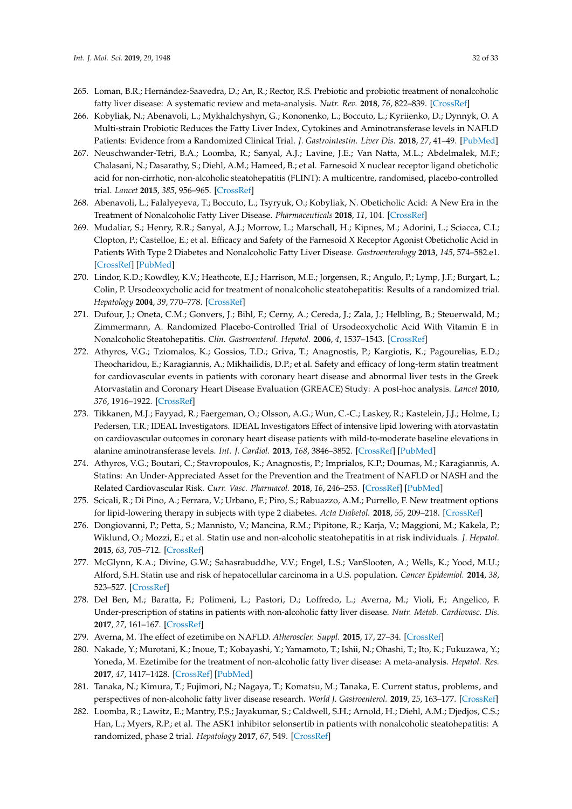- <span id="page-31-0"></span>265. Loman, B.R.; Hernández-Saavedra, D.; An, R.; Rector, R.S. Prebiotic and probiotic treatment of nonalcoholic fatty liver disease: A systematic review and meta-analysis. *Nutr. Rev.* **2018**, *76*, 822–839. [\[CrossRef\]](http://dx.doi.org/10.1093/nutrit/nuy031)
- <span id="page-31-1"></span>266. Kobyliak, N.; Abenavoli, L.; Mykhalchyshyn, G.; Kononenko, L.; Boccuto, L.; Kyriienko, D.; Dynnyk, O. A Multi-strain Probiotic Reduces the Fatty Liver Index, Cytokines and Aminotransferase levels in NAFLD Patients: Evidence from a Randomized Clinical Trial. *J. Gastrointestin. Liver Dis.* **2018**, *27*, 41–49. [\[PubMed\]](http://www.ncbi.nlm.nih.gov/pubmed/29557414)
- <span id="page-31-2"></span>267. Neuschwander-Tetri, B.A.; Loomba, R.; Sanyal, A.J.; Lavine, J.E.; Van Natta, M.L.; Abdelmalek, M.F.; Chalasani, N.; Dasarathy, S.; Diehl, A.M.; Hameed, B.; et al. Farnesoid X nuclear receptor ligand obeticholic acid for non-cirrhotic, non-alcoholic steatohepatitis (FLINT): A multicentre, randomised, placebo-controlled trial. *Lancet* **2015**, *385*, 956–965. [\[CrossRef\]](http://dx.doi.org/10.1016/S0140-6736(14)61933-4)
- <span id="page-31-3"></span>268. Abenavoli, L.; Falalyeyeva, T.; Boccuto, L.; Tsyryuk, O.; Kobyliak, N. Obeticholic Acid: A New Era in the Treatment of Nonalcoholic Fatty Liver Disease. *Pharmaceuticals* **2018**, *11*, 104. [\[CrossRef\]](http://dx.doi.org/10.3390/ph11040104)
- <span id="page-31-4"></span>269. Mudaliar, S.; Henry, R.R.; Sanyal, A.J.; Morrow, L.; Marschall, H.; Kipnes, M.; Adorini, L.; Sciacca, C.I.; Clopton, P.; Castelloe, E.; et al. Efficacy and Safety of the Farnesoid X Receptor Agonist Obeticholic Acid in Patients With Type 2 Diabetes and Nonalcoholic Fatty Liver Disease. *Gastroenterology* **2013**, *145*, 574–582.e1. [\[CrossRef\]](http://dx.doi.org/10.1053/j.gastro.2013.05.042) [\[PubMed\]](http://www.ncbi.nlm.nih.gov/pubmed/23727264)
- <span id="page-31-5"></span>270. Lindor, K.D.; Kowdley, K.V.; Heathcote, E.J.; Harrison, M.E.; Jorgensen, R.; Angulo, P.; Lymp, J.F.; Burgart, L.; Colin, P. Ursodeoxycholic acid for treatment of nonalcoholic steatohepatitis: Results of a randomized trial. *Hepatology* **2004**, *39*, 770–778. [\[CrossRef\]](http://dx.doi.org/10.1002/hep.20092)
- <span id="page-31-6"></span>271. Dufour, J.; Oneta, C.M.; Gonvers, J.; Bihl, F.; Cerny, A.; Cereda, J.; Zala, J.; Helbling, B.; Steuerwald, M.; Zimmermann, A. Randomized Placebo-Controlled Trial of Ursodeoxycholic Acid With Vitamin E in Nonalcoholic Steatohepatitis. *Clin. Gastroenterol. Hepatol.* **2006**, *4*, 1537–1543. [\[CrossRef\]](http://dx.doi.org/10.1016/j.cgh.2006.09.025)
- <span id="page-31-7"></span>272. Athyros, V.G.; Tziomalos, K.; Gossios, T.D.; Griva, T.; Anagnostis, P.; Kargiotis, K.; Pagourelias, E.D.; Theocharidou, E.; Karagiannis, A.; Mikhailidis, D.P.; et al. Safety and efficacy of long-term statin treatment for cardiovascular events in patients with coronary heart disease and abnormal liver tests in the Greek Atorvastatin and Coronary Heart Disease Evaluation (GREACE) Study: A post-hoc analysis. *Lancet* **2010**, *376*, 1916–1922. [\[CrossRef\]](http://dx.doi.org/10.1016/S0140-6736(10)61272-X)
- <span id="page-31-8"></span>273. Tikkanen, M.J.; Fayyad, R.; Faergeman, O.; Olsson, A.G.; Wun, C.-C.; Laskey, R.; Kastelein, J.J.; Holme, I.; Pedersen, T.R.; IDEAL Investigators. IDEAL Investigators Effect of intensive lipid lowering with atorvastatin on cardiovascular outcomes in coronary heart disease patients with mild-to-moderate baseline elevations in alanine aminotransferase levels. *Int. J. Cardiol.* **2013**, *168*, 3846–3852. [\[CrossRef\]](http://dx.doi.org/10.1016/j.ijcard.2013.06.024) [\[PubMed\]](http://www.ncbi.nlm.nih.gov/pubmed/24001698)
- 274. Athyros, V.G.; Boutari, C.; Stavropoulos, K.; Anagnostis, P.; Imprialos, K.P.; Doumas, M.; Karagiannis, A. Statins: An Under-Appreciated Asset for the Prevention and the Treatment of NAFLD or NASH and the Related Cardiovascular Risk. *Curr. Vasc. Pharmacol.* **2018**, *16*, 246–253. [\[CrossRef\]](http://dx.doi.org/10.2174/1570161115666170621082910) [\[PubMed\]](http://www.ncbi.nlm.nih.gov/pubmed/28676019)
- <span id="page-31-9"></span>275. Scicali, R.; Di Pino, A.; Ferrara, V.; Urbano, F.; Piro, S.; Rabuazzo, A.M.; Purrello, F. New treatment options for lipid-lowering therapy in subjects with type 2 diabetes. *Acta Diabetol.* **2018**, *55*, 209–218. [\[CrossRef\]](http://dx.doi.org/10.1007/s00592-017-1089-4)
- <span id="page-31-10"></span>276. Dongiovanni, P.; Petta, S.; Mannisto, V.; Mancina, R.M.; Pipitone, R.; Karja, V.; Maggioni, M.; Kakela, P.; Wiklund, O.; Mozzi, E.; et al. Statin use and non-alcoholic steatohepatitis in at risk individuals. *J. Hepatol.* **2015**, *63*, 705–712. [\[CrossRef\]](http://dx.doi.org/10.1016/j.jhep.2015.05.006)
- <span id="page-31-11"></span>277. McGlynn, K.A.; Divine, G.W.; Sahasrabuddhe, V.V.; Engel, L.S.; VanSlooten, A.; Wells, K.; Yood, M.U.; Alford, S.H. Statin use and risk of hepatocellular carcinoma in a U.S. population. *Cancer Epidemiol.* **2014**, *38*, 523–527. [\[CrossRef\]](http://dx.doi.org/10.1016/j.canep.2014.06.009)
- <span id="page-31-12"></span>278. Del Ben, M.; Baratta, F.; Polimeni, L.; Pastori, D.; Loffredo, L.; Averna, M.; Violi, F.; Angelico, F. Under-prescription of statins in patients with non-alcoholic fatty liver disease. *Nutr. Metab. Cardiovasc. Dis.* **2017**, *27*, 161–167. [\[CrossRef\]](http://dx.doi.org/10.1016/j.numecd.2016.09.011)
- <span id="page-31-13"></span>279. Averna, M. The effect of ezetimibe on NAFLD. *Atheroscler. Suppl.* **2015**, *17*, 27–34. [\[CrossRef\]](http://dx.doi.org/10.1016/S1567-5688(15)50007-X)
- <span id="page-31-14"></span>280. Nakade, Y.; Murotani, K.; Inoue, T.; Kobayashi, Y.; Yamamoto, T.; Ishii, N.; Ohashi, T.; Ito, K.; Fukuzawa, Y.; Yoneda, M. Ezetimibe for the treatment of non-alcoholic fatty liver disease: A meta-analysis. *Hepatol. Res.* **2017**, *47*, 1417–1428. [\[CrossRef\]](http://dx.doi.org/10.1111/hepr.12887) [\[PubMed\]](http://www.ncbi.nlm.nih.gov/pubmed/28257594)
- <span id="page-31-15"></span>281. Tanaka, N.; Kimura, T.; Fujimori, N.; Nagaya, T.; Komatsu, M.; Tanaka, E. Current status, problems, and perspectives of non-alcoholic fatty liver disease research. *World J. Gastroenterol.* **2019**, *25*, 163–177. [\[CrossRef\]](http://dx.doi.org/10.3748/wjg.v25.i2.163)
- <span id="page-31-16"></span>282. Loomba, R.; Lawitz, E.; Mantry, P.S.; Jayakumar, S.; Caldwell, S.H.; Arnold, H.; Diehl, A.M.; Djedjos, C.S.; Han, L.; Myers, R.P.; et al. The ASK1 inhibitor selonsertib in patients with nonalcoholic steatohepatitis: A randomized, phase 2 trial. *Hepatology* **2017**, *67*, 549. [\[CrossRef\]](http://dx.doi.org/10.1002/hep.29514)